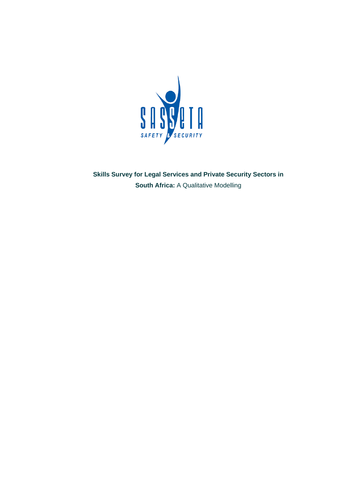

**Skills Survey for Legal Services and Private Security Sectors in South Africa:** A Qualitative Modelling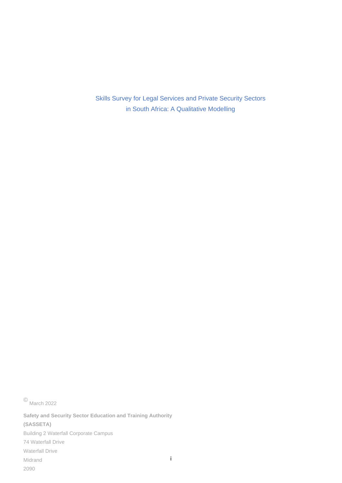Skills Survey for Legal Services and Private Security Sectors in South Africa: A Qualitative Modelling

© March <sup>2022</sup>

i **Safety and Security Sector Education and Training Authority (SASSETA)** Building 2 Waterfall Corporate Campus 74 Waterfall Drive Waterfall Drive Midrand 2090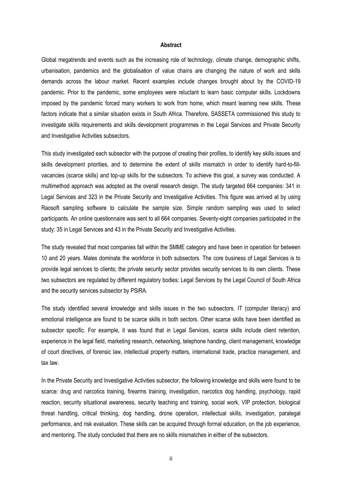#### **Abstract**

Global megatrends and events such as the increasing role of technology, climate change, demographic shifts, urbanisation, pandemics and the globalisation of value chains are changing the nature of work and skills demands across the labour market. Recent examples include changes brought about by the COVID-19 pandemic. Prior to the pandemic, some employees were reluctant to learn basic computer skills. Lockdowns imposed by the pandemic forced many workers to work from home, which meant learning new skills. These factors indicate that a similar situation exists in South Africa. Therefore, SASSETA commissioned this study to investigate skills requirements and skills development programmes in the Legal Services and Private Security and Investigative Activities subsectors.

This study investigated each subsector with the purpose of creating their profiles, to identify key skills issues and skills development priorities, and to determine the extent of skills mismatch in order to identify hard-to-fillvacancies (scarce skills) and top-up skills for the subsectors. To achieve this goal, a survey was conducted. A multimethod approach was adopted as the overall research design. The study targeted 664 companies: 341 in Legal Services and 323 in the Private Security and Investigative Activities. This figure was arrived at by using Raosoft sampling software to calculate the sample size. Simple random sampling was used to select participants. An online questionnaire was sent to all 664 companies. Seventy-eight companies participated in the study: 35 in Legal Services and 43 in the Private Security and Investigative Activities.

The study revealed that most companies fall within the SMME category and have been in operation for between 10 and 20 years. Males dominate the workforce in both subsectors. The core business of Legal Services is to provide legal services to clients; the private security sector provides security services to its own clients. These two subsectors are regulated by different regulatory bodies: Legal Services by the Legal Council of South Africa and the security services subsector by PSiRA.

The study identified several knowledge and skills issues in the two subsectors. IT (computer literacy) and emotional intelligence are found to be scarce skills in both sectors. Other scarce skills have been identified as subsector specific. For example, it was found that in Legal Services, scarce skills include client retention, experience in the legal field, marketing research, networking, telephone handing, client management, knowledge of court directives, of forensic law, intellectual property matters, international trade, practice management, and tax law.

In the Private Security and Investigative Activities subsector, the following knowledge and skills were found to be scarce: drug and narcotics training, firearms training, investigation, narcotics dog handling, psychology, rapid reaction, security situational awareness, security teaching and training, social work, VIP protection, biological threat handling, critical thinking, dog handling, drone operation, intellectual skills, investigation, paralegal performance, and risk evaluation. These skills can be acquired through formal education, on the job experience, and mentoring. The study concluded that there are no skills mismatches in either of the subsectors.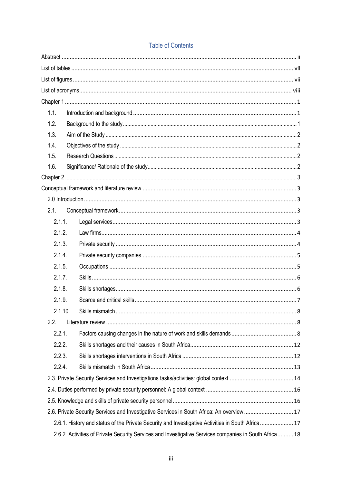| <b>Table of Contents</b> |  |
|--------------------------|--|
|--------------------------|--|

| 1.1.   |         |                                                                                                       |
|--------|---------|-------------------------------------------------------------------------------------------------------|
| 1.2.   |         |                                                                                                       |
| 1.3.   |         |                                                                                                       |
| 1.4.   |         |                                                                                                       |
| 1.5.   |         |                                                                                                       |
| 1.6.   |         |                                                                                                       |
|        |         |                                                                                                       |
|        |         |                                                                                                       |
|        |         |                                                                                                       |
| 2.1.   |         |                                                                                                       |
| 2.1.1. |         |                                                                                                       |
| 2.1.2. |         |                                                                                                       |
| 2.1.3. |         |                                                                                                       |
| 2.1.4. |         |                                                                                                       |
| 2.1.5. |         |                                                                                                       |
| 2.1.7. |         |                                                                                                       |
| 2.1.8. |         |                                                                                                       |
| 2.1.9. |         |                                                                                                       |
|        | 2.1.10. |                                                                                                       |
| 2.2.   |         |                                                                                                       |
| 2.2.1. |         |                                                                                                       |
| 2.2.2. |         |                                                                                                       |
| 2.2.3. |         |                                                                                                       |
| 2.2.4. |         |                                                                                                       |
|        |         |                                                                                                       |
|        |         |                                                                                                       |
|        |         |                                                                                                       |
|        |         | 2.6. Private Security Services and Investigative Services in South Africa: An overview 17             |
|        |         | 2.6.1. History and status of the Private Security and Investigative Activities in South Africa 17     |
|        |         | 2.6.2. Activities of Private Security Services and Investigative Services companies in South Africa18 |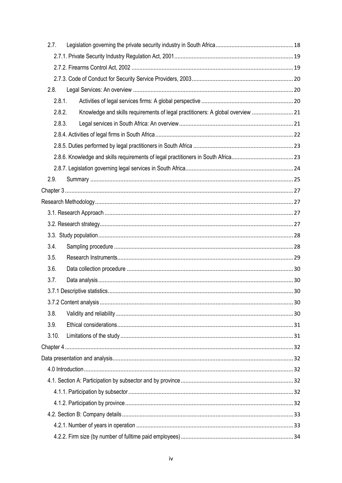| 2.7.  |                                                                                           |  |
|-------|-------------------------------------------------------------------------------------------|--|
|       |                                                                                           |  |
|       |                                                                                           |  |
|       |                                                                                           |  |
| 2.8.  |                                                                                           |  |
|       | 2.8.1.                                                                                    |  |
|       | 2.8.2.<br>Knowledge and skills requirements of legal practitioners: A global overview  21 |  |
|       | 2.8.3.                                                                                    |  |
|       |                                                                                           |  |
|       |                                                                                           |  |
|       |                                                                                           |  |
|       |                                                                                           |  |
| 2.9.  |                                                                                           |  |
|       |                                                                                           |  |
|       |                                                                                           |  |
|       |                                                                                           |  |
|       |                                                                                           |  |
|       |                                                                                           |  |
| 3.4.  |                                                                                           |  |
| 3.5.  |                                                                                           |  |
| 3.6.  |                                                                                           |  |
| 3.7.  |                                                                                           |  |
|       |                                                                                           |  |
|       |                                                                                           |  |
| 3.8.  |                                                                                           |  |
| 3.9.  |                                                                                           |  |
| 3.10. |                                                                                           |  |
|       |                                                                                           |  |
|       |                                                                                           |  |
|       |                                                                                           |  |
|       |                                                                                           |  |
|       |                                                                                           |  |
|       |                                                                                           |  |
|       |                                                                                           |  |
|       |                                                                                           |  |
|       |                                                                                           |  |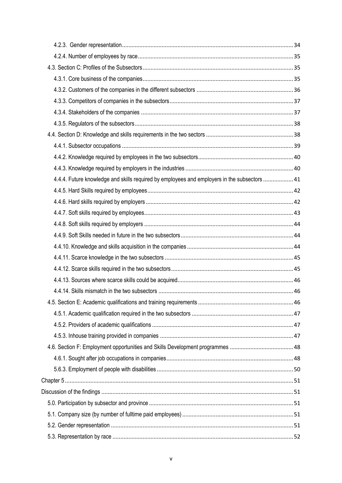| 4.4.4. Future knowledge and skills required by employees and employers in the subsectors  41 |  |
|----------------------------------------------------------------------------------------------|--|
|                                                                                              |  |
|                                                                                              |  |
|                                                                                              |  |
|                                                                                              |  |
|                                                                                              |  |
|                                                                                              |  |
|                                                                                              |  |
|                                                                                              |  |
|                                                                                              |  |
|                                                                                              |  |
|                                                                                              |  |
|                                                                                              |  |
|                                                                                              |  |
|                                                                                              |  |
|                                                                                              |  |
|                                                                                              |  |
|                                                                                              |  |
|                                                                                              |  |
|                                                                                              |  |
|                                                                                              |  |
|                                                                                              |  |
|                                                                                              |  |
|                                                                                              |  |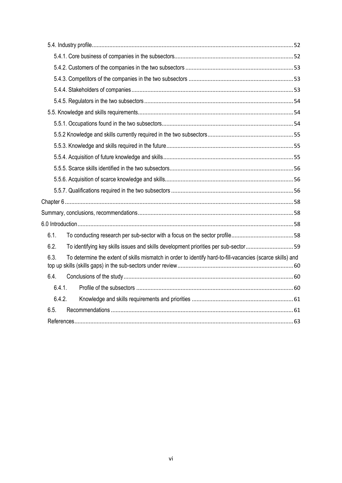| 6.1.                                                                                                               |  |
|--------------------------------------------------------------------------------------------------------------------|--|
| 6.2.<br>To identifying key skills issues and skills development priorities per sub-sector59                        |  |
| 6.3.<br>To determine the extent of skills mismatch in order to identify hard-to-fill-vacancies (scarce skills) and |  |
| 6.4.                                                                                                               |  |
| 6.4.1.                                                                                                             |  |
| 6.4.2.                                                                                                             |  |
| 6.5.                                                                                                               |  |
|                                                                                                                    |  |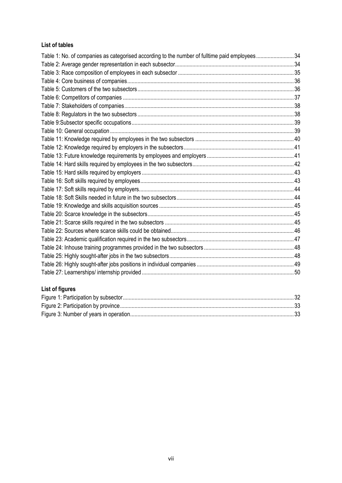## **List of tables**

| Table 1: No. of companies as categorised according to the number of fulltime paid employees34 |  |
|-----------------------------------------------------------------------------------------------|--|
|                                                                                               |  |
|                                                                                               |  |
|                                                                                               |  |
|                                                                                               |  |
|                                                                                               |  |
|                                                                                               |  |
|                                                                                               |  |
|                                                                                               |  |
|                                                                                               |  |
|                                                                                               |  |
|                                                                                               |  |
|                                                                                               |  |
|                                                                                               |  |
|                                                                                               |  |
|                                                                                               |  |
|                                                                                               |  |
|                                                                                               |  |
|                                                                                               |  |
|                                                                                               |  |
|                                                                                               |  |
|                                                                                               |  |
|                                                                                               |  |
|                                                                                               |  |
|                                                                                               |  |
|                                                                                               |  |
|                                                                                               |  |

# **List of figures**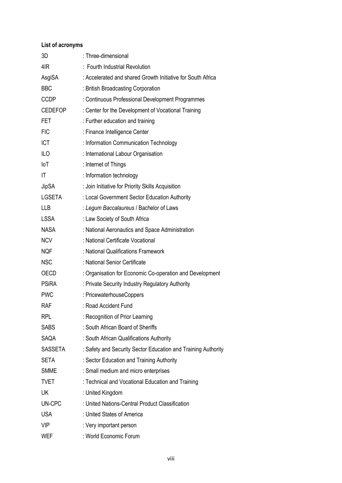## **List of acronyms**

| 3D             | : Three-dimensional                                           |
|----------------|---------------------------------------------------------------|
| 4IR            | : Fourth Industrial Revolution                                |
| AsgiSA         | : Accelerated and shared Growth Initiative for South Africa   |
| <b>BBC</b>     | : British Broadcasting Corporation                            |
| <b>CCDP</b>    | : Continuous Professional Development Programmes              |
| <b>CEDEFOP</b> | : Center for the Development of Vocational Training           |
| <b>FET</b>     | : Further education and training                              |
| <b>FIC</b>     | : Finance Intelligence Center                                 |
| ICT            | : Information Communication Technology                        |
| ILO            | : International Labour Organisation                           |
| loT            | : Internet of Things                                          |
| IT             | : Information technology                                      |
| <b>JipSA</b>   | : Join Initiative for Priority Skills Acquisition             |
| <b>LGSETA</b>  | : Local Government Sector Education Authority                 |
| <b>LLB</b>     | : Legum Baccalaureus / Bachelor of Laws                       |
| <b>LSSA</b>    | : Law Society of South Africa                                 |
| <b>NASA</b>    | : National Aeronautics and Space Administration               |
| <b>NCV</b>     | : National Certificate Vocational                             |
| <b>NQF</b>     | : National Qualifications Framework                           |
| <b>NSC</b>     | : National Senior Certificate                                 |
| <b>OECD</b>    | : Organisation for Economic Co-operation and Development      |
| <b>PSiRA</b>   | : Private Security Industry Regulatory Authority              |
| <b>PWC</b>     | : PricewaterhouseCoppers                                      |
| RAF            | : Road Accident Fund                                          |
| <b>RPL</b>     | : Recognition of Prior Learning                               |
| <b>SABS</b>    | : South African Board of Sheriffs                             |
| <b>SAQA</b>    | : South African Qualifications Authority                      |
| SASSETA        | : Safety and Security Sector Education and Training Authority |
| <b>SETA</b>    | : Sector Education and Training Authority                     |
| <b>SMME</b>    | : Small medium and micro enterprises                          |
| <b>TVET</b>    | : Technical and Vocational Education and Training             |
| UK             | : United Kingdom                                              |
| UN-CPC         | : United Nations-Central Product Classification               |
| <b>USA</b>     | : United States of America                                    |
| <b>VIP</b>     | : Very important person                                       |
| <b>WEF</b>     | : World Economic Forum                                        |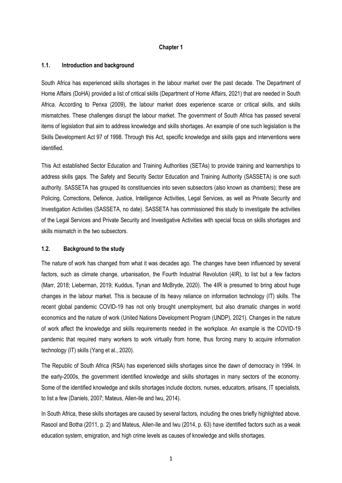### **Chapter 1**

### **1.1. Introduction and background**

South Africa has experienced skills shortages in the labour market over the past decade. The Department of Home Affairs (DoHA) provided a list of critical skills (Department of Home Affairs, 2021) that are needed in South Africa. According to Penxa (2009), the labour market does experience scarce or critical skills, and skills mismatches. These challenges disrupt the labour market. The government of South Africa has passed several items of legislation that aim to address knowledge and skills shortages. An example of one such legislation is the Skills Development Act 97 of 1998. Through this Act, specific knowledge and skills gaps and interventions were identified.

This Act established Sector Education and Training Authorities (SETAs) to provide training and learnerships to address skills gaps. The Safety and Security Sector Education and Training Authority (SASSETA) is one such authority. SASSETA has grouped its constituencies into seven subsectors (also known as chambers); these are Policing, Corrections, Defence, Justice, Intelligence Activities, Legal Services, as well as Private Security and Investigation Activities (SASSETA, no date). SASSETA has commissioned this study to investigate the activities of the Legal Services and Private Security and Investigative Activities with special focus on skills shortages and skills mismatch in the two subsectors.

### **1.2. Background to the study**

The nature of work has changed from what it was decades ago. The changes have been influenced by several factors, such as climate change, urbanisation, the Fourth Industrial Revolution (4IR), to list but a few factors (Marr, 2018; Lieberman, 2019; Kuddus, Tynan and McBryde, 2020). The 4IR is presumed to bring about huge changes in the labour market. This is because of its heavy reliance on information technology (IT) skills. The recent global pandemic COVID-19 has not only brought unemployment, but also dramatic changes in world economics and the nature of work (United Nations Development Program (UNDP), 2021). Changes in the nature of work affect the knowledge and skills requirements needed in the workplace. An example is the COVID-19 pandemic that required many workers to work virtually from home, thus forcing many to acquire information technology (IT) skills (Yang et al., 2020).

The Republic of South Africa (RSA) has experienced skills shortages since the dawn of democracy in 1994. In the early-2000s, the government identified knowledge and skills shortages in many sectors of the economy. Some of the identified knowledge and skills shortages include doctors, nurses, educators, artisans, IT specialists, to list a few (Daniels, 2007; Mateus, Allen-Ile and Iwu, 2014).

In South Africa, these skills shortages are caused by several factors, including the ones briefly highlighted above. Rasool and Botha (2011, p. 2) and Mateus, Allen-Ile and Iwu (2014, p. 63) have identified factors such as a weak education system, emigration, and high crime levels as causes of knowledge and skills shortages.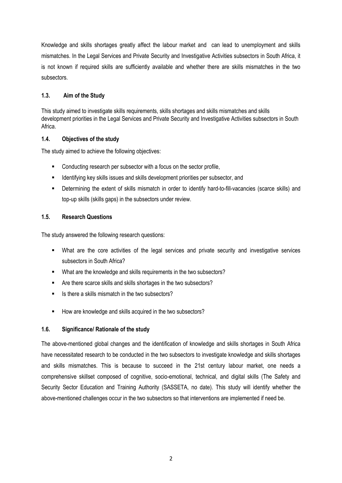Knowledge and skills shortages greatly affect the labour market and can lead to unemployment and skills mismatches. In the Legal Services and Private Security and Investigative Activities subsectors in South Africa, it is not known if required skills are sufficiently available and whether there are skills mismatches in the two subsectors.

## **1.3. Aim of the Study**

This study aimed to investigate skills requirements, skills shortages and skills mismatches and skills development priorities in the Legal Services and Private Security and Investigative Activities subsectors in South Africa.

## **1.4. Objectives of the study**

The study aimed to achieve the following objectives:

- Conducting research per subsector with a focus on the sector profile,
- **EXEDENTIFY** Identifying key skills issues and skills development priorities per subsector, and
- Determining the extent of skills mismatch in order to identify hard-to-fill-vacancies (scarce skills) and top-up skills (skills gaps) in the subsectors under review.

## **1.5. Research Questions**

The study answered the following research questions:

- What are the core activities of the legal services and private security and investigative services subsectors in South Africa?
- What are the knowledge and skills requirements in the two subsectors?
- Are there scarce skills and skills shortages in the two subsectors?
- Is there a skills mismatch in the two subsectors?
- How are knowledge and skills acquired in the two subsectors?

## **1.6. Significance/ Rationale of the study**

The above-mentioned global changes and the identification of knowledge and skills shortages in South Africa have necessitated research to be conducted in the two subsectors to investigate knowledge and skills shortages and skills mismatches. This is because to succeed in the 21st century labour market, one needs a comprehensive skillset composed of cognitive, socio-emotional, technical, and digital skills (The Safety and Security Sector Education and Training Authority (SASSETA, no date). This study will identify whether the above-mentioned challenges occur in the two subsectors so that interventions are implemented if need be.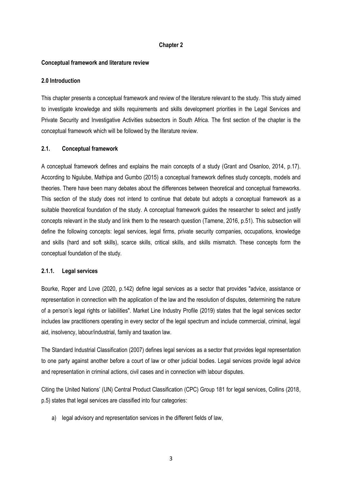#### **Chapter 2**

#### **Conceptual framework and literature review**

#### **2.0 Introduction**

This chapter presents a conceptual framework and review of the literature relevant to the study. This study aimed to investigate knowledge and skills requirements and skills development priorities in the Legal Services and Private Security and Investigative Activities subsectors in South Africa. The first section of the chapter is the conceptual framework which will be followed by the literature review.

### **2.1. Conceptual framework**

A conceptual framework defines and explains the main concepts of a study (Grant and Osanloo, 2014, p.17). According to Ngulube, Mathipa and Gumbo (2015) a conceptual framework defines study concepts, models and theories. There have been many debates about the differences between theoretical and conceptual frameworks. This section of the study does not intend to continue that debate but adopts a conceptual framework as a suitable theoretical foundation of the study. A conceptual framework guides the researcher to select and justify concepts relevant in the study and link them to the research question (Tamene, 2016, p.51). This subsection will define the following concepts: legal services, legal firms, private security companies, occupations, knowledge and skills (hard and soft skills), scarce skills, critical skills, and skills mismatch. These concepts form the conceptual foundation of the study.

#### **2.1.1. Legal services**

Bourke, Roper and Love (2020, p.142) define legal services as a sector that provides "advice, assistance or representation in connection with the application of the law and the resolution of disputes, determining the nature of a person's legal rights or liabilities". Market Line Industry Profile (2019) states that the legal services sector includes law practitioners operating in every sector of the legal spectrum and include commercial, criminal, legal aid, insolvency, labour/industrial, family and taxation law.

The Standard Industrial Classification (2007) defines legal services as a sector that provides legal representation to one party against another before a court of law or other judicial bodies. Legal services provide legal advice and representation in criminal actions, civil cases and in connection with labour disputes.

Citing the United Nations' (UN) Central Product Classification (CPC) Group 181 for legal services, Collins (2018, p.5) states that legal services are classified into four categories:

a) legal advisory and representation services in the different fields of law,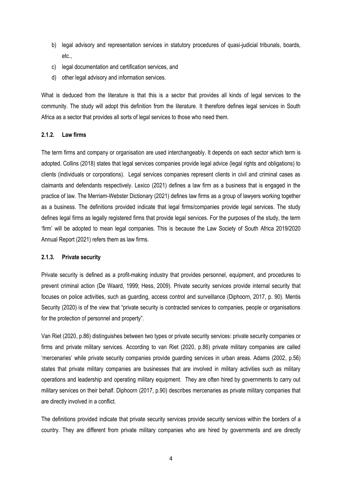- b) legal advisory and representation services in statutory procedures of quasi-judicial tribunals, boards, etc.,
- c) legal documentation and certification services, and
- d) other legal advisory and information services.

What is deduced from the literature is that this is a sector that provides all kinds of legal services to the community. The study will adopt this definition from the literature. It therefore defines legal services in South Africa as a sector that provides all sorts of legal services to those who need them.

### **2.1.2. Law firms**

The term firms and company or organisation are used interchangeably. It depends on each sector which term is adopted. Collins (2018) states that legal services companies provide legal advice (legal rights and obligations) to clients (individuals or corporations). Legal services companies represent clients in civil and criminal cases as claimants and defendants respectively. Lexico (2021) defines a law firm as a business that is engaged in the practice of law. The Merriam-Webster Dictionary (2021) defines law firms as a group of lawyers working together as a business. The definitions provided indicate that legal firms/companies provide legal services. The study defines legal firms as legally registered firms that provide legal services. For the purposes of the study, the term 'firm' will be adopted to mean legal companies. This is because the Law Society of South Africa 2019/2020 Annual Report (2021) refers them as law firms.

### **2.1.3. Private security**

Private security is defined as a profit-making industry that provides personnel, equipment, and procedures to prevent criminal action (De Waard, 1999; Hess, 2009). Private security services provide internal security that focuses on police activities, such as guarding, access control and surveillance (Diphoorn, 2017, p. 90). Mentis Security (2020) is of the view that "private security is contracted services to companies, people or organisations for the protection of personnel and property".

Van Riet (2020, p.86) distinguishes between two types or private security services: private security companies or firms and private military services. According to van Riet (2020, p.86) private military companies are called 'mercenaries' while private security companies provide guarding services in urban areas. Adams (2002, p.56) states that private military companies are businesses that are involved in military activities such as military operations and leadership and operating military equipment. They are often hired by governments to carry out military services on their behalf. Diphoorn (2017, p.90) describes mercenaries as private military companies that are directly involved in a conflict.

The definitions provided indicate that private security services provide security services within the borders of a country. They are different from private military companies who are hired by governments and are directly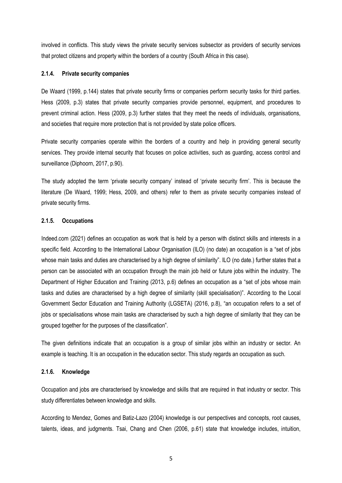involved in conflicts. This study views the private security services subsector as providers of security services that protect citizens and property within the borders of a country (South Africa in this case).

#### **2.1.4. Private security companies**

De Waard (1999, p.144) states that private security firms or companies perform security tasks for third parties. Hess (2009, p.3) states that private security companies provide personnel, equipment, and procedures to prevent criminal action. Hess (2009, p.3) further states that they meet the needs of individuals, organisations, and societies that require more protection that is not provided by state police officers.

Private security companies operate within the borders of a country and help in providing general security services. They provide internal security that focuses on police activities, such as guarding, access control and surveillance (Diphoorn, 2017, p.90).

The study adopted the term 'private security company' instead of 'private security firm'. This is because the literature (De Waard, 1999; Hess, 2009, and others) refer to them as private security companies instead of private security firms.

### **2.1.5. Occupations**

Indeed.com (2021) defines an occupation as work that is held by a person with distinct skills and interests in a specific field. According to the International Labour Organisation (ILO) (no date) an occupation is a "set of jobs whose main tasks and duties are characterised by a high degree of similarity". ILO (no date.) further states that a person can be associated with an occupation through the main job held or future jobs within the industry. The Department of Higher Education and Training (2013, p.6) defines an occupation as a "set of jobs whose main tasks and duties are characterised by a high degree of similarity (skill specialisation)". According to the Local Government Sector Education and Training Authority (LGSETA) (2016, p.8), "an occupation refers to a set of jobs or specialisations whose main tasks are characterised by such a high degree of similarity that they can be grouped together for the purposes of the classification".

The given definitions indicate that an occupation is a group of similar jobs within an industry or sector. An example is teaching. It is an occupation in the education sector. This study regards an occupation as such.

#### **2.1.6. Knowledge**

Occupation and jobs are characterised by knowledge and skills that are required in that industry or sector. This study differentiates between knowledge and skills.

According to Mendez, Gomes and Batiz-Lazo (2004) knowledge is our perspectives and concepts, root causes, talents, ideas, and judgments. Tsai, Chang and Chen (2006, p.61) state that knowledge includes, intuition,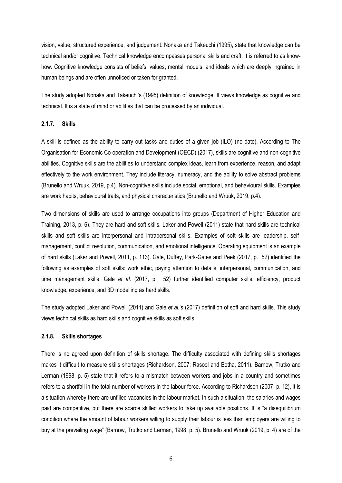vision, value, structured experience, and judgement. Nonaka and Takeuchi (1995), state that knowledge can be technical and/or cognitive. Technical knowledge encompasses personal skills and craft. It is referred to as knowhow. Cognitive knowledge consists of beliefs, values, mental models, and ideals which are deeply ingrained in human beings and are often unnoticed or taken for granted.

The study adopted Nonaka and Takeuchi's (1995) definition of knowledge. It views knowledge as cognitive and technical. It is a state of mind or abilities that can be processed by an individual.

### **2.1.7. Skills**

A skill is defined as the ability to carry out tasks and duties of a given job (ILO) (no date). According to The Organisation for Economic Co-operation and Development (OECD) (2017), skills are cognitive and non-cognitive abilities. Cognitive skills are the abilities to understand complex ideas, learn from experience, reason, and adapt effectively to the work environment. They include literacy, numeracy, and the ability to solve abstract problems (Brunello and Wruuk, 2019, p.4). Non-cognitive skills include social, emotional, and behavioural skills. Examples are work habits, behavioural traits, and physical characteristics (Brunello and Wruuk, 2019, p.4).

Two dimensions of skills are used to arrange occupations into groups (Department of Higher Education and Training, 2013, p. 6). They are hard and soft skills. Laker and Powell (2011) state that hard skills are technical skills and soft skills are interpersonal and intrapersonal skills. Examples of soft skills are leadership, selfmanagement, conflict resolution, communication, and emotional intelligence. Operating equipment is an example of hard skills (Laker and Powell, 2011, p. 113). Gale, Duffey, Park-Gates and Peek (2017, p. 52) identified the following as examples of soft skills: work ethic, paying attention to details, interpersonal, communication, and time management skills. Gale *et al.* (2017, p. 52) further identified computer skills, efficiency, product knowledge, experience, and 3D modelling as hard skills.

The study adopted Laker and Powell (2011) and Gale *et al.*'s (2017) definition of soft and hard skills. This study views technical skills as hard skills and cognitive skills as soft skills

### **2.1.8. Skills shortages**

There is no agreed upon definition of skills shortage. The difficulty associated with defining skills shortages makes it difficult to measure skills shortages (Richardson, 2007; Rasool and Botha, 2011). Barnow, Trutko and Lerman (1998, p. 5) state that it refers to a mismatch between workers and jobs in a country and sometimes refers to a shortfall in the total number of workers in the labour force. According to Richardson (2007, p. 12), it is a situation whereby there are unfilled vacancies in the labour market. In such a situation, the salaries and wages paid are competitive, but there are scarce skilled workers to take up available positions. It is "a disequilibrium condition where the amount of labour workers willing to supply their labour is less than employers are willing to buy at the prevailing wage" (Barnow, Trutko and Lerman, 1998, p. 5). Brunello and Wruuk (2019, p. 4) are of the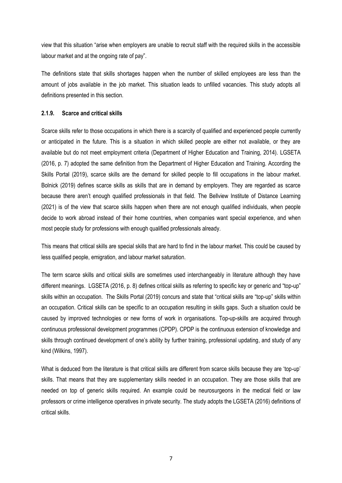view that this situation "arise when employers are unable to recruit staff with the required skills in the accessible labour market and at the ongoing rate of pay".

The definitions state that skills shortages happen when the number of skilled employees are less than the amount of jobs available in the job market. This situation leads to unfilled vacancies. This study adopts all definitions presented in this section.

### **2.1.9. Scarce and critical skills**

Scarce skills refer to those occupations in which there is a scarcity of qualified and experienced people currently or anticipated in the future. This is a situation in which skilled people are either not available, or they are available but do not meet employment criteria (Department of Higher Education and Training, 2014). LGSETA (2016, p. 7) adopted the same definition from the Department of Higher Education and Training. According the Skills Portal (2019), scarce skills are the demand for skilled people to fill occupations in the labour market. Bolnick (2019) defines scarce skills as skills that are in demand by employers. They are regarded as scarce because there aren't enough qualified professionals in that field. The Bellview Institute of Distance Learning (2021) is of the view that scarce skills happen when there are not enough qualified individuals, when people decide to work abroad instead of their home countries, when companies want special experience, and when most people study for professions with enough qualified professionals already.

This means that critical skills are special skills that are hard to find in the labour market. This could be caused by less qualified people, emigration, and labour market saturation.

The term scarce skills and critical skills are sometimes used interchangeably in literature although they have different meanings. LGSETA (2016, p. 8) defines critical skills as referring to specific key or generic and "top-up" skills within an occupation. The Skills Portal (2019) concurs and state that "critical skills are "top-up" skills within an occupation. Critical skills can be specific to an occupation resulting in skills gaps. Such a situation could be caused by improved technologies or new forms of work in organisations. Top-up-skills are acquired through continuous professional development programmes (CPDP). CPDP is the continuous extension of knowledge and skills through continued development of one's ability by further training, professional updating, and study of any kind (Wilkins, 1997).

What is deduced from the literature is that critical skills are different from scarce skills because they are 'top-up' skills. That means that they are supplementary skills needed in an occupation. They are those skills that are needed on top of generic skills required. An example could be neurosurgeons in the medical field or law professors or crime intelligence operatives in private security. The study adopts the LGSETA (2016) definitions of critical skills.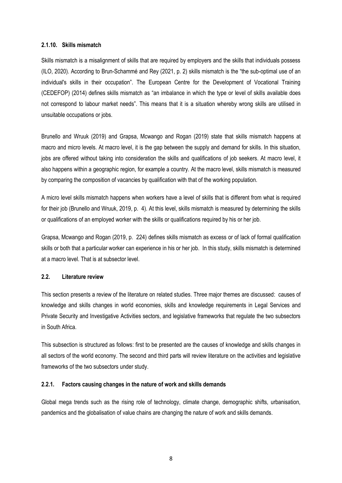### **2.1.10. Skills mismatch**

Skills mismatch is a misalignment of skills that are required by employers and the skills that individuals possess (ILO, 2020). According to Brun-Schammé and Rey (2021, p. 2) skills mismatch is the "the sub-optimal use of an individual's skills in their occupation". The European Centre for the Development of Vocational Training (CEDEFOP) (2014) defines skills mismatch as "an imbalance in which the type or level of skills available does not correspond to labour market needs". This means that it is a situation whereby wrong skills are utilised in unsuitable occupations or jobs.

Brunello and Wruuk (2019) and Grapsa, Mcwango and Rogan (2019) state that skills mismatch happens at macro and micro levels. At macro level, it is the gap between the supply and demand for skills. In this situation, jobs are offered without taking into consideration the skills and qualifications of job seekers. At macro level, it also happens within a geographic region, for example a country. At the macro level, skills mismatch is measured by comparing the composition of vacancies by qualification with that of the working population.

A micro level skills mismatch happens when workers have a level of skills that is different from what is required for their job (Brunello and Wruuk, 2019, p. 4). At this level, skills mismatch is measured by determining the skills or qualifications of an employed worker with the skills or qualifications required by his or her job.

Grapsa, Mcwango and Rogan (2019, p. 224) defines skills mismatch as excess or of lack of formal qualification skills or both that a particular worker can experience in his or her job. In this study, skills mismatch is determined at a macro level. That is at subsector level.

### **2.2. Literature review**

This section presents a review of the literature on related studies. Three major themes are discussed: causes of knowledge and skills changes in world economies, skills and knowledge requirements in Legal Services and Private Security and Investigative Activities sectors, and legislative frameworks that regulate the two subsectors in South Africa.

This subsection is structured as follows: first to be presented are the causes of knowledge and skills changes in all sectors of the world economy. The second and third parts will review literature on the activities and legislative frameworks of the two subsectors under study.

### **2.2.1. Factors causing changes in the nature of work and skills demands**

Global mega trends such as the rising role of technology, climate change, demographic shifts, urbanisation, pandemics and the globalisation of value chains are changing the nature of work and skills demands.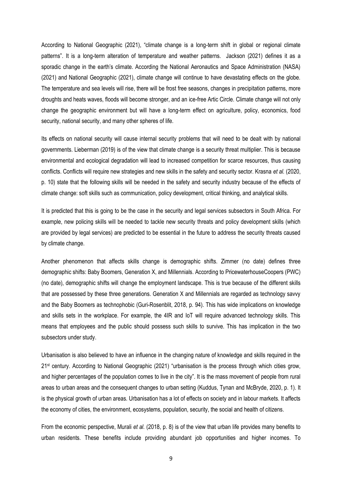According to National Geographic (2021), "climate change is a long-term shift in global or regional climate patterns". It is a long-term alteration of temperature and weather patterns. Jackson (2021) defines it as a sporadic change in the earth's climate. According the National Aeronautics and Space Administration (NASA) (2021) and National Geographic (2021), climate change will continue to have devastating effects on the globe. The temperature and sea levels will rise, there will be frost free seasons, changes in precipitation patterns, more droughts and heats waves, floods will become stronger, and an ice-free Artic Circle. Climate change will not only change the geographic environment but will have a long-term effect on agriculture, policy, economics, food security, national security, and many other spheres of life.

Its effects on national security will cause internal security problems that will need to be dealt with by national governments. Lieberman (2019) is of the view that climate change is a security threat multiplier. This is because environmental and ecological degradation will lead to increased competition for scarce resources, thus causing conflicts. Conflicts will require new strategies and new skills in the safety and security sector. Krasna *et al.* (2020, p. 10) state that the following skills will be needed in the safety and security industry because of the effects of climate change: soft skills such as communication, policy development, critical thinking, and analytical skills.

It is predicted that this is going to be the case in the security and legal services subsectors in South Africa. For example, new policing skills will be needed to tackle new security threats and policy development skills (which are provided by legal services) are predicted to be essential in the future to address the security threats caused by climate change.

Another phenomenon that affects skills change is demographic shifts. Zimmer (no date) defines three demographic shifts: Baby Boomers, Generation X, and Millennials. According to PricewaterhouseCoopers (PWC) (no date), demographic shifts will change the employment landscape. This is true because of the different skills that are possessed by these three generations. Generation X and Millennials are regarded as technology savvy and the Baby Boomers as technophobic (Guri-Rosenblit, 2018, p. 94). This has wide implications on knowledge and skills sets in the workplace. For example, the 4IR and IoT will require advanced technology skills. This means that employees and the public should possess such skills to survive. This has implication in the two subsectors under study.

Urbanisation is also believed to have an influence in the changing nature of knowledge and skills required in the 21st century. According to National Geographic (2021) "urbanisation is the process through which cities grow, and higher percentages of the population comes to live in the city". It is the mass movement of people from rural areas to urban areas and the consequent changes to urban setting (Kuddus, Tynan and McBryde, 2020, p. 1). It is the physical growth of urban areas. Urbanisation has a lot of effects on society and in labour markets. It affects the economy of cities, the environment, ecosystems, population, security, the social and health of citizens.

From the economic perspective, Murali *et al.* (2018, p. 8) is of the view that urban life provides many benefits to urban residents. These benefits include providing abundant job opportunities and higher incomes. To

9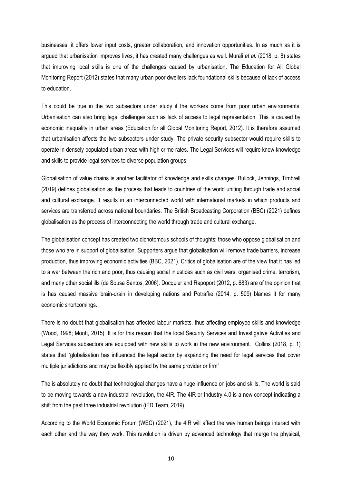businesses, it offers lower input costs, greater collaboration, and innovation opportunities. In as much as it is argued that urbanisation improves lives, it has created many challenges as well. Murali *et al.* (2018, p. 8) states that improving local skills is one of the challenges caused by urbanisation. The Education for All Global Monitoring Report (2012) states that many urban poor dwellers lack foundational skills because of lack of access to education.

This could be true in the two subsectors under study if the workers come from poor urban environments. Urbanisation can also bring legal challenges such as lack of access to legal representation. This is caused by economic inequality in urban areas (Education for all Global Monitoring Report, 2012). It is therefore assumed that urbanisation affects the two subsectors under study. The private security subsector would require skills to operate in densely populated urban areas with high crime rates. The Legal Services will require knew knowledge and skills to provide legal services to diverse population groups.

Globalisation of value chains is another facilitator of knowledge and skills changes. Bullock, Jennings, Timbrell (2019) defines globalisation as the process that leads to countries of the world uniting through trade and social and cultural exchange. It results in an interconnected world with international markets in which products and services are transferred across national boundaries. The British Broadcasting Corporation (BBC) (2021) defines globalisation as the process of interconnecting the world through trade and cultural exchange.

The globalisation concept has created two dichotomous schools of thoughts; those who oppose globalisation and those who are in support of globalisation. Supporters argue that globalisation will remove trade barriers, increase production, thus improving economic activities (BBC, 2021). Critics of globalisation are of the view that it has led to a war between the rich and poor, thus causing social injustices such as civil wars, organised crime, terrorism, and many other social ills (de Sousa Santos, 2006). Docquier and Rapoport (2012, p. 683) are of the opinion that is has caused massive brain-drain in developing nations and Potrafke (2014, p. 509) blames it for many economic shortcomings.

There is no doubt that globalisation has affected labour markets, thus affecting employee skills and knowledge (Wood, 1998; Montt, 2015). It is for this reason that the local Security Services and Investigative Activities and Legal Services subsectors are equipped with new skills to work in the new environment. Collins (2018, p. 1) states that "globalisation has influenced the legal sector by expanding the need for legal services that cover multiple jurisdictions and may be flexibly applied by the same provider or firm"

The is absolutely no doubt that technological changes have a huge influence on jobs and skills. The world is said to be moving towards a new industrial revolution, the 4IR. The 4IR or Industry 4.0 is a new concept indicating a shift from the past three industrial revolution (iED Team, 2019).

According to the World Economic Forum (WEC) (2021), the 4IR will affect the way human beings interact with each other and the way they work. This revolution is driven by advanced technology that merge the physical,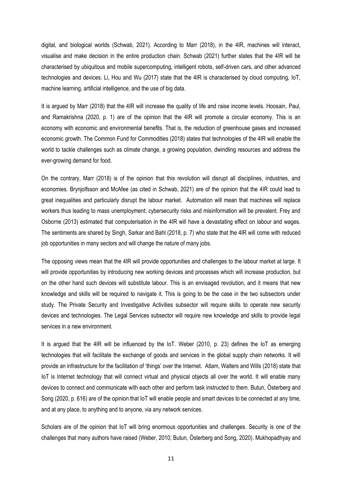digital, and biological worlds (Schwab, 2021). According to Marr (2018), in the 4IR, machines will interact, visualise and make decision in the entire production chain. Schwab (2021) further states that the 4IR will be characterised by ubiquitous and mobile supercomputing, intelligent robots, self-driven cars, and other advanced technologies and devices. Li, Hou and Wu (2017) state that the 4IR is characterised by cloud computing, IoT, machine learning, artificial intelligence, and the use of big data.

It is argued by Marr (2018) that the 4IR will increase the quality of life and raise income levels. Hoosain, Paul, and Ramakrishna (2020, p. 1) are of the opinion that the 4IR will promote a circular economy. This is an economy with economic and environmental benefits. That is, the reduction of greenhouse gases and increased economic growth. The Common Fund for Commodities (2018) states that technologies of the 4IR will enable the world to tackle challenges such as climate change, a growing population, dwindling resources and address the ever-growing demand for food.

On the contrary, Marr (2018) is of the opinion that this revolution will disrupt all disciplines, industries, and economies. Brynjolfsson and McAfee (as cited in Schwab, 2021) are of the opinion that the 4IR could lead to great inequalities and particularly disrupt the labour market. Automation will mean that machines will replace workers thus leading to mass unemployment; cybersecurity risks and misinformation will be prevalent. Frey and Osborne (2013) estimated that computerisation in the 4IR will have a devastating effect on labour and wages. The sentiments are shared by Singh, Sarkar and Bahl (2018, p. 7) who state that the 4IR will come with reduced job opportunities in many sectors and will change the nature of many jobs.

The opposing views mean that the 4IR will provide opportunities and challenges to the labour market at large. It will provide opportunities by introducing new working devices and processes which will increase production, but on the other hand such devices will substitute labour. This is an envisaged revolution, and it means that new knowledge and skills will be required to navigate it. This is going to be the case in the two subsectors under study. The Private Security and Investigative Activities subsector will require skills to operate new security devices and technologies. The Legal Services subsector will require new knowledge and skills to provide legal services in a new environment.

It is argued that the 4IR will be influenced by the IoT. Weber (2010, p. 23) defines the IoT as emerging technologies that will facilitate the exchange of goods and services in the global supply chain networks. It will provide an infrastructure for the facilitation of 'things' over the Internet. Atlam, Walters and Wills (2018) state that IoT is Internet technology that will connect virtual and physical objects all over the world. It will enable many devices to connect and communicate with each other and perform task instructed to them. Butun, Österberg and Song (2020, p. 616) are of the opinion that IoT will enable people and smart devices to be connected at any time, and at any place, to anything and to anyone, via any network services.

Scholars are of the opinion that IoT will bring enormous opportunities and challenges. Security is one of the challenges that many authors have raised (Weber, 2010; Butun, Österberg and Song, 2020). Mukhopadhyay and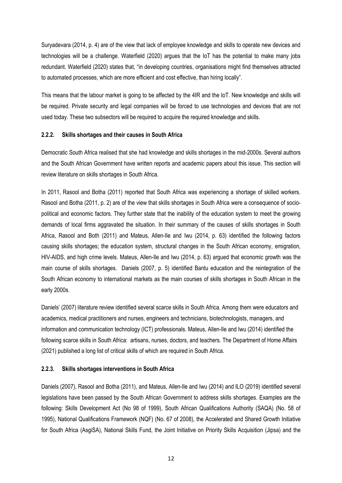Suryadevara (2014, p. 4) are of the view that lack of employee knowledge and skills to operate new devices and technologies will be a challenge. Waterfield (2020) argues that the IoT has the potential to make many jobs redundant. Waterfield (2020) states that, "in developing countries, organisations might find themselves attracted to automated processes, which are more efficient and cost effective, than hiring locally".

This means that the labour market is going to be affected by the 4IR and the IoT. New knowledge and skills will be required. Private security and legal companies will be forced to use technologies and devices that are not used today. These two subsectors will be required to acquire the required knowledge and skills.

### **2.2.2. Skills shortages and their causes in South Africa**

Democratic South Africa realised that she had knowledge and skills shortages in the mid-2000s. Several authors and the South African Government have written reports and academic papers about this issue. This section will review literature on skills shortages in South Africa.

In 2011, Rasool and Botha (2011) reported that South Africa was experiencing a shortage of skilled workers. Rasool and Botha (2011, p. 2) are of the view that skills shortages in South Africa were a consequence of sociopolitical and economic factors. They further state that the inability of the education system to meet the growing demands of local firms aggravated the situation. In their summary of the causes of skills shortages in South Africa, Rasool and Both (2011) and Mateus, Allen-Ile and Iwu (2014, p. 63) identified the following factors causing skills shortages; the education system, structural changes in the South African economy, emigration, HIV-AIDS, and high crime levels. Mateus, Allen-Ile and Iwu (2014, p. 63) argued that economic growth was the main course of skills shortages. Daniels (2007, p. 5) identified Bantu education and the reintegration of the South African economy to international markets as the main courses of skills shortages in South African in the early 2000s.

Daniels' (2007) literature review identified several scarce skills in South Africa. Among them were educators and academics, medical practitioners and nurses, engineers and technicians, biotechnologists, managers, and information and communication technology (ICT) professionals. Mateus, Allen-Ile and Iwu (2014) identified the following scarce skills in South Africa: artisans, nurses, doctors, and teachers. The Department of Home Affairs (2021) published a long list of critical skills of which are required in South Africa.

### **2.2.3. Skills shortages interventions in South Africa**

Daniels (2007), Rasool and Botha (2011), and Mateus, Allen-Ile and Iwu (2014) and ILO (2019) identified several legislations have been passed by the South African Government to address skills shortages. Examples are the following: Skills Development Act (No 98 of 1999), South African Qualifications Authority (SAQA) (No. 58 of 1995), National Qualifications Framework (NQF) (No. 67 of 2008), the Accelerated and Shared Growth Initiative for South Africa (AsgiSA), National Skills Fund, the Joint Initiative on Priority Skills Acquisition (Jipsa) and the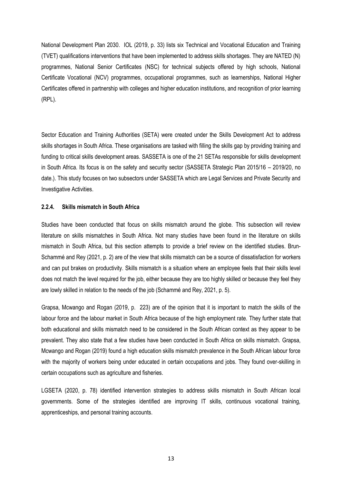National Development Plan 2030. IOL (2019, p. 33) lists six Technical and Vocational Education and Training (TVET) qualifications interventions that have been implemented to address skills shortages. They are NATED (N) programmes, National Senior Certificates (NSC) for technical subjects offered by high schools, National Certificate Vocational (NCV) programmes, occupational programmes, such as learnerships, National Higher Certificates offered in partnership with colleges and higher education institutions, and recognition of prior learning (RPL).

Sector Education and Training Authorities (SETA) were created under the Skills Development Act to address skills shortages in South Africa. These organisations are tasked with filling the skills gap by providing training and funding to critical skills development areas. SASSETA is one of the 21 SETAs responsible for skills development in South Africa. Its focus is on the safety and security sector (SASSETA Strategic Plan 2015/16 – 2019/20, no date.). This study focuses on two subsectors under SASSETA which are Legal Services and Private Security and Investigative Activities.

### **2.2.4. Skills mismatch in South Africa**

Studies have been conducted that focus on skills mismatch around the globe. This subsection will review literature on skills mismatches in South Africa. Not many studies have been found in the literature on skills mismatch in South Africa, but this section attempts to provide a brief review on the identified studies. Brun-Schammé and Rey (2021, p. 2) are of the view that skills mismatch can be a source of dissatisfaction for workers and can put brakes on productivity. Skills mismatch is a situation where an employee feels that their skills level does not match the level required for the job, either because they are too highly skilled or because they feel they are lowly skilled in relation to the needs of the job (Schammé and Rey, 2021, p. 5).

Grapsa, Mcwango and Rogan (2019, p. 223) are of the opinion that it is important to match the skills of the labour force and the labour market in South Africa because of the high employment rate. They further state that both educational and skills mismatch need to be considered in the South African context as they appear to be prevalent. They also state that a few studies have been conducted in South Africa on skills mismatch. Grapsa, Mcwango and Rogan (2019) found a high education skills mismatch prevalence in the South African labour force with the majority of workers being under educated in certain occupations and jobs. They found over-skilling in certain occupations such as agriculture and fisheries.

LGSETA (2020, p. 78) identified intervention strategies to address skills mismatch in South African local governments. Some of the strategies identified are improving IT skills, continuous vocational training, apprenticeships, and personal training accounts.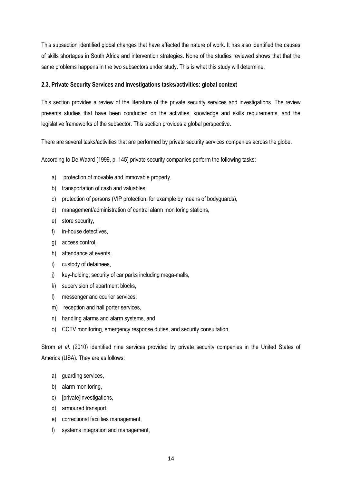This subsection identified global changes that have affected the nature of work. It has also identified the causes of skills shortages in South Africa and intervention strategies. None of the studies reviewed shows that that the same problems happens in the two subsectors under study. This is what this study will determine.

### **2.3. Private Security Services and Investigations tasks/activities: global context**

This section provides a review of the literature of the private security services and investigations. The review presents studies that have been conducted on the activities, knowledge and skills requirements, and the legislative frameworks of the subsector. This section provides a global perspective.

There are several tasks/activities that are performed by private security services companies across the globe.

According to De Waard (1999, p. 145) private security companies perform the following tasks:

- a) protection of movable and immovable property,
- b) transportation of cash and valuables,
- c) protection of persons (VIP protection, for example by means of bodyguards),
- d) management/administration of central alarm monitoring stations,
- e) store security,
- f) in-house detectives.
- g) access control,
- h) attendance at events,
- i) custody of detainees,
- j) key-holding; security of car parks including mega-malls,
- k) supervision of apartment blocks,
- l) messenger and courier services,
- m) reception and hall porter services,
- n) handling alarms and alarm systems, and
- o) CCTV monitoring, emergency response duties, and security consultation.

Strom *et al.* (2010) identified nine services provided by private security companies in the United States of America (USA). They are as follows:

- a) guarding services,
- b) alarm monitoring,
- c) [private]investigations,
- d) armoured transport,
- e) correctional facilities management,
- f) systems integration and management,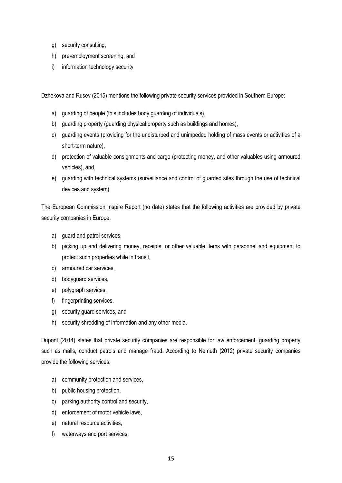- g) security consulting,
- h) pre-employment screening, and
- i) information technology security

Dzhekova and Rusev (2015) mentions the following private security services provided in Southern Europe:

- a) guarding of people (this includes body guarding of individuals),
- b) guarding property (guarding physical property such as buildings and homes),
- c) guarding events (providing for the undisturbed and unimpeded holding of mass events or activities of a short-term nature),
- d) protection of valuable consignments and cargo (protecting money, and other valuables using armoured vehicles), and,
- e) guarding with technical systems (surveillance and control of guarded sites through the use of technical devices and system).

The European Commission Inspire Report (no date) states that the following activities are provided by private security companies in Europe:

- a) guard and patrol services,
- b) picking up and delivering money, receipts, or other valuable items with personnel and equipment to protect such properties while in transit,
- c) armoured car services,
- d) bodyguard services,
- e) polygraph services,
- f) fingerprinting services,
- g) security guard services, and
- h) security shredding of information and any other media.

Dupont (2014) states that private security companies are responsible for law enforcement, guarding property such as malls, conduct patrols and manage fraud. According to Nemeth (2012) private security companies provide the following services:

- a) community protection and services,
- b) public housing protection,
- c) parking authority control and security,
- d) enforcement of motor vehicle laws,
- e) natural resource activities,
- f) waterways and port services,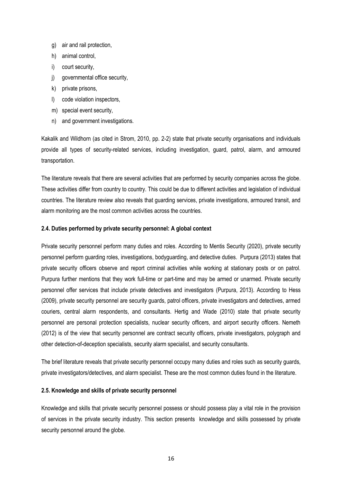- g) air and rail protection,
- h) animal control,
- i) court security,
- j) governmental office security,
- k) private prisons,
- l) code violation inspectors,
- m) special event security,
- n) and government investigations.

Kakalik and Wildhorn (as cited in Strom, 2010, pp. 2-2) state that private security organisations and individuals provide all types of security-related services, including investigation, guard, patrol, alarm, and armoured transportation.

The literature reveals that there are several activities that are performed by security companies across the globe. These activities differ from country to country. This could be due to different activities and legislation of individual countries. The literature review also reveals that guarding services, private investigations, armoured transit, and alarm monitoring are the most common activities across the countries.

### **2.4. Duties performed by private security personnel: A global context**

Private security personnel perform many duties and roles. According to Mentis Security (2020), private security personnel perform guarding roles, investigations, bodyguarding, and detective duties. Purpura (2013) states that private security officers observe and report criminal activities while working at stationary posts or on patrol. Purpura further mentions that they work full-time or part-time and may be armed or unarmed. Private security personnel offer services that include private detectives and investigators (Purpura, 2013). According to Hess (2009), private security personnel are security guards, patrol officers, private investigators and detectives, armed couriers, central alarm respondents, and consultants. Hertig and Wade (2010) state that private security personnel are personal protection specialists, nuclear security officers, and airport security officers. Nemeth (2012) is of the view that security personnel are contract security officers, private investigators, polygraph and other detection-of-deception specialists, security alarm specialist, and security consultants.

The brief literature reveals that private security personnel occupy many duties and roles such as security guards, private investigators/detectives, and alarm specialist. These are the most common duties found in the literature.

### **2.5. Knowledge and skills of private security personnel**

Knowledge and skills that private security personnel possess or should possess play a vital role in the provision of services in the private security industry. This section presents knowledge and skills possessed by private security personnel around the globe.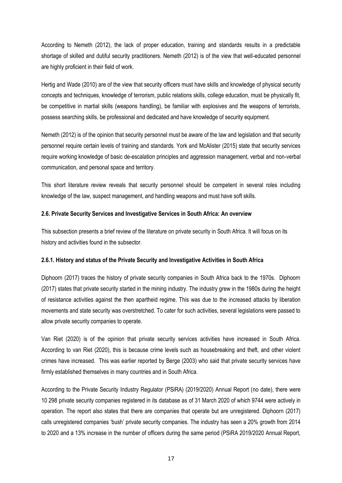According to Nemeth (2012), the lack of proper education, training and standards results in a predictable shortage of skilled and dutiful security practitioners. Nemeth (2012) is of the view that well-educated personnel are highly proficient in their field of work.

Hertig and Wade (2010) are of the view that security officers must have skills and knowledge of physical security concepts and techniques, knowledge of terrorism, public relations skills, college education, must be physically fit, be competitive in martial skills (weapons handling), be familiar with explosives and the weapons of terrorists, possess searching skills, be professional and dedicated and have knowledge of security equipment.

Nemeth (2012) is of the opinion that security personnel must be aware of the law and legislation and that security personnel require certain levels of training and standards. York and McAlister (2015) state that security services require working knowledge of basic de-escalation principles and aggression management, verbal and non-verbal communication, and personal space and territory.

This short literature review reveals that security personnel should be competent in several roles including knowledge of the law, suspect management, and handling weapons and must have soft skills.

### **2.6. Private Security Services and Investigative Services in South Africa: An overview**

This subsection presents a brief review of the literature on private security in South Africa. It will focus on its history and activities found in the subsector.

### **2.6.1. History and status of the Private Security and Investigative Activities in South Africa**

Diphoorn (2017) traces the history of private security companies in South Africa back to the 1970s. Diphoorn (2017) states that private security started in the mining industry. The industry grew in the 1980s during the height of resistance activities against the then apartheid regime. This was due to the increased attacks by liberation movements and state security was overstretched. To cater for such activities, several legislations were passed to allow private security companies to operate.

Van Riet (2020) is of the opinion that private security services activities have increased in South Africa. According to van Riet (2020), this is because crime levels such as housebreaking and theft, and other violent crimes have increased. This was earlier reported by Berge (2003) who said that private security services have firmly established themselves in many countries and in South Africa.

According to the Private Security Industry Regulator (PSiRA) (2019/2020) Annual Report (no date), there were 10 298 private security companies registered in its database as of 31 March 2020 of which 9744 were actively in operation. The report also states that there are companies that operate but are unregistered. Diphoorn (2017) calls unregistered companies 'bush' private security companies. The industry has seen a 20% growth from 2014 to 2020 and a 13% increase in the number of officers during the same period (PSiRA 2019/2020 Annual Report,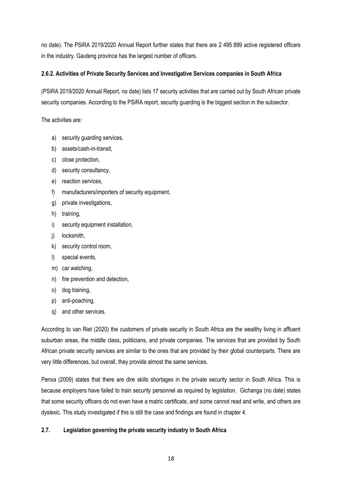no date). The PSiRA 2019/2020 Annual Report further states that there are 2 495 899 active registered officers in the industry. Gauteng province has the largest number of officers.

### **2.6.2. Activities of Private Security Services and Investigative Services companies in South Africa**

(PSiRA 2019/2020 Annual Report, no date) lists 17 security activities that are carried out by South African private security companies. According to the PSiRA report, security guarding is the biggest section in the subsector.

The activities are:

- a) security guarding services,
- b) assets/cash-in-transit,
- c) close protection,
- d) security consultancy,
- e) reaction services,
- f) manufacturers/importers of security equipment,
- g) private investigations,
- h) training,
- i) security equipment installation,
- j) locksmith,
- k) security control room,
- l) special events,
- m) car watching,
- n) fire prevention and detection,
- o) dog training,
- p) anti-poaching,
- q) and other services.

According to van Riet (2020) the customers of private security in South Africa are the wealthy living in affluent suburban areas, the middle class, politicians, and private companies. The services that are provided by South African private security services are similar to the ones that are provided by their global counterparts. There are very little differences, but overall, they provide almost the same services.

Penxa (2009) states that there are dire skills shortages in the private security sector in South Africa. This is because employers have failed to train security personnel as required by legislation. Gichanga (no date) states that some security officers do not even have a matric certificate, and some cannot read and write, and others are dyslexic. This study investigated if this is still the case and findings are found in chapter 4.

## **2.7. Legislation governing the private security industry in South Africa**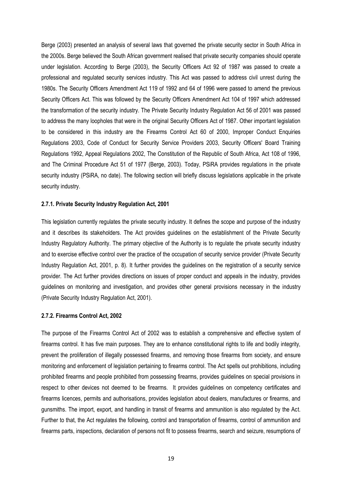Berge (2003) presented an analysis of several laws that governed the private security sector in South Africa in the 2000s. Berge believed the South African government realised that private security companies should operate under legislation. According to Berge (2003), the Security Officers Act 92 of 1987 was passed to create a professional and regulated security services industry. This Act was passed to address civil unrest during the 1980s. The Security Officers Amendment Act 119 of 1992 and 64 of 1996 were passed to amend the previous Security Officers Act. This was followed by the Security Officers Amendment Act 104 of 1997 which addressed the transformation of the security industry. The Private Security Industry Regulation Act 56 of 2001 was passed to address the many loopholes that were in the original Security Officers Act of 1987. Other important legislation to be considered in this industry are the Firearms Control Act 60 of 2000, Improper Conduct Enquiries Regulations 2003, Code of Conduct for Security Service Providers 2003, Security Officers' Board Training Regulations 1992, Appeal Regulations 2002, The Constitution of the Republic of South Africa, Act 108 of 1996, and The Criminal Procedure Act 51 of 1977 (Berge, 2003). Today, PSiRA provides regulations in the private security industry (PSiRA, no date). The following section will briefly discuss legislations applicable in the private security industry.

### **2.7.1. Private Security Industry Regulation Act, 2001**

This legislation currently regulates the private security industry. It defines the scope and purpose of the industry and it describes its stakeholders. The Act provides guidelines on the establishment of the Private Security Industry Regulatory Authority. The primary objective of the Authority is to regulate the private security industry and to exercise effective control over the practice of the occupation of security service provider (Private Security Industry Regulation Act, 2001, p. 8). It further provides the guidelines on the registration of a security service provider. The Act further provides directions on issues of proper conduct and appeals in the industry, provides guidelines on monitoring and investigation, and provides other general provisions necessary in the industry (Private Security Industry Regulation Act, 2001).

#### **2.7.2. Firearms Control Act, 2002**

The purpose of the Firearms Control Act of 2002 was to establish a comprehensive and effective system of firearms control. It has five main purposes. They are to enhance constitutional rights to life and bodily integrity, prevent the proliferation of illegally possessed firearms, and removing those firearms from society, and ensure monitoring and enforcement of legislation pertaining to firearms control. The Act spells out prohibitions, including prohibited firearms and people prohibited from possessing firearms, provides guidelines on special provisions in respect to other devices not deemed to be firearms. It provides guidelines on competency certificates and firearms licences, permits and authorisations, provides legislation about dealers, manufactures or firearms, and gunsmiths. The import, export, and handling in transit of firearms and ammunition is also regulated by the Act. Further to that, the Act regulates the following, control and transportation of firearms, control of ammunition and firearms parts, inspections, declaration of persons not fit to possess firearms, search and seizure, resumptions of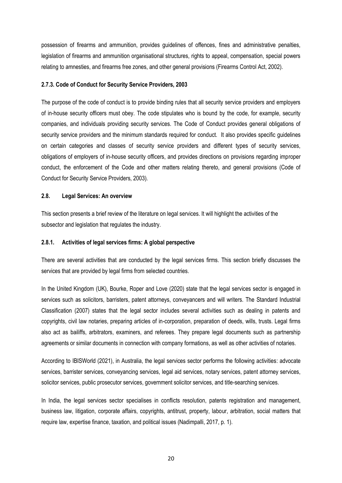possession of firearms and ammunition, provides guidelines of offences, fines and administrative penalties, legislation of firearms and ammunition organisational structures, rights to appeal, compensation, special powers relating to amnesties, and firearms free zones, and other general provisions (Firearms Control Act, 2002).

### **2.7.3. Code of Conduct for Security Service Providers, 2003**

The purpose of the code of conduct is to provide binding rules that all security service providers and employers of in-house security officers must obey. The code stipulates who is bound by the code, for example, security companies, and individuals providing security services. The Code of Conduct provides general obligations of security service providers and the minimum standards required for conduct. It also provides specific guidelines on certain categories and classes of security service providers and different types of security services, obligations of employers of in-house security officers, and provides directions on provisions regarding improper conduct, the enforcement of the Code and other matters relating thereto, and general provisions (Code of Conduct for Security Service Providers, 2003).

### **2.8. Legal Services: An overview**

This section presents a brief review of the literature on legal services. It will highlight the activities of the subsector and legislation that regulates the industry.

#### **2.8.1. Activities of legal services firms: A global perspective**

There are several activities that are conducted by the legal services firms. This section briefly discusses the services that are provided by legal firms from selected countries.

In the United Kingdom (UK), Bourke, Roper and Love (2020) state that the legal services sector is engaged in services such as solicitors, barristers, patent attorneys, conveyancers and will writers. The Standard Industrial Classification (2007) states that the legal sector includes several activities such as dealing in patents and copyrights, civil law notaries, preparing articles of in-corporation, preparation of deeds, wills, trusts. Legal firms also act as bailiffs, arbitrators, examiners, and referees. They prepare legal documents such as partnership agreements or similar documents in connection with company formations, as well as other activities of notaries.

According to IBISWorld (2021), in Australia, the legal services sector performs the following activities: advocate services, barrister services, conveyancing services, legal aid services, notary services, patent attorney services, solicitor services, public prosecutor services, government solicitor services, and title-searching services.

In India, the legal services sector specialises in conflicts resolution, patents registration and management, business law, litigation, corporate affairs, copyrights, antitrust, property, labour, arbitration, social matters that require law, expertise finance, taxation, and political issues (Nadimpalli, 2017, p. 1).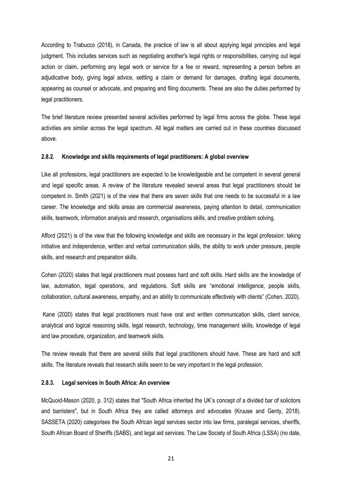According to Trabucco (2018), in Canada, the practice of law is all about applying legal principles and legal judgment. This includes services such as negotiating another's legal rights or responsibilities, carrying out legal action or claim, performing any legal work or service for a fee or reward, representing a person before an adjudicative body, giving legal advice, settling a claim or demand for damages, drafting legal documents, appearing as counsel or advocate, and preparing and filing documents. These are also the duties performed by legal practitioners.

The brief literature review presented several activities performed by legal firms across the globe. These legal activities are similar across the legal spectrum. All legal matters are carried out in these countries discussed above.

### **2.8.2. Knowledge and skills requirements of legal practitioners: A global overview**

Like all professions, legal practitioners are expected to be knowledgeable and be competent in several general and legal specific areas. A review of the literature revealed several areas that legal practitioners should be competent in. Smith (2021) is of the view that there are seven skills that one needs to be successful in a law career. The knowledge and skills areas are commercial awareness, paying attention to detail, communication skills, teamwork, information analysis and research, organisations skills, and creative problem solving.

Afford (2021) is of the view that the following knowledge and skills are necessary in the legal profession: taking initiative and independence, written and verbal communication skills, the ability to work under pressure, people skills, and research and preparation skills.

Cohen (2020) states that legal practitioners must possess hard and soft skills. Hard skills are the knowledge of law, automation, legal operations, and regulations. Soft skills are "emotional intelligence, people skills, collaboration, cultural awareness, empathy, and an ability to communicate effectively with clients" (Cohen, 2020).

Kane (2020) states that legal practitioners must have oral and written communication skills, client service, analytical and logical reasoning skills, legal research, technology, time management skills, knowledge of legal and law procedure, organization, and teamwork skills.

The review reveals that there are several skills that legal practitioners should have. These are hard and soft skills. The literature reveals that research skills seem to be very important in the legal profession.

### **2.8.3. Legal services in South Africa: An overview**

McQuoid-Mason (2020, p. 312) states that "South Africa inherited the UK's concept of a divided bar of solicitors and barristers", but in South Africa they are called attorneys and advocates (Kruuse and Genty, 2018). SASSETA (2020) categorises the South African legal services sector into law firms, paralegal services, sheriffs, South African Board of Sheriffs (SABS), and legal aid services. The Law Society of South Africa (LSSA) (no date,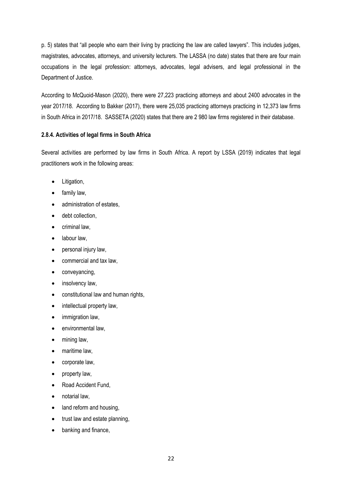p. 5) states that "all people who earn their living by practicing the law are called lawyers". This includes judges, magistrates, advocates, attorneys, and university lecturers. The LASSA (no date) states that there are four main occupations in the legal profession: attorneys, advocates, legal advisers, and legal professional in the Department of Justice.

According to McQuoid-Mason (2020), there were 27,223 practicing attorneys and about 2400 advocates in the year 2017/18. According to Bakker (2017), there were 25,035 practicing attorneys practicing in 12,373 law firms in South Africa in 2017/18. SASSETA (2020) states that there are 2 980 law firms registered in their database.

## **2.8.4. Activities of legal firms in South Africa**

Several activities are performed by law firms in South Africa. A report by LSSA (2019) indicates that legal practitioners work in the following areas:

- Litigation,
- family law,
- administration of estates,
- debt collection,
- criminal law,
- labour law,
- personal injury law,
- commercial and tax law,
- conveyancing,
- insolvency law,
- constitutional law and human rights,
- intellectual property law,
- immigration law.
- environmental law,
- mining law,
- maritime law,
- corporate law,
- property law,
- Road Accident Fund,
- notarial law,
- land reform and housing,
- trust law and estate planning,
- banking and finance,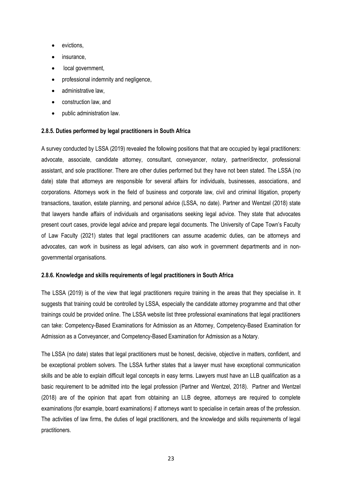- evictions,
- insurance,
- local government.
- professional indemnity and negligence,
- administrative law,
- construction law, and
- public administration law.

### **2.8.5. Duties performed by legal practitioners in South Africa**

A survey conducted by LSSA (2019) revealed the following positions that that are occupied by legal practitioners: advocate, associate, candidate attorney, consultant, conveyancer, notary, partner/director, professional assistant, and sole practitioner. There are other duties performed but they have not been stated. The LSSA (no date) state that attorneys are responsible for several affairs for individuals, businesses, associations, and corporations. Attorneys work in the field of business and corporate law, civil and criminal litigation, property transactions, taxation, estate planning, and personal advice (LSSA, no date). Partner and Wentzel (2018) state that lawyers handle affairs of individuals and organisations seeking legal advice. They state that advocates present court cases, provide legal advice and prepare legal documents. The University of Cape Town's Faculty of Law Faculty (2021) states that legal practitioners can assume academic duties, can be attorneys and advocates, can work in business as legal advisers, can also work in government departments and in nongovernmental organisations.

### **2.8.6. Knowledge and skills requirements of legal practitioners in South Africa**

The LSSA (2019) is of the view that legal practitioners require training in the areas that they specialise in. It suggests that training could be controlled by LSSA, especially the candidate attorney programme and that other trainings could be provided online. The LSSA website list three professional examinations that legal practitioners can take: Competency-Based Examinations for Admission as an Attorney, Competency-Based Examination for Admission as a Conveyancer, and Competency-Based Examination for Admission as a Notary.

The LSSA (no date) states that legal practitioners must be honest, decisive, objective in matters, confident, and be exceptional problem solvers. The LSSA further states that a lawyer must have exceptional communication skills and be able to explain difficult legal concepts in easy terms. Lawyers must have an LLB qualification as a basic requirement to be admitted into the legal profession (Partner and Wentzel, 2018). Partner and Wentzel (2018) are of the opinion that apart from obtaining an LLB degree, attorneys are required to complete examinations (for example, board examinations) if attorneys want to specialise in certain areas of the profession. The activities of law firms, the duties of legal practitioners, and the knowledge and skills requirements of legal practitioners.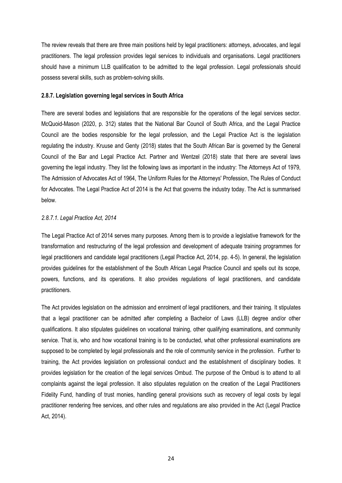The review reveals that there are three main positions held by legal practitioners: attorneys, advocates, and legal practitioners. The legal profession provides legal services to individuals and organisations. Legal practitioners should have a minimum LLB qualification to be admitted to the legal profession. Legal professionals should possess several skills, such as problem-solving skills.

#### **2.8.7. Legislation governing legal services in South Africa**

There are several bodies and legislations that are responsible for the operations of the legal services sector. McQuoid-Mason (2020, p. 312) states that the National Bar Council of South Africa, and the Legal Practice Council are the bodies responsible for the legal profession, and the Legal Practice Act is the legislation regulating the industry. Kruuse and Genty (2018) states that the South African Bar is governed by the General Council of the Bar and Legal Practice Act. Partner and Wentzel (2018) state that there are several laws governing the legal industry. They list the following laws as important in the industry: The Attorneys Act of 1979, The Admission of Advocates Act of 1964, The Uniform Rules for the Attorneys' Profession, The Rules of Conduct for Advocates. The Legal Practice Act of 2014 is the Act that governs the industry today. The Act is summarised below.

### *2.8.7.1. Legal Practice Act, 2014*

The Legal Practice Act of 2014 serves many purposes. Among them is to provide a legislative framework for the transformation and restructuring of the legal profession and development of adequate training programmes for legal practitioners and candidate legal practitioners (Legal Practice Act, 2014, pp. 4-5). In general, the legislation provides guidelines for the establishment of the South African Legal Practice Council and spells out its scope, powers, functions, and its operations. It also provides regulations of legal practitioners, and candidate practitioners.

The Act provides legislation on the admission and enrolment of legal practitioners, and their training. It stipulates that a legal practitioner can be admitted after completing a Bachelor of Laws (LLB) degree and/or other qualifications. It also stipulates guidelines on vocational training, other qualifying examinations, and community service. That is, who and how vocational training is to be conducted, what other professional examinations are supposed to be completed by legal professionals and the role of community service in the profession. Further to training, the Act provides legislation on professional conduct and the establishment of disciplinary bodies. It provides legislation for the creation of the legal services Ombud. The purpose of the Ombud is to attend to all complaints against the legal profession. It also stipulates regulation on the creation of the Legal Practitioners Fidelity Fund, handling of trust monies, handling general provisions such as recovery of legal costs by legal practitioner rendering free services, and other rules and regulations are also provided in the Act (Legal Practice Act, 2014).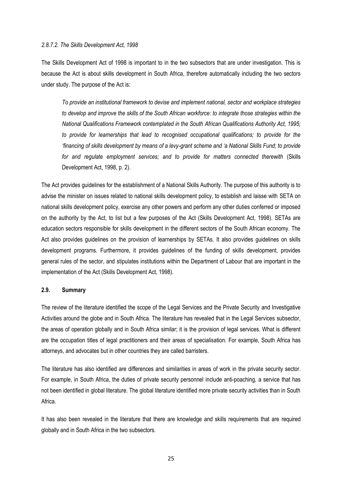#### *2.8.7.2. The Skills Development Act, 1998*

The Skills Development Act of 1998 is important to in the two subsectors that are under investigation. This is because the Act is about skills development in South Africa, therefore automatically including the two sectors under study. The purpose of the Act is:

*To provide an institutional framework to devise and implement national, sector and workplace strategies to develop and improve the skills of the South African workforce: to integrate those strategies within the National Qualifications Framework contemplated in the South African Qualifications Authority Act, 1995; to provide for learnerships that lead to recognised occupational qualifications; to provide for the 'financing of skills development by means of a levy-grant scheme and 'a National Skills Fund; to provide*  for and regulate employment services; and to provide for matters connected therewith (Skills Development Act, 1998, p. 2).

The Act provides guidelines for the establishment of a National Skills Authority. The purpose of this authority is to advise the minister on issues related to national skills development policy, to establish and laisse with SETA on national skills development policy, exercise any other powers and perform any other duties conferred or imposed on the authority by the Act, to list but a few purposes of the Act (Skills Development Act, 1998). SETAs are education sectors responsible for skills development in the different sectors of the South African economy. The Act also provides guidelines on the provision of learnerships by SETAs. It also provides guidelines on skills development programs. Furthermore, it provides guidelines of the funding of skills development, provides general rules of the sector, and stipulates institutions within the Department of Labour that are important in the implementation of the Act (Skills Development Act, 1998).

#### **2.9. Summary**

The review of the literature identified the scope of the Legal Services and the Private Security and Investigative Activities around the globe and in South Africa. The literature has revealed that in the Legal Services subsector, the areas of operation globally and in South Africa similar; it is the provision of legal services. What is different are the occupation titles of legal practitioners and their areas of specialisation. For example, South Africa has attorneys, and advocates but in other countries they are called barristers.

The literature has also identified are differences and similarities in areas of work in the private security sector. For example, in South Africa, the duties of private security personnel include anti-poaching, a service that has not been identified in global literature. The global literature identified more private security activities than in South Africa.

It has also been revealed in the literature that there are knowledge and skills requirements that are required globally and in South Africa in the two subsectors.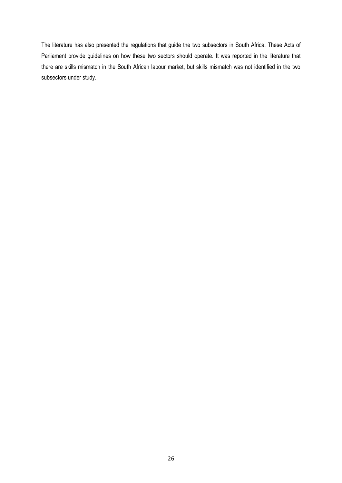The literature has also presented the regulations that guide the two subsectors in South Africa. These Acts of Parliament provide guidelines on how these two sectors should operate. It was reported in the literature that there are skills mismatch in the South African labour market, but skills mismatch was not identified in the two subsectors under study.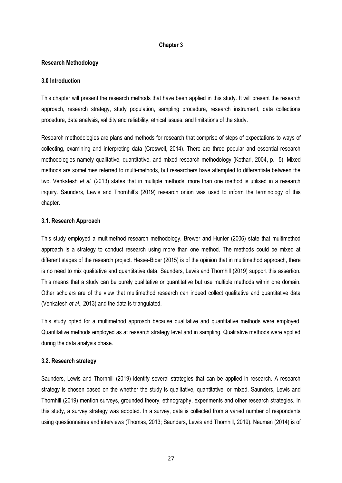#### **Chapter 3**

#### **Research Methodology**

#### **3.0 Introduction**

This chapter will present the research methods that have been applied in this study. It will present the research approach, research strategy, study population, sampling procedure, research instrument, data collections procedure, data analysis, validity and reliability, ethical issues, and limitations of the study.

Research methodologies are plans and methods for research that comprise of steps of expectations to ways of collecting, examining and interpreting data (Creswell, 2014). There are three popular and essential research methodologies namely qualitative, quantitative, and mixed research methodology (Kothari, 2004, p. 5). Mixed methods are sometimes referred to multi-methods, but researchers have attempted to differentiate between the two. Venkatesh *et al.* (2013) states that in multiple methods, more than one method is utilised in a research inquiry. Saunders, Lewis and Thornhill's (2019) research onion was used to inform the terminology of this chapter.

#### **3.1. Research Approach**

This study employed a multimethod research methodology. Brewer and Hunter (2006) state that multimethod approach is a strategy to conduct research using more than one method. The methods could be mixed at different stages of the research project. Hesse-Biber (2015) is of the opinion that in multimethod approach, there is no need to mix qualitative and quantitative data. Saunders, Lewis and Thornhill (2019) support this assertion. This means that a study can be purely qualitative or quantitative but use multiple methods within one domain. Other scholars are of the view that multimethod research can indeed collect qualitative and quantitative data (Venkatesh *et al.*, 2013) and the data is triangulated.

This study opted for a multimethod approach because qualitative and quantitative methods were employed. Quantitative methods employed as at research strategy level and in sampling. Qualitative methods were applied during the data analysis phase.

### **3.2. Research strategy**

Saunders, Lewis and Thornhill (2019) identify several strategies that can be applied in research. A research strategy is chosen based on the whether the study is qualitative, quantitative, or mixed. Saunders, Lewis and Thornhill (2019) mention surveys, grounded theory, ethnography, experiments and other research strategies. In this study, a survey strategy was adopted. In a survey, data is collected from a varied number of respondents using questionnaires and interviews (Thomas, 2013; Saunders, Lewis and Thornhill, 2019). Neuman (2014) is of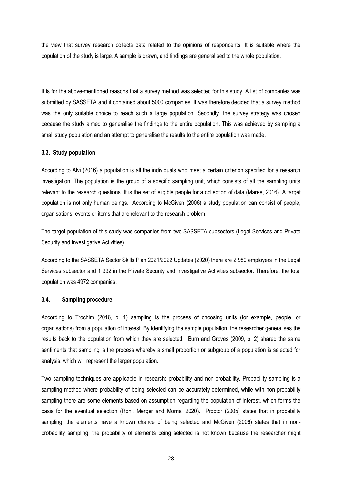the view that survey research collects data related to the opinions of respondents. It is suitable where the population of the study is large. A sample is drawn, and findings are generalised to the whole population.

It is for the above-mentioned reasons that a survey method was selected for this study. A list of companies was submitted by SASSETA and it contained about 5000 companies. It was therefore decided that a survey method was the only suitable choice to reach such a large population. Secondly, the survey strategy was chosen because the study aimed to generalise the findings to the entire population. This was achieved by sampling a small study population and an attempt to generalise the results to the entire population was made.

## **3.3. Study population**

According to Alvi (2016) a population is all the individuals who meet a certain criterion specified for a research investigation. The population is the group of a specific sampling unit, which consists of all the sampling units relevant to the research questions. It is the set of eligible people for a collection of data (Maree, 2016). A target population is not only human beings. According to McGiven (2006) a study population can consist of people, organisations, events or items that are relevant to the research problem.

The target population of this study was companies from two SASSETA subsectors (Legal Services and Private Security and Investigative Activities).

According to the SASSETA Sector Skills Plan 2021/2022 Updates (2020) there are 2 980 employers in the Legal Services subsector and 1 992 in the Private Security and Investigative Activities subsector. Therefore, the total population was 4972 companies.

## **3.4. Sampling procedure**

According to Trochim (2016, p. 1) sampling is the process of choosing units (for example, people, or organisations) from a population of interest. By identifying the sample population, the researcher generalises the results back to the population from which they are selected. Burn and Groves (2009, p. 2) shared the same sentiments that sampling is the process whereby a small proportion or subgroup of a population is selected for analysis, which will represent the larger population.

Two sampling techniques are applicable in research: probability and non-probability. Probability sampling is a sampling method where probability of being selected can be accurately determined, while with non-probability sampling there are some elements based on assumption regarding the population of interest, which forms the basis for the eventual selection (Roni, Merger and Morris, 2020). Proctor (2005) states that in probability sampling, the elements have a known chance of being selected and McGiven (2006) states that in nonprobability sampling, the probability of elements being selected is not known because the researcher might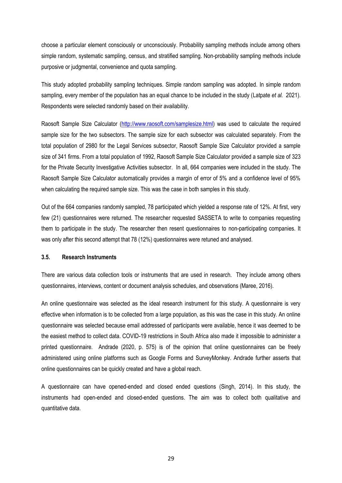choose a particular element consciously or unconsciously. Probability sampling methods include among others simple random, systematic sampling, census, and stratified sampling. Non-probability sampling methods include purposive or judgmental, convenience and quota sampling.

This study adopted probability sampling techniques. Simple random sampling was adopted. In simple random sampling, every member of the population has an equal chance to be included in the study (Latpate *et al.* 2021). Respondents were selected randomly based on their availability.

Raosoft Sample Size Calculator [\(http://www.raosoft.com/samplesize.html\)](http://www.raosoft.com/samplesize.html) was used to calculate the required sample size for the two subsectors. The sample size for each subsector was calculated separately. From the total population of 2980 for the Legal Services subsector, Raosoft Sample Size Calculator provided a sample size of 341 firms. From a total population of 1992, Raosoft Sample Size Calculator provided a sample size of 323 for the Private Security Investigative Activities subsector. In all, 664 companies were included in the study. The Raosoft Sample Size Calculator automatically provides a margin of error of 5% and a confidence level of 95% when calculating the required sample size. This was the case in both samples in this study.

Out of the 664 companies randomly sampled, 78 participated which yielded a response rate of 12%. At first, very few (21) questionnaires were returned. The researcher requested SASSETA to write to companies requesting them to participate in the study. The researcher then resent questionnaires to non-participating companies. It was only after this second attempt that 78 (12%) questionnaires were retuned and analysed.

### **3.5. Research Instruments**

There are various data collection tools or instruments that are used in research. They include among others questionnaires, interviews, content or document analysis schedules, and observations (Maree, 2016).

An online questionnaire was selected as the ideal research instrument for this study. A questionnaire is very effective when information is to be collected from a large population, as this was the case in this study. An online questionnaire was selected because email addressed of participants were available, hence it was deemed to be the easiest method to collect data. COVID-19 restrictions in South Africa also made it impossible to administer a printed questionnaire. Andrade (2020, p. 575) is of the opinion that online questionnaires can be freely administered using online platforms such as Google Forms and SurveyMonkey. Andrade further asserts that online questionnaires can be quickly created and have a global reach.

A questionnaire can have opened-ended and closed ended questions (Singh, 2014). In this study, the instruments had open-ended and closed-ended questions. The aim was to collect both qualitative and quantitative data.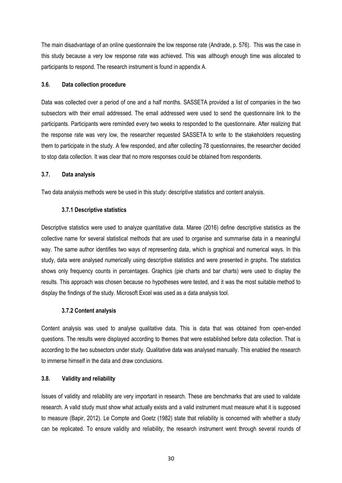The main disadvantage of an online questionnaire the low response rate (Andrade, p. 576). This was the case in this study because a very low response rate was achieved. This was although enough time was allocated to participants to respond. The research instrument is found in appendix A.

## **3.6. Data collection procedure**

Data was collected over a period of one and a half months. SASSETA provided a list of companies in the two subsectors with their email addressed. The email addressed were used to send the questionnaire link to the participants. Participants were reminded every two weeks to responded to the questionnaire. After realizing that the response rate was very low, the researcher requested SASSETA to write to the stakeholders requesting them to participate in the study. A few responded, and after collecting 78 questionnaires, the researcher decided to stop data collection. It was clear that no more responses could be obtained from respondents.

## **3.7. Data analysis**

Two data analysis methods were be used in this study: descriptive statistics and content analysis.

### **3.7.1 Descriptive statistics**

Descriptive statistics were used to analyze quantitative data. Maree (2016) define descriptive statistics as the collective name for several statistical methods that are used to organise and summarise data in a meaningful way. The same author identifies two ways of representing data, which is graphical and numerical ways. In this study, data were analysed numerically using descriptive statistics and were presented in graphs. The statistics shows only frequency counts in percentages. Graphics (pie charts and bar charts) were used to display the results. This approach was chosen because no hypotheses were tested, and it was the most suitable method to display the findings of the study. Microsoft Excel was used as a data analysis tool.

### **3.7.2 Content analysis**

Content analysis was used to analyse qualitative data. This is data that was obtained from open-ended questions. The results were displayed according to themes that were established before data collection. That is according to the two subsectors under study. Qualitative data was analysed manually. This enabled the research to immerse himself in the data and draw conclusions.

### **3.8. Validity and reliability**

Issues of validity and reliability are very important in research. These are benchmarks that are used to validate research. A valid study must show what actually exists and a valid instrument must measure what it is supposed to measure (Bapir, 2012). Le Compte and Goetz (1982) state that reliability is concerned with whether a study can be replicated. To ensure validity and reliability, the research instrument went through several rounds of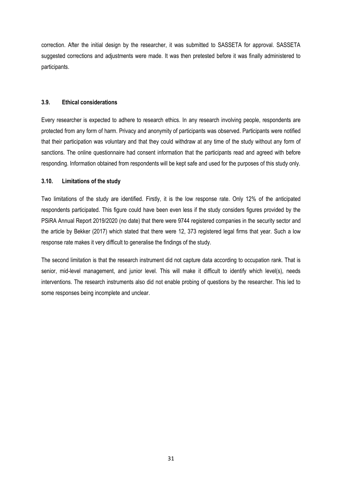correction. After the initial design by the researcher, it was submitted to SASSETA for approval. SASSETA suggested corrections and adjustments were made. It was then pretested before it was finally administered to participants.

## **3.9. Ethical considerations**

Every researcher is expected to adhere to research ethics. In any research involving people, respondents are protected from any form of harm. Privacy and anonymity of participants was observed. Participants were notified that their participation was voluntary and that they could withdraw at any time of the study without any form of sanctions. The online questionnaire had consent information that the participants read and agreed with before responding. Information obtained from respondents will be kept safe and used for the purposes of this study only.

## **3.10. Limitations of the study**

Two limitations of the study are identified. Firstly, it is the low response rate. Only 12% of the anticipated respondents participated. This figure could have been even less if the study considers figures provided by the PSiRA Annual Report 2019/2020 (no date) that there were 9744 registered companies in the security sector and the article by Bekker (2017) which stated that there were 12, 373 registered legal firms that year. Such a low response rate makes it very difficult to generalise the findings of the study.

The second limitation is that the research instrument did not capture data according to occupation rank. That is senior, mid-level management, and junior level. This will make it difficult to identify which level(s), needs interventions. The research instruments also did not enable probing of questions by the researcher. This led to some responses being incomplete and unclear.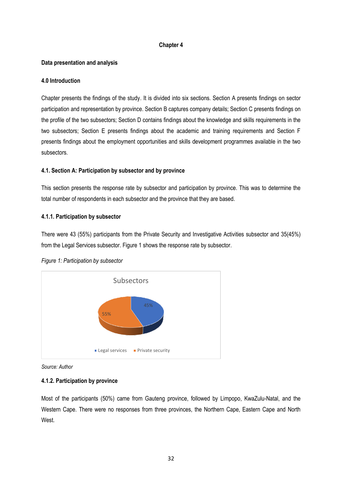## **Chapter 4**

# **Data presentation and analysis**

## **4.0 Introduction**

Chapter presents the findings of the study. It is divided into six sections. Section A presents findings on sector participation and representation by province. Section B captures company details; Section C presents findings on the profile of the two subsectors; Section D contains findings about the knowledge and skills requirements in the two subsectors; Section E presents findings about the academic and training requirements and Section F presents findings about the employment opportunities and skills development programmes available in the two subsectors.

# **4.1. Section A: Participation by subsector and by province**

This section presents the response rate by subsector and participation by province. This was to determine the total number of respondents in each subsector and the province that they are based.

# **4.1.1. Participation by subsector**

There were 43 (55%) participants from the Private Security and Investigative Activities subsector and 35(45%) from the Legal Services subsector. Figure 1 shows the response rate by subsector.



## *Figure 1: Participation by subsector*

*Source: Author* 

# **4.1.2. Participation by province**

Most of the participants (50%) came from Gauteng province, followed by Limpopo, KwaZulu-Natal, and the Western Cape. There were no responses from three provinces, the Northern Cape, Eastern Cape and North West.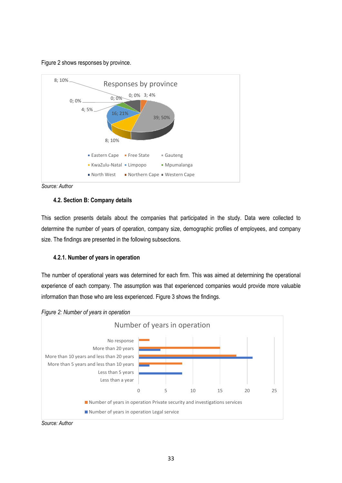### Figure 2 shows responses by province.



*Source: Author*

# **4.2. Section B: Company details**

This section presents details about the companies that participated in the study. Data were collected to determine the number of years of operation, company size, demographic profiles of employees, and company size. The findings are presented in the following subsections.

# **4.2.1. Number of years in operation**

The number of operational years was determined for each firm. This was aimed at determining the operational experience of each company. The assumption was that experienced companies would provide more valuable information than those who are less experienced. Figure 3 shows the findings.





*Source: Author*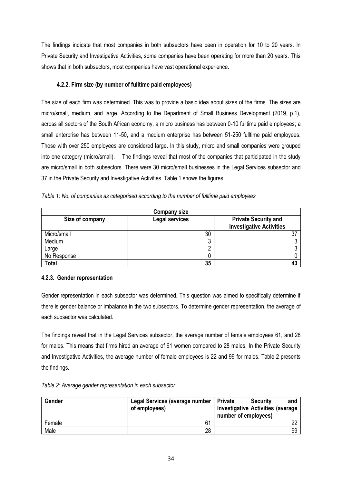The findings indicate that most companies in both subsectors have been in operation for 10 to 20 years. In Private Security and Investigative Activities, some companies have been operating for more than 20 years. This shows that in both subsectors, most companies have vast operational experience.

# **4.2.2. Firm size (by number of fulltime paid employees)**

The size of each firm was determined. This was to provide a basic idea about sizes of the firms. The sizes are micro/small, medium, and large. According to the Department of Small Business Development (2019, p.1), across all sectors of the South African economy, a micro business has between 0-10 fulltime paid employees; a small enterprise has between 11-50, and a medium enterprise has between 51-250 fulltime paid employees. Those with over 250 employees are considered large. In this study, micro and small companies were grouped into one category (micro/small). The findings reveal that most of the companies that participated in the study are micro/small in both subsectors. There were 30 micro/small businesses in the Legal Services subsector and 37 in the Private Security and Investigative Activities. Table 1 shows the figures.

*Table 1: No. of companies as categorised according to the number of fulltime paid employees* 

| <b>Company size</b> |                       |                                                                |
|---------------------|-----------------------|----------------------------------------------------------------|
| Size of company     | <b>Legal services</b> | <b>Private Security and</b><br><b>Investigative Activities</b> |
| Micro/small         | 30                    |                                                                |
| Medium              | າ<br>ບ                |                                                                |
| Large               |                       |                                                                |
| No Response         |                       |                                                                |
| <b>Total</b>        | 35                    |                                                                |

# **4.2.3. Gender representation**

Gender representation in each subsector was determined. This question was aimed to specifically determine if there is gender balance or imbalance in the two subsectors. To determine gender representation, the average of each subsector was calculated.

The findings reveal that in the Legal Services subsector, the average number of female employees 61, and 28 for males. This means that firms hired an average of 61 women compared to 28 males. In the Private Security and Investigative Activities, the average number of female employees is 22 and 99 for males. Table 2 presents the findings.

*Table 2: Average gender representation in each subsector*

| Gender | Legal Services (average number<br>of employees) | <b>∣ Private</b><br><b>Security</b><br>and<br><b>Investigative Activities (average</b><br>number of employees) |
|--------|-------------------------------------------------|----------------------------------------------------------------------------------------------------------------|
| Female | 61                                              |                                                                                                                |
| Male   | 28                                              | 99                                                                                                             |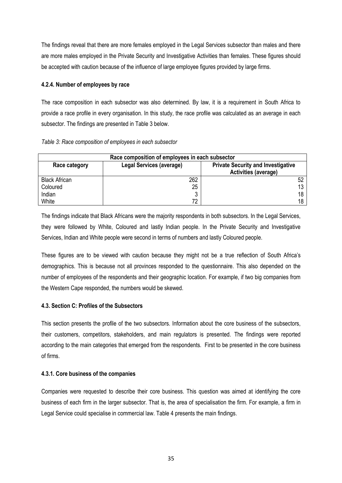The findings reveal that there are more females employed in the Legal Services subsector than males and there are more males employed in the Private Security and Investigative Activities than females. These figures should be accepted with caution because of the influence of large employee figures provided by large firms.

# **4.2.4. Number of employees by race**

The race composition in each subsector was also determined. By law, it is a requirement in South Africa to provide a race profile in every organisation. In this study, the race profile was calculated as an average in each subsector. The findings are presented in Table 3 below.

| Race composition of employees in each subsector |                          |                                                                          |
|-------------------------------------------------|--------------------------|--------------------------------------------------------------------------|
| Race category                                   | Legal Services (average) | <b>Private Security and Investigative</b><br><b>Activities (average)</b> |
| <b>Black African</b>                            | 262                      |                                                                          |
| Coloured                                        | 25                       |                                                                          |
| Indian                                          |                          | 18                                                                       |
| White                                           | 72                       | 18                                                                       |

The findings indicate that Black Africans were the majority respondents in both subsectors. In the Legal Services, they were followed by White, Coloured and lastly Indian people. In the Private Security and Investigative Services, Indian and White people were second in terms of numbers and lastly Coloured people.

These figures are to be viewed with caution because they might not be a true reflection of South Africa's demographics. This is because not all provinces responded to the questionnaire. This also depended on the number of employees of the respondents and their geographic location. For example, if two big companies from the Western Cape responded, the numbers would be skewed.

# **4.3. Section C: Profiles of the Subsectors**

This section presents the profile of the two subsectors. Information about the core business of the subsectors, their customers, competitors, stakeholders, and main regulators is presented. The findings were reported according to the main categories that emerged from the respondents. First to be presented in the core business of firms.

# **4.3.1. Core business of the companies**

Companies were requested to describe their core business. This question was aimed at identifying the core business of each firm in the larger subsector. That is, the area of specialisation the firm. For example, a firm in Legal Service could specialise in commercial law. Table 4 presents the main findings.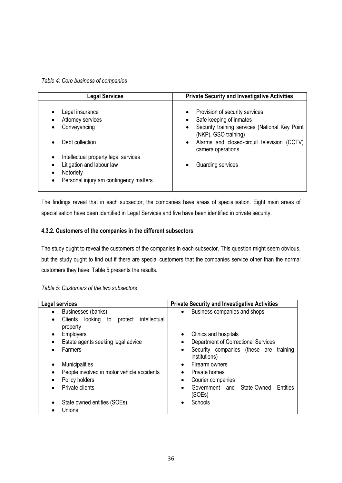*Table 4: Core business of companies*

| <b>Legal Services</b>                             | <b>Private Security and Investigative Activities</b>                   |
|---------------------------------------------------|------------------------------------------------------------------------|
|                                                   |                                                                        |
| Legal insurance                                   | Provision of security services<br>$\bullet$                            |
| Attorney services                                 | Safe keeping of inmates<br>$\bullet$                                   |
| Conveyancing                                      | Security training services (National Key Point<br>(NKP), GSO training) |
| Debt collection<br>$\bullet$                      | • Alarms and closed-circuit television (CCTV)<br>camera operations     |
| Intellectual property legal services<br>$\bullet$ |                                                                        |
| Litigation and labour law                         | Guarding services                                                      |
| Notoriety                                         |                                                                        |
| Personal injury am contingency matters            |                                                                        |

The findings reveal that in each subsector, the companies have areas of specialisation. Eight main areas of specialisation have been identified in Legal Services and five have been identified in private security.

# **4.3.2. Customers of the companies in the different subsectors**

The study ought to reveal the customers of the companies in each subsector. This question might seem obvious, but the study ought to find out if there are special customers that the companies service other than the normal customers they have. Table 5 presents the results.

|  | Table 5: Customers of the two subsectors |
|--|------------------------------------------|
|--|------------------------------------------|

| Legal services                                                | <b>Private Security and Investigative Activities</b>   |
|---------------------------------------------------------------|--------------------------------------------------------|
| Businesses (banks)<br>$\bullet$                               | Business companies and shops<br>$\bullet$              |
| Clients looking<br>intellectual<br>protect<br>to<br>$\bullet$ |                                                        |
| property                                                      |                                                        |
| <b>Employers</b><br>$\bullet$                                 | Clinics and hospitals<br>$\bullet$                     |
| Estate agents seeking legal advice                            | Department of Correctional Services<br>$\bullet$       |
| Farmers                                                       | Security companies (these are training<br>$\bullet$    |
|                                                               | institutions)                                          |
| <b>Municipalities</b>                                         | Firearm owners<br>$\bullet$                            |
| People involved in motor vehicle accidents                    | Private homes<br>$\bullet$                             |
| Policy holders                                                | Courier companies<br>$\bullet$                         |
| Private clients                                               | State-Owned<br>Government and<br>Entities<br>$\bullet$ |
|                                                               | (SOEs)                                                 |
| State owned entities (SOEs)                                   | Schools                                                |
| Unions                                                        |                                                        |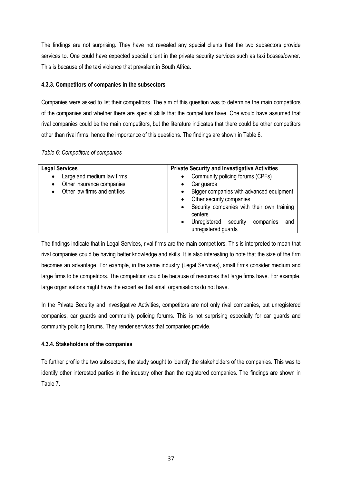The findings are not surprising. They have not revealed any special clients that the two subsectors provide services to. One could have expected special client in the private security services such as taxi bosses/owner. This is because of the taxi violence that prevalent in South Africa.

# **4.3.3. Competitors of companies in the subsectors**

Companies were asked to list their competitors. The aim of this question was to determine the main competitors of the companies and whether there are special skills that the competitors have. One would have assumed that rival companies could be the main competitors, but the literature indicates that there could be other competitors other than rival firms, hence the importance of this questions. The findings are shown in Table 6.

|  | Table 6: Competitors of companies |  |
|--|-----------------------------------|--|
|  |                                   |  |

| <b>Legal Services</b>                                                | <b>Private Security and Investigative Activities</b>                                                                                                                                                                           |
|----------------------------------------------------------------------|--------------------------------------------------------------------------------------------------------------------------------------------------------------------------------------------------------------------------------|
| Large and medium law firms<br>$\bullet$<br>Other insurance companies | Community policing forums (CPFs)<br>$\bullet$<br>Car guards                                                                                                                                                                    |
| Other law firms and entities                                         | Bigger companies with advanced equipment<br>Other security companies<br>Security companies with their own training<br>$\bullet$<br>centers<br>Unregistered<br>security<br>companies<br>and<br>$\bullet$<br>unregistered guards |

The findings indicate that in Legal Services, rival firms are the main competitors. This is interpreted to mean that rival companies could be having better knowledge and skills. It is also interesting to note that the size of the firm becomes an advantage. For example, in the same industry (Legal Services), small firms consider medium and large firms to be competitors. The competition could be because of resources that large firms have. For example, large organisations might have the expertise that small organisations do not have.

In the Private Security and Investigative Activities, competitors are not only rival companies, but unregistered companies, car guards and community policing forums. This is not surprising especially for car guards and community policing forums. They render services that companies provide.

# **4.3.4. Stakeholders of the companies**

To further profile the two subsectors, the study sought to identify the stakeholders of the companies. This was to identify other interested parties in the industry other than the registered companies. The findings are shown in Table 7.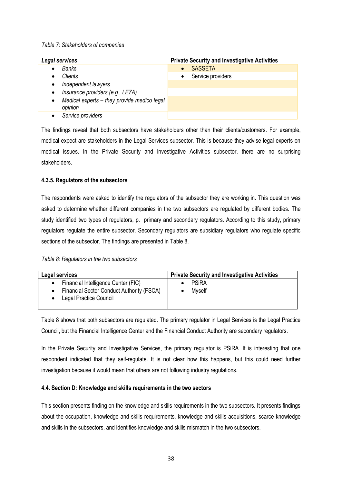## *Table 7: Stakeholders of companies*

| Legal services                                                      | <b>Private Security and Investigative Activities</b> |
|---------------------------------------------------------------------|------------------------------------------------------|
| Banks                                                               | <b>SASSETA</b>                                       |
| <b>Clients</b>                                                      | Service providers<br>$\bullet$                       |
| Independent lawyers<br>$\bullet$                                    |                                                      |
| Insurance providers (e.g., LEZA)<br>$\bullet$                       |                                                      |
| Medical experts - they provide medico legal<br>$\bullet$<br>opinion |                                                      |
| Service providers                                                   |                                                      |

The findings reveal that both subsectors have stakeholders other than their clients/customers. For example, medical expect are stakeholders in the Legal Services subsector. This is because they advise legal experts on medical issues. In the Private Security and Investigative Activities subsector, there are no surprising stakeholders.

## **4.3.5. Regulators of the subsectors**

The respondents were asked to identify the regulators of the subsector they are working in. This question was asked to determine whether different companies in the two subsectors are regulated by different bodies. The study identified two types of regulators, p. primary and secondary regulators. According to this study, primary regulators regulate the entire subsector. Secondary regulators are subsidiary regulators who regulate specific sections of the subsector. The findings are presented in Table 8.

| Table 8: Regulators in the two subsectors |  |  |  |  |
|-------------------------------------------|--|--|--|--|
|-------------------------------------------|--|--|--|--|

| Legal services                                                                                             | <b>Private Security and Investigative Activities</b> |
|------------------------------------------------------------------------------------------------------------|------------------------------------------------------|
| Financial Intelligence Center (FIC)<br>Financial Sector Conduct Authority (FSCA)<br>Legal Practice Council | <b>PSiRA</b><br><b>Myself</b>                        |
|                                                                                                            |                                                      |

Table 8 shows that both subsectors are regulated. The primary regulator in Legal Services is the Legal Practice Council, but the Financial Intelligence Center and the Financial Conduct Authority are secondary regulators.

In the Private Security and Investigative Services, the primary regulator is PSiRA. It is interesting that one respondent indicated that they self-regulate. It is not clear how this happens, but this could need further investigation because it would mean that others are not following industry regulations.

## **4.4. Section D: Knowledge and skills requirements in the two sectors**

This section presents finding on the knowledge and skills requirements in the two subsectors. It presents findings about the occupation, knowledge and skills requirements, knowledge and skills acquisitions, scarce knowledge and skills in the subsectors, and identifies knowledge and skills mismatch in the two subsectors.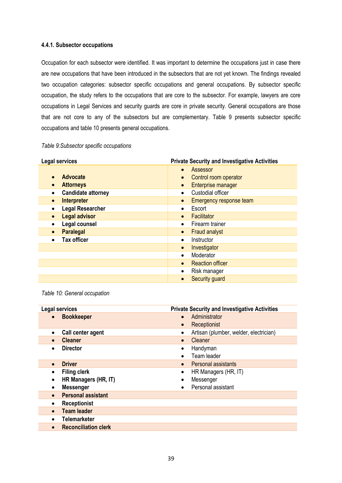## **4.4.1. Subsector occupations**

Occupation for each subsector were identified. It was important to determine the occupations just in case there are new occupations that have been introduced in the subsectors that are not yet known. The findings revealed two occupation categories: subsector specific occupations and general occupations. By subsector specific occupation, the study refers to the occupations that are core to the subsector. For example, lawyers are core occupations in Legal Services and security guards are core in private security. General occupations are those that are not core to any of the subsectors but are complementary. Table 9 presents subsector specific occupations and table 10 presents general occupations.

## *Table 9:Subsector specific occupations*

| <b>Legal services</b>             | <b>Private Security and Investigative Activities</b> |
|-----------------------------------|------------------------------------------------------|
|                                   | Assessor<br>$\bullet$                                |
| <b>Advocate</b>                   | Control room operator<br>$\bullet$                   |
| <b>Attorneys</b>                  | Enterprise manager<br>$\bullet$                      |
| <b>Candidate attorney</b>         | Custodial officer<br>$\bullet$                       |
| Interpreter<br>$\bullet$          | Emergency response team<br>$\bullet$                 |
| <b>Legal Researcher</b>           | Escort<br>$\bullet$                                  |
| <b>Legal advisor</b><br>$\bullet$ | Facilitator<br>$\bullet$                             |
| Legal counsel                     | Firearm trainer<br>$\bullet$                         |
| <b>Paralegal</b>                  | <b>Fraud analyst</b><br>$\bullet$                    |
| <b>Tax officer</b>                | Instructor<br>$\bullet$                              |
|                                   | Investigator<br>$\bullet$                            |
|                                   | Moderator<br>$\bullet$                               |
|                                   | <b>Reaction officer</b><br>$\bullet$                 |
|                                   | Risk manager<br>$\bullet$                            |
|                                   | Security guard<br>$\bullet$                          |

*Table 10: General occupation*

| <b>Legal services</b> |                             |           | <b>Private Security and Investigative Activities</b> |
|-----------------------|-----------------------------|-----------|------------------------------------------------------|
| $\bullet$             | <b>Bookkeeper</b>           | $\bullet$ | Administrator                                        |
|                       |                             |           | Receptionist                                         |
| $\bullet$             | Call center agent           |           | Artisan (plumber, welder, electrician)               |
| $\bullet$             | <b>Cleaner</b>              |           | Cleaner                                              |
| $\bullet$             | <b>Director</b>             |           | Handyman                                             |
|                       |                             |           | Team leader                                          |
| $\bullet$             | <b>Driver</b>               |           | Personal assistants                                  |
|                       | <b>Filing clerk</b>         | $\bullet$ | HR Managers (HR, IT)                                 |
| ٠                     | HR Managers (HR, IT)        |           | Messenger                                            |
| $\bullet$             | <b>Messenger</b>            |           | Personal assistant                                   |
| $\bullet$             | <b>Personal assistant</b>   |           |                                                      |
| $\bullet$             | <b>Receptionist</b>         |           |                                                      |
| $\bullet$             | <b>Team leader</b>          |           |                                                      |
| $\bullet$             | <b>Telemarketer</b>         |           |                                                      |
| $\bullet$             | <b>Reconciliation clerk</b> |           |                                                      |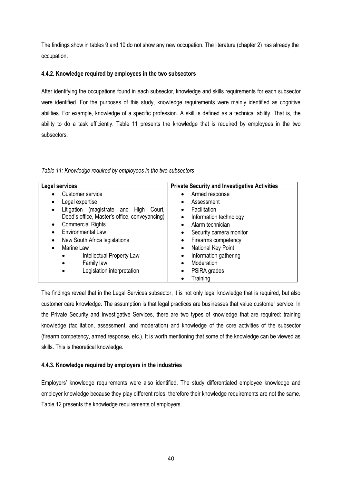The findings show in tables 9 and 10 do not show any new occupation. The literature (chapter 2) has already the occupation.

## **4.4.2. Knowledge required by employees in the two subsectors**

After identifying the occupations found in each subsector, knowledge and skills requirements for each subsector were identified. For the purposes of this study, knowledge requirements were mainly identified as cognitive abilities. For example, knowledge of a specific profession. A skill is defined as a technical ability. That is, the ability to do a task efficiently. Table 11 presents the knowledge that is required by employees in the two subsectors.

*Table 11: Knowledge required by employees in the two subsectors*

| Legal services                                | <b>Private Security and Investigative Activities</b> |
|-----------------------------------------------|------------------------------------------------------|
| Customer service                              | Armed response<br>$\bullet$                          |
| Legal expertise                               | Assessment                                           |
| Litigation (magistrate and High<br>Court.     | Facilitation                                         |
| Deed's office, Master's office, conveyancing) | Information technology                               |
| <b>Commercial Rights</b>                      | Alarm technician                                     |
| <b>Environmental Law</b>                      | Security camera monitor                              |
| New South Africa legislations                 | Firearms competency                                  |
| Marine Law                                    | National Key Point<br>$\bullet$                      |
| Intellectual Property Law<br>$\bullet$        | Information gathering                                |
| Family law<br>$\bullet$                       | Moderation<br>$\bullet$                              |
| Legislation interpretation<br>$\bullet$       | PSiRA grades                                         |
|                                               | Training                                             |

The findings reveal that in the Legal Services subsector, it is not only legal knowledge that is required, but also customer care knowledge. The assumption is that legal practices are businesses that value customer service. In the Private Security and Investigative Services, there are two types of knowledge that are required: training knowledge (facilitation, assessment, and moderation) and knowledge of the core activities of the subsector (firearm competency, armed response, etc.). It is worth mentioning that some of the knowledge can be viewed as skills. This is theoretical knowledge.

# **4.4.3. Knowledge required by employers in the industries**

Employers' knowledge requirements were also identified. The study differentiated employee knowledge and employer knowledge because they play different roles, therefore their knowledge requirements are not the same. Table 12 presents the knowledge requirements of employers.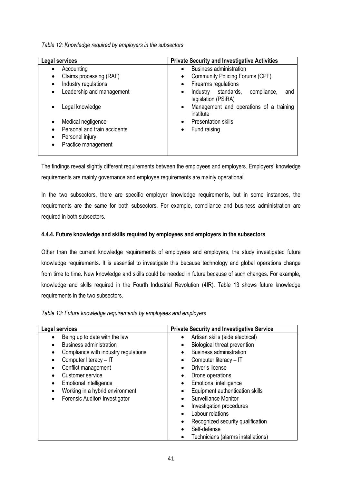*Table 12: Knowledge required by employers in the subsectors*

| <b>Legal services</b>        | <b>Private Security and Investigative Activities</b>                             |
|------------------------------|----------------------------------------------------------------------------------|
| Accounting                   | <b>Business administration</b><br>$\bullet$                                      |
| Claims processing (RAF)      | <b>Community Policing Forums (CPF)</b><br>٠                                      |
| Industry regulations         | Firearms regulations<br>٠                                                        |
| Leadership and management    | standards,<br>Industry<br>compliance,<br>and<br>$\bullet$<br>legislation (PSiRA) |
| Legal knowledge              | Management and operations of a training<br>$\bullet$<br>institute                |
| Medical negligence           | <b>Presentation skills</b><br>$\bullet$                                          |
| Personal and train accidents | Fund raising<br>$\bullet$                                                        |
| Personal injury              |                                                                                  |
| Practice management          |                                                                                  |

The findings reveal slightly different requirements between the employees and employers. Employers' knowledge requirements are mainly governance and employee requirements are mainly operational.

In the two subsectors, there are specific employer knowledge requirements, but in some instances, the requirements are the same for both subsectors. For example, compliance and business administration are required in both subsectors.

# **4.4.4. Future knowledge and skills required by employees and employers in the subsectors**

Other than the current knowledge requirements of employees and employers, the study investigated future knowledge requirements. It is essential to investigate this because technology and global operations change from time to time. New knowledge and skills could be needed in future because of such changes. For example, knowledge and skills required in the Fourth Industrial Revolution (4IR). Table 13 shows future knowledge requirements in the two subsectors.

| Table 13: Future knowledge requirements by employees and employers |  |
|--------------------------------------------------------------------|--|
|--------------------------------------------------------------------|--|

| Legal services                               | <b>Private Security and Investigative Service</b> |
|----------------------------------------------|---------------------------------------------------|
| Being up to date with the law<br>$\bullet$   | Artisan skills (aide electrical)<br>$\bullet$     |
| <b>Business administration</b>               | Biological threat prevention                      |
| Compliance with industry regulations<br>٠    | <b>Business administration</b><br>$\bullet$       |
| Computer literacy - IT<br>٠                  | Computer literacy - IT                            |
| Conflict management<br>$\bullet$             | Driver's license<br>$\bullet$                     |
| Customer service                             | Drone operations                                  |
| Emotional intelligence<br>$\bullet$          | Emotional intelligence<br>$\bullet$               |
| Working in a hybrid environment<br>$\bullet$ | Equipment authentication skills                   |
| Forensic Auditor/ Investigator<br>$\bullet$  | Surveillance Monitor<br>$\bullet$                 |
|                                              | Investigation procedures                          |
|                                              | Labour relations                                  |
|                                              | Recognized security qualification<br>$\bullet$    |
|                                              | Self-defense                                      |
|                                              | Technicians (alarms installations)                |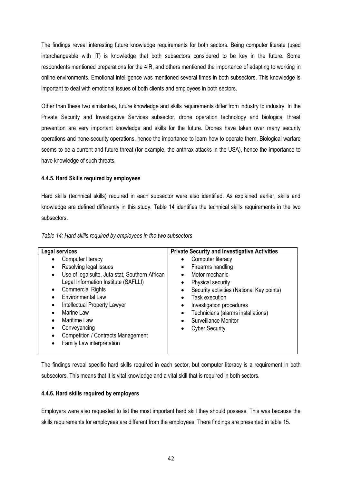The findings reveal interesting future knowledge requirements for both sectors. Being computer literate (used interchangeable with IT) is knowledge that both subsectors considered to be key in the future. Some respondents mentioned preparations for the 4IR, and others mentioned the importance of adapting to working in online environments. Emotional intelligence was mentioned several times in both subsectors. This knowledge is important to deal with emotional issues of both clients and employees in both sectors.

Other than these two similarities, future knowledge and skills requirements differ from industry to industry. In the Private Security and Investigative Services subsector, drone operation technology and biological threat prevention are very important knowledge and skills for the future. Drones have taken over many security operations and none-security operations, hence the importance to learn how to operate them. Biological warfare seems to be a current and future threat (for example, the anthrax attacks in the USA), hence the importance to have knowledge of such threats.

## **4.4.5. Hard Skills required by employees**

Hard skills (technical skills) required in each subsector were also identified. As explained earlier, skills and knowledge are defined differently in this study. Table 14 identifies the technical skills requirements in the two subsectors.

*Table 14: Hard skills required by employees in the two subsectors*

The findings reveal specific hard skills required in each sector, but computer literacy is a requirement in both subsectors. This means that it is vital knowledge and a vital skill that is required in both sectors.

## **4.4.6. Hard skills required by employers**

Employers were also requested to list the most important hard skill they should possess. This was because the skills requirements for employees are different from the employees. There findings are presented in table 15.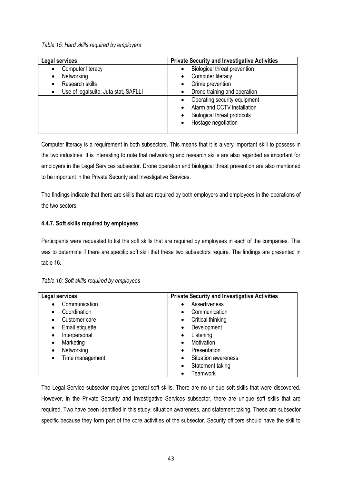*Table 15: Hard skills required by employers*

| Legal services                                    | <b>Private Security and Investigative Activities</b> |
|---------------------------------------------------|------------------------------------------------------|
| Computer literacy                                 | Biological threat prevention<br>$\bullet$            |
| Networking<br>٠                                   | Computer literacy<br>$\bullet$                       |
| Research skills                                   | Crime prevention<br>$\bullet$                        |
| Use of legalsuite, Juta stat, SAFLLI<br>$\bullet$ | Drone training and operation<br>٠                    |
|                                                   | Operating security equipment<br>$\bullet$            |
|                                                   | Alarm and CCTV installation<br>$\bullet$             |
|                                                   | <b>Biological threat protocols</b>                   |
|                                                   | Hostage negotiation<br>$\bullet$                     |
|                                                   |                                                      |

Computer literacy is a requirement in both subsectors. This means that it is a very important skill to possess in the two industries. It is interesting to note that networking and research skills are also regarded as important for employers in the Legal Services subsector. Drone operation and biological threat prevention are also mentioned to be important in the Private Security and Investigative Services.

The findings indicate that there are skills that are required by both employers and employees in the operations of the two sectors.

# **4.4.7. Soft skills required by employees**

Participants were requested to list the soft skills that are required by employees in each of the companies. This was to determine if there are specific soft skill that these two subsectors require. The findings are presented in table 16.

| Legal services  | <b>Private Security and Investigative Activities</b> |
|-----------------|------------------------------------------------------|
| Communication   | Assertiveness<br>$\bullet$                           |
| Coordination    | Communication                                        |
| ٠               | $\bullet$                                            |
| Customer care   | Critical thinking                                    |
|                 | $\bullet$                                            |
| Email etiquette | Development                                          |
| ٠               | $\bullet$                                            |
| Interpersonal   | Listening                                            |
| ٠               | $\bullet$                                            |
| Marketing       | Motivation                                           |
| ٠               | $\bullet$                                            |
| Networking      | Presentation                                         |
|                 | $\bullet$                                            |
| Time management | Situation awareness                                  |
|                 | $\bullet$                                            |
|                 | Statement taking<br>$\bullet$                        |
|                 | Teamwork<br>$\bullet$                                |

*Table 16: Soft skills required by employees*

The Legal Service subsector requires general soft skills. There are no unique soft skills that were discovered. However, in the Private Security and Investigative Services subsector, there are unique soft skills that are required. Two have been identified in this study: situation awareness, and statement taking. These are subsector specific because they form part of the core activities of the subsector. Security officers should have the skill to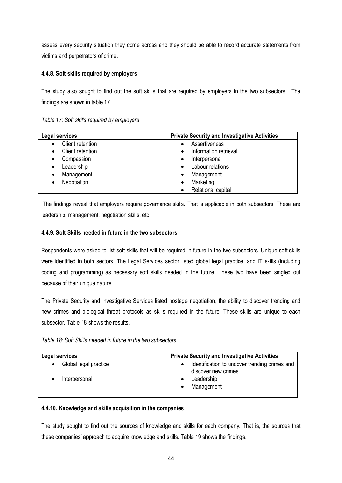assess every security situation they come across and they should be able to record accurate statements from victims and perpetrators of crime.

# **4.4.8. Soft skills required by employers**

The study also sought to find out the soft skills that are required by employers in the two subsectors. The findings are shown in table 17.

| Table 17: Soft skills required by employers |  |  |  |  |  |  |  |  |  |  |
|---------------------------------------------|--|--|--|--|--|--|--|--|--|--|
|---------------------------------------------|--|--|--|--|--|--|--|--|--|--|

| Legal services   | <b>Private Security and Investigative Activities</b> |
|------------------|------------------------------------------------------|
| Client retention | Assertiveness                                        |
| Client retention | Information retrieval                                |
| Compassion       | Interpersonal                                        |
| Leadership       | Labour relations                                     |
| Management       | Management                                           |
| Negotiation      | Marketing                                            |
|                  | Relational capital                                   |

The findings reveal that employers require governance skills. That is applicable in both subsectors. These are leadership, management, negotiation skills, etc.

# **4.4.9. Soft Skills needed in future in the two subsectors**

Respondents were asked to list soft skills that will be required in future in the two subsectors. Unique soft skills were identified in both sectors. The Legal Services sector listed global legal practice, and IT skills (including coding and programming) as necessary soft skills needed in the future. These two have been singled out because of their unique nature.

The Private Security and Investigative Services listed hostage negotiation, the ability to discover trending and new crimes and biological threat protocols as skills required in the future. These skills are unique to each subsector. Table 18 shows the results.

| Table 18: Soft Skills needed in future in the two subsectors |  |  |
|--------------------------------------------------------------|--|--|
|--------------------------------------------------------------|--|--|

| Legal services                     | <b>Private Security and Investigative Activities</b>                              |  |
|------------------------------------|-----------------------------------------------------------------------------------|--|
| Global legal practice<br>$\bullet$ | Identification to uncover trending crimes and<br>$\bullet$<br>discover new crimes |  |
| Interpersonal                      | Leadership<br>Management                                                          |  |

# **4.4.10. Knowledge and skills acquisition in the companies**

The study sought to find out the sources of knowledge and skills for each company. That is, the sources that these companies' approach to acquire knowledge and skills. Table 19 shows the findings.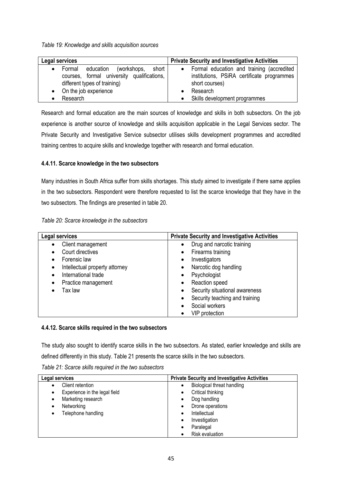*Table 19: Knowledge and skills acquisition sources*

| Legal services                                                                                                                   | <b>Private Security and Investigative Activities</b>                                                                   |
|----------------------------------------------------------------------------------------------------------------------------------|------------------------------------------------------------------------------------------------------------------------|
| (workshops,<br>short  <br>education<br>Formal<br>٠<br>courses, formal university qualifications,<br>different types of training) | Formal education and training (accredited<br>$\bullet$<br>institutions, PSiRA certificate programmes<br>short courses) |
| • On the job experience<br>Research                                                                                              | Research<br>Skills development programmes                                                                              |

Research and formal education are the main sources of knowledge and skills in both subsectors. On the job experience is another source of knowledge and skills acquisition applicable in the Legal Services sector. The Private Security and Investigative Service subsector utilises skills development programmes and accredited training centres to acquire skills and knowledge together with research and formal education.

# **4.4.11. Scarce knowledge in the two subsectors**

Many industries in South Africa suffer from skills shortages. This study aimed to investigate if there same applies in the two subsectors. Respondent were therefore requested to list the scarce knowledge that they have in the two subsectors. The findings are presented in table 20.

| Table 20: Scarce knowledge in the subsectors |  |  |  |
|----------------------------------------------|--|--|--|
|----------------------------------------------|--|--|--|

| Legal services                      | <b>Private Security and Investigative Activities</b> |
|-------------------------------------|------------------------------------------------------|
| Client management                   | Drug and narcotic training                           |
| Court directives                    | Firearms training<br>$\bullet$                       |
| Forensic law                        | Investigators<br>$\bullet$                           |
| Intellectual property attorney<br>٠ | Narcotic dog handling                                |
| International trade                 | Psychologist                                         |
| Practice management                 | Reaction speed<br>$\bullet$                          |
| Tax law                             | Security situational awareness                       |
|                                     | Security teaching and training                       |
|                                     | Social workers                                       |
|                                     | <b>VIP</b> protection                                |

# **4.4.12. Scarce skills required in the two subsectors**

The study also sought to identify scarce skills in the two subsectors. As stated, earlier knowledge and skills are defined differently in this study. Table 21 presents the scarce skills in the two subsectors.

*Table 21: Scarce skills required in the two subsectors*

| Legal services                     | <b>Private Security and Investigative Activities</b> |
|------------------------------------|------------------------------------------------------|
| Client retention                   | Biological threat handling                           |
| Experience in the legal field<br>٠ | Critical thinking                                    |
| Marketing research<br>٠            | Dog handling<br>$\bullet$                            |
| Networking<br>٠                    | Drone operations<br>$\bullet$                        |
| Telephone handling<br>٠            | Intellectual                                         |
|                                    | Investigation<br>$\bullet$                           |
|                                    | Paralegal                                            |
|                                    | <b>Risk evaluation</b>                               |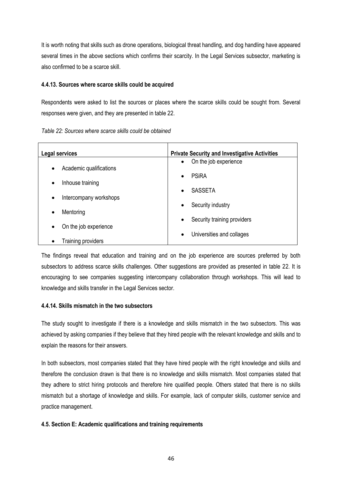It is worth noting that skills such as drone operations, biological threat handling, and dog handling have appeared several times in the above sections which confirms their scarcity. In the Legal Services subsector, marketing is also confirmed to be a scarce skill.

## **4.4.13. Sources where scarce skills could be acquired**

Respondents were asked to list the sources or places where the scarce skills could be sought from. Several responses were given, and they are presented in table 22.

| Legal services          | <b>Private Security and Investigative Activities</b> |
|-------------------------|------------------------------------------------------|
| Academic qualifications | On the job experience                                |
| ٠                       | $\bullet$                                            |
|                         | <b>PSiRA</b><br>$\bullet$                            |
| Inhouse training        | <b>SASSETA</b>                                       |
| $\bullet$               | $\bullet$                                            |
| Intercompany workshops  | Security industry                                    |
| ٠                       | $\bullet$                                            |
| Mentoring               |                                                      |
| On the job experience   | Security training providers                          |
| ٠                       | $\bullet$                                            |
| Training providers      | Universities and collages<br>$\bullet$               |

The findings reveal that education and training and on the job experience are sources preferred by both subsectors to address scarce skills challenges. Other suggestions are provided as presented in table 22. It is encouraging to see companies suggesting intercompany collaboration through workshops. This will lead to knowledge and skills transfer in the Legal Services sector.

# **4.4.14. Skills mismatch in the two subsectors**

The study sought to investigate if there is a knowledge and skills mismatch in the two subsectors. This was achieved by asking companies if they believe that they hired people with the relevant knowledge and skills and to explain the reasons for their answers.

In both subsectors, most companies stated that they have hired people with the right knowledge and skills and therefore the conclusion drawn is that there is no knowledge and skills mismatch. Most companies stated that they adhere to strict hiring protocols and therefore hire qualified people. Others stated that there is no skills mismatch but a shortage of knowledge and skills. For example, lack of computer skills, customer service and practice management.

# **4.5. Section E: Academic qualifications and training requirements**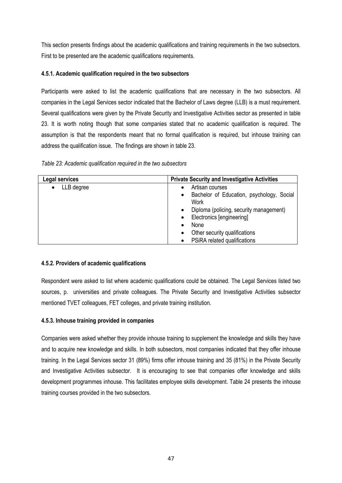This section presents findings about the academic qualifications and training requirements in the two subsectors. First to be presented are the academic qualifications requirements.

# **4.5.1. Academic qualification required in the two subsectors**

Participants were asked to list the academic qualifications that are necessary in the two subsectors. All companies in the Legal Services sector indicated that the Bachelor of Laws degree (LLB) is a must requirement. Several qualifications were given by the Private Security and Investigative Activities sector as presented in table 23. It is worth noting though that some companies stated that no academic qualification is required. The assumption is that the respondents meant that no formal qualification is required, but inhouse training can address the qualification issue. The findings are shown in table 23.

*Table 23: Academic qualification required in the two subsectors*

| Legal services          | <b>Private Security and Investigative Activities</b>           |
|-------------------------|----------------------------------------------------------------|
| LLB degree<br>$\bullet$ | Artisan courses                                                |
|                         | Bachelor of Education, psychology, Social<br>$\bullet$<br>Work |
|                         | Diploma (policing, security management)<br>$\bullet$           |
|                         | Electronics [engineering]<br>$\bullet$                         |
|                         | None<br>$\bullet$                                              |
|                         | Other security qualifications<br>$\bullet$                     |
|                         | PSiRA related qualifications<br>$\bullet$                      |

# **4.5.2. Providers of academic qualifications**

Respondent were asked to list where academic qualifications could be obtained. The Legal Services listed two sources, p. universities and private colleagues. The Private Security and Investigative Activities subsector mentioned TVET colleagues, FET colleges, and private training institution.

# **4.5.3. Inhouse training provided in companies**

Companies were asked whether they provide inhouse training to supplement the knowledge and skills they have and to acquire new knowledge and skills. In both subsectors, most companies indicated that they offer inhouse training. In the Legal Services sector 31 (89%) firms offer inhouse training and 35 (81%) in the Private Security and Investigative Activities subsector. It is encouraging to see that companies offer knowledge and skills development programmes inhouse. This facilitates employee skills development. Table 24 presents the inhouse training courses provided in the two subsectors.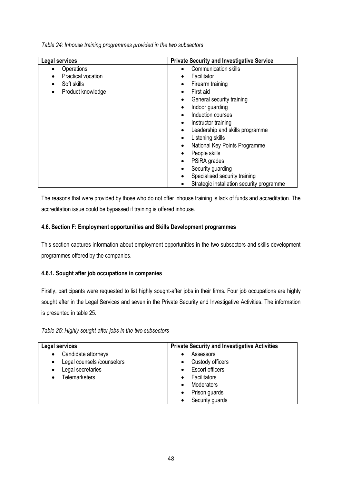*Table 24: Inhouse training programmes provided in the two subsectors*

| Legal services            | <b>Private Security and Investigative Service</b> |
|---------------------------|---------------------------------------------------|
| Operations<br>$\bullet$   | Communication skills<br>$\bullet$                 |
| <b>Practical vocation</b> | Facilitator<br>$\bullet$                          |
| Soft skills               | Firearm training<br>$\bullet$                     |
| Product knowledge         | First aid<br>$\bullet$                            |
|                           | General security training                         |
|                           | Indoor guarding                                   |
|                           | Induction courses<br>$\bullet$                    |
|                           | Instructor training<br>$\bullet$                  |
|                           | Leadership and skills programme<br>$\bullet$      |
|                           | Listening skills<br>$\bullet$                     |
|                           | National Key Points Programme<br>$\bullet$        |
|                           | People skills                                     |
|                           | PSiRA grades<br>$\bullet$                         |
|                           | Security guarding<br>$\bullet$                    |
|                           | Specialised security training<br>$\bullet$        |
|                           | Strategic installation security programme         |

The reasons that were provided by those who do not offer inhouse training is lack of funds and accreditation. The accreditation issue could be bypassed if training is offered inhouse.

# **4.6. Section F: Employment opportunities and Skills Development programmes**

This section captures information about employment opportunities in the two subsectors and skills development programmes offered by the companies.

# **4.6.1. Sought after job occupations in companies**

Firstly, participants were requested to list highly sought-after jobs in their firms. Four job occupations are highly sought after in the Legal Services and seven in the Private Security and Investigative Activities. The information is presented in table 25.

| Table 25: Highly sought-after jobs in the two subsectors |  |
|----------------------------------------------------------|--|
|----------------------------------------------------------|--|

| Legal services                                                                                                                | <b>Private Security and Investigative Activities</b>                                                                      |
|-------------------------------------------------------------------------------------------------------------------------------|---------------------------------------------------------------------------------------------------------------------------|
| Candidate attorneys<br>٠<br>Legal counsels /counselors<br>$\bullet$<br>Legal secretaries<br>$\bullet$<br><b>Telemarketers</b> | Assessors<br>Custody officers<br><b>Escort officers</b><br>Facilitators<br>Moderators<br>Prison guards<br>Security guards |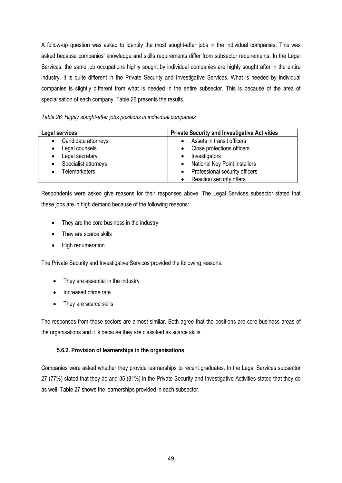A follow-up question was asked to identity the most sought-after jobs in the individual companies. This was asked because companies' knowledge and skills requirements differ from subsector requirements. In the Legal Services, the same job occupations highly sought by individual companies are highly sought after in the entire industry. It is quite different in the Private Security and Investigative Services. What is needed by individual companies is slightly different from what is needed in the entire subsector. This is because of the area of specialisation of each company. Table 26 presents the results.

*Table 26: Highly sought-after jobs positions in individual companies*

| Legal services       | <b>Private Security and Investigative Activities</b> |
|----------------------|------------------------------------------------------|
| Candidate attorneys  | Assets in transit officers                           |
| Legal counsels       | Close protections officers                           |
| Legal secretary      | Investigators                                        |
| Specialist attorneys | <b>National Key Point installers</b>                 |
| <b>Telemarketers</b> | Professional security officers                       |
|                      | Reaction security offers                             |

Respondents were asked give reasons for their responses above. The Legal Services subsector stated that these jobs are in high demand because of the following reasons:

- They are the core business in the industry
- They are scarce skills
- High renumeration

The Private Security and Investigative Services provided the following reasons:

- They are essential in the industry
- Increased crime rate
- They are scarce skills

The responses from these sectors are almost similar. Both agree that the positions are core business areas of the organisations and it is because they are classified as scarce skills.

# **5.6.2. Provision of learnerships in the organisations**

Companies were asked whether they provide learnerships to recent graduates. In the Legal Services subsector 27 (77%) stated that they do and 35 (81%) in the Private Security and Investigative Activities stated that they do as well. Table 27 shows the learnerships provided in each subsector.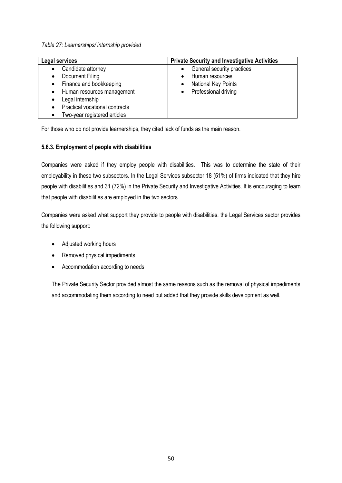*Table 27: Learnerships/ internship provided*

| Legal services                                                                                                                                                                                                 | <b>Private Security and Investigative Activities</b>                                                      |
|----------------------------------------------------------------------------------------------------------------------------------------------------------------------------------------------------------------|-----------------------------------------------------------------------------------------------------------|
| Candidate attorney<br>Document Filing<br>Finance and bookkeeping<br>$\bullet$<br>Human resources management<br>$\bullet$<br>Legal internship<br>Practical vocational contracts<br>Two-year registered articles | General security practices<br>$\bullet$<br>Human resources<br>National Key Points<br>Professional driving |

For those who do not provide learnerships, they cited lack of funds as the main reason.

# **5.6.3. Employment of people with disabilities**

Companies were asked if they employ people with disabilities. This was to determine the state of their employability in these two subsectors. In the Legal Services subsector 18 (51%) of firms indicated that they hire people with disabilities and 31 (72%) in the Private Security and Investigative Activities. It is encouraging to learn that people with disabilities are employed in the two sectors.

Companies were asked what support they provide to people with disabilities. the Legal Services sector provides the following support:

- Adjusted working hours
- Removed physical impediments
- Accommodation according to needs

The Private Security Sector provided almost the same reasons such as the removal of physical impediments and accommodating them according to need but added that they provide skills development as well.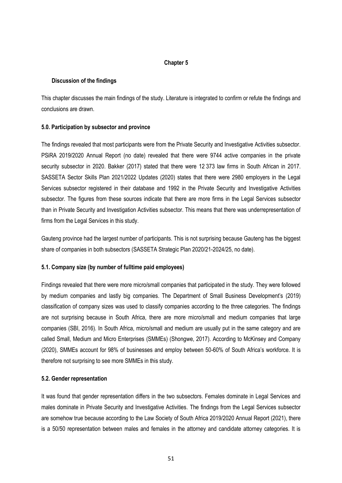## **Chapter 5**

## **Discussion of the findings**

This chapter discusses the main findings of the study. Literature is integrated to confirm or refute the findings and conclusions are drawn.

## **5.0. Participation by subsector and province**

The findings revealed that most participants were from the Private Security and Investigative Activities subsector. PSiRA 2019/2020 Annual Report (no date) revealed that there were 9744 active companies in the private security subsector in 2020. Bakker (2017) stated that there were 12 373 law firms in South African in 2017. SASSETA Sector Skills Plan 2021/2022 Updates (2020) states that there were 2980 employers in the Legal Services subsector registered in their database and 1992 in the Private Security and Investigative Activities subsector. The figures from these sources indicate that there are more firms in the Legal Services subsector than in Private Security and Investigation Activities subsector. This means that there was underrepresentation of firms from the Legal Services in this study.

Gauteng province had the largest number of participants. This is not surprising because Gauteng has the biggest share of companies in both subsectors (SASSETA Strategic Plan 2020/21-2024/25, no date).

## **5.1. Company size (by number of fulltime paid employees)**

Findings revealed that there were more micro/small companies that participated in the study. They were followed by medium companies and lastly big companies. The Department of Small Business Development's (2019) classification of company sizes was used to classify companies according to the three categories. The findings are not surprising because in South Africa, there are more micro/small and medium companies that large companies (SBI, 2016). In South Africa, micro/small and medium are usually put in the same category and are called Small, Medium and Micro Enterprises (SMMEs) (Shongwe, 2017). According to McKinsey and Company (2020), SMMEs account for 98% of businesses and employ between 50-60% of South Africa's workforce. It is therefore not surprising to see more SMMEs in this study.

### **5.2. Gender representation**

It was found that gender representation differs in the two subsectors. Females dominate in Legal Services and males dominate in Private Security and Investigative Activities. The findings from the Legal Services subsector are somehow true because according to the Law Society of South Africa 2019/2020 Annual Report (2021), there is a 50/50 representation between males and females in the attorney and candidate attorney categories. It is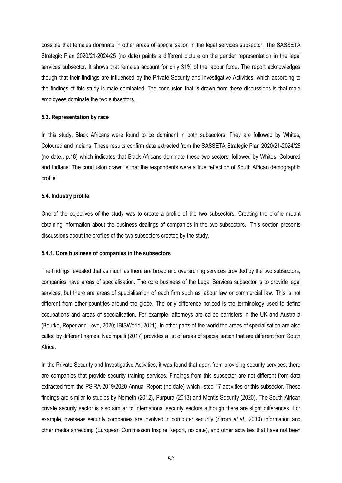possible that females dominate in other areas of specialisation in the legal services subsector. The SASSETA Strategic Plan 2020/21-2024/25 (no date) paints a different picture on the gender representation in the legal services subsector. It shows that females account for only 31% of the labour force. The report acknowledges though that their findings are influenced by the Private Security and Investigative Activities, which according to the findings of this study is male dominated. The conclusion that is drawn from these discussions is that male employees dominate the two subsectors.

### **5.3. Representation by race**

In this study, Black Africans were found to be dominant in both subsectors. They are followed by Whites, Coloured and Indians. These results confirm data extracted from the SASSETA Strategic Plan 2020/21-2024/25 (no date., p.18) which indicates that Black Africans dominate these two sectors, followed by Whites, Coloured and Indians. The conclusion drawn is that the respondents were a true reflection of South African demographic profile.

### **5.4. Industry profile**

One of the objectives of the study was to create a profile of the two subsectors. Creating the profile meant obtaining information about the business dealings of companies in the two subsectors. This section presents discussions about the profiles of the two subsectors created by the study.

### **5.4.1. Core business of companies in the subsectors**

The findings revealed that as much as there are broad and overarching services provided by the two subsectors, companies have areas of specialisation. The core business of the Legal Services subsector is to provide legal services, but there are areas of specialisation of each firm such as labour law or commercial law. This is not different from other countries around the globe. The only difference noticed is the terminology used to define occupations and areas of specialisation. For example, attorneys are called barristers in the UK and Australia (Bourke, Roper and Love, 2020; IBISWorld, 2021). In other parts of the world the areas of specialisation are also called by different names. Nadimpalli (2017) provides a list of areas of specialisation that are different from South Africa.

In the Private Security and Investigative Activities, it was found that apart from providing security services, there are companies that provide security training services. Findings from this subsector are not different from data extracted from the PSiRA 2019/2020 Annual Report (no date) which listed 17 activities or this subsector. These findings are similar to studies by Nemeth (2012), Purpura (2013) and Mentis Security (2020). The South African private security sector is also similar to international security sectors although there are slight differences. For example, overseas security companies are involved in computer security (Strom *et al.,* 2010) information and other media shredding (European Commission Inspire Report, no date), and other activities that have not been

52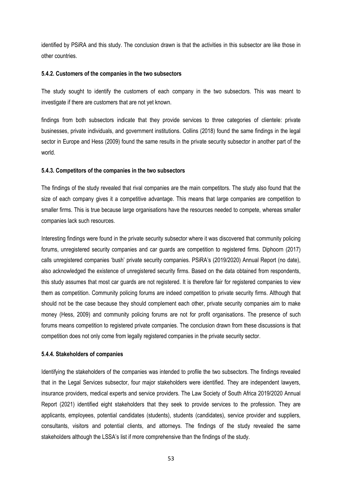identified by PSiRA and this study. The conclusion drawn is that the activities in this subsector are like those in other countries.

#### **5.4.2. Customers of the companies in the two subsectors**

The study sought to identify the customers of each company in the two subsectors. This was meant to investigate if there are customers that are not yet known.

findings from both subsectors indicate that they provide services to three categories of clientele: private businesses, private individuals, and government institutions. Collins (2018) found the same findings in the legal sector in Europe and Hess (2009) found the same results in the private security subsector in another part of the world.

#### **5.4.3. Competitors of the companies in the two subsectors**

The findings of the study revealed that rival companies are the main competitors. The study also found that the size of each company gives it a competitive advantage. This means that large companies are competition to smaller firms. This is true because large organisations have the resources needed to compete, whereas smaller companies lack such resources.

Interesting findings were found in the private security subsector where it was discovered that community policing forums, unregistered security companies and car guards are competition to registered firms. Diphoorn (2017) calls unregistered companies 'bush' private security companies. PSiRA's (2019/2020) Annual Report (no date), also acknowledged the existence of unregistered security firms. Based on the data obtained from respondents, this study assumes that most car guards are not registered. It is therefore fair for registered companies to view them as competition. Community policing forums are indeed competition to private security firms. Although that should not be the case because they should complement each other, private security companies aim to make money (Hess, 2009) and community policing forums are not for profit organisations. The presence of such forums means competition to registered private companies. The conclusion drawn from these discussions is that competition does not only come from legally registered companies in the private security sector.

#### **5.4.4. Stakeholders of companies**

Identifying the stakeholders of the companies was intended to profile the two subsectors. The findings revealed that in the Legal Services subsector, four major stakeholders were identified. They are independent lawyers, insurance providers, medical experts and service providers. The Law Society of South Africa 2019/2020 Annual Report (2021) identified eight stakeholders that they seek to provide services to the profession. They are applicants, employees, potential candidates (students), students (candidates), service provider and suppliers, consultants, visitors and potential clients, and attorneys. The findings of the study revealed the same stakeholders although the LSSA's list if more comprehensive than the findings of the study.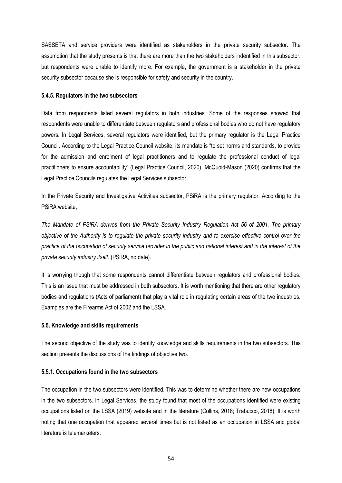SASSETA and service providers were identified as stakeholders in the private security subsector. The assumption that the study presents is that there are more than the two stakeholders indentified in this subsector, but respondents were unable to identify more. For example, the government is a stakeholder in the private security subsector because she is responsible for safety and security in the country.

#### **5.4.5. Regulators in the two subsectors**

Data from respondents listed several regulators in both industries. Some of the responses showed that respondents were unable to differentiate between regulators and professional bodies who do not have regulatory powers. In Legal Services, several regulators were identified, but the primary regulator is the Legal Practice Council. According to the Legal Practice Council website, its mandate is "to set norms and standards, to provide for the admission and enrolment of legal practitioners and to regulate the professional conduct of legal practitioners to ensure accountability" (Legal Practice Council, 2020). McQuoid-Mason (2020) confirms that the Legal Practice Councils regulates the Legal Services subsector.

In the Private Security and Investigative Activities subsector, PSiRA is the primary regulator. According to the PSiRA website,

*The Mandate of PSiRA derives from the Private Security Industry Regulation Act 56 of 2001. The primary objective of the Authority is to regulate the private security industry and to exercise effective control over the practice of the occupation of security service provider in the public and national interest and in the interest of the private security industry itself.* (PSiRA, no date).

It is worrying though that some respondents cannot differentiate between regulators and professional bodies. This is an issue that must be addressed in both subsectors. It is worth mentioning that there are other regulatory bodies and regulations (Acts of parliament) that play a vital role in regulating certain areas of the two industries. Examples are the Firearms Act of 2002 and the LSSA.

### **5.5. Knowledge and skills requirements**

The second objective of the study was to identify knowledge and skills requirements in the two subsectors. This section presents the discussions of the findings of objective two.

#### **5.5.1. Occupations found in the two subsectors**

The occupation in the two subsectors were identified. This was to determine whether there are new occupations in the two subsectors. In Legal Services, the study found that most of the occupations identified were existing occupations listed on the LSSA (2019) website and in the literature (Collins, 2018; Trabucco, 2018). It is worth noting that one occupation that appeared several times but is not listed as an occupation in LSSA and global literature is telemarketers.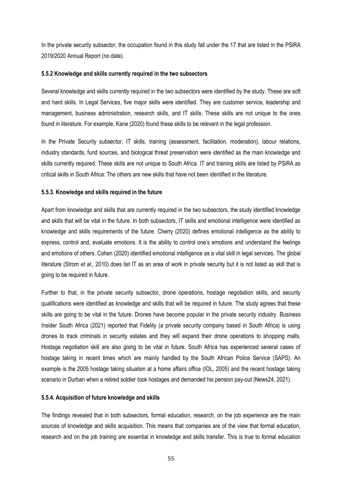In the private security subsector, the occupation found in this study fall under the 17 that are listed in the PSiRA 2019/2020 Annual Report (no date).

### **5.5.2 Knowledge and skills currently required in the two subsectors**

Several knowledge and skills currently required in the two subsectors were identified by the study. These are soft and hard skills. In Legal Services, five major skills were identified. They are customer service, leadership and management, business administration, research skills, and IT skills. These skills are not unique to the ones found in literature. For example, Kane (2020) found these skills to be relevant in the legal profession.

In the Private Security subsector, IT skills, training (assessment, facilitation, moderation), labour relations, industry standards, fund sources, and biological threat preservation were identified as the main knowledge and skills currently required. These skills are not unique to South Africa. IT and training skills are listed by PSiRA as critical skills in South Africa. The others are new skills that have not been identified in the literature.

## **5.5.3. Knowledge and skills required in the future**

Apart from knowledge and skills that are currently required in the two subsectors, the study identified knowledge and skills that will be vital in the future. In both subsectors, IT skills and emotional intelligence were identified as knowledge and skills requirements of the future. Cherry (2020) defines emotional intelligence as the ability to express, control and, evaluate emotions. It is the ability to control one's emotions and understand the feelings and emotions of others. Cohen (2020) identified emotional intelligence as a vital skill in legal services. The global literature (Strom *et al.,* 2010) does list IT as an area of work in private security but it is not listed as skill that is going to be required in future.

Further to that, in the private security subsector, drone operations, hostage negotiation skills, and security qualifications were identified as knowledge and skills that will be required in future. The study agrees that these skills are going to be vital in the future. Drones have become popular in the private security industry. Business Insider South Africa (2021) reported that Fidelity (a private security company based in South Africa) is using drones to track criminals in security estates and they will expand their drone operations to shopping malls. Hostage negotiation skill are also going to be vital in future. South Africa has experienced several cases of hostage taking in recent times which are mainly handled by the South African Police Service (SAPS). An example is the 2005 hostage taking situation at a home affairs office (IOL, 2005) and the recent hostage taking scenario in Durban when a retired soldier took hostages and demanded his pension pay-out (News24, 2021).

### **5.5.4. Acquisition of future knowledge and skills**

The findings revealed that in both subsectors, formal education, research, on the job experience are the main sources of knowledge and skills acquisition. This means that companies are of the view that formal education, research and on the job training are essential in knowledge and skills transfer. This is true to formal education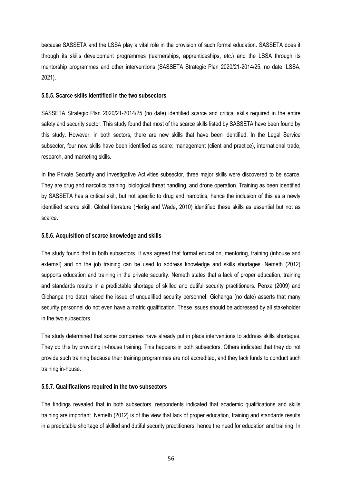because SASSETA and the LSSA play a vital role in the provision of such formal education. SASSETA does it through its skills development programmes (learnerships, apprenticeships, etc.) and the LSSA through its mentorship programmes and other interventions (SASSETA Strategic Plan 2020/21-2014/25, no date; LSSA, 2021).

### **5.5.5. Scarce skills identified in the two subsectors**

SASSETA Strategic Plan 2020/21-2014/25 (no date) identified scarce and critical skills required in the entire safety and security sector. This study found that most of the scarce skills listed by SASSETA have been found by this study. However, in both sectors, there are new skills that have been identified. In the Legal Service subsector, four new skills have been identified as scare: management (client and practice), international trade, research, and marketing skills.

In the Private Security and Investigative Activities subsector, three major skills were discovered to be scarce. They are drug and narcotics training, biological threat handling, and drone operation. Training as been identified by SASSETA has a critical skill, but not specific to drug and narcotics, hence the inclusion of this as a newly identified scarce skill. Global literature (Hertig and Wade, 2010) identified these skills as essential but not as scarce.

### **5.5.6. Acquisition of scarce knowledge and skills**

The study found that in both subsectors, it was agreed that formal education, mentoring, training (inhouse and external) and on the job training can be used to address knowledge and skills shortages. Nemeth (2012) supports education and training in the private security. Nemeth states that a lack of proper education, training and standards results in a predictable shortage of skilled and dutiful security practitioners. Penxa (2009) and Gichanga (no date) raised the issue of unqualified security personnel. Gichanga (no date) asserts that many security personnel do not even have a matric qualification. These issues should be addressed by all stakeholder in the two subsectors.

The study determined that some companies have already put in place interventions to address skills shortages. They do this by providing in-house training. This happens in both subsectors. Others indicated that they do not provide such training because their training programmes are not accredited, and they lack funds to conduct such training in-house.

## **5.5.7. Qualifications required in the two subsectors**

The findings revealed that in both subsectors, respondents indicated that academic qualifications and skills training are important. Nemeth (2012) is of the view that lack of proper education, training and standards results in a predictable shortage of skilled and dutiful security practitioners, hence the need for education and training. In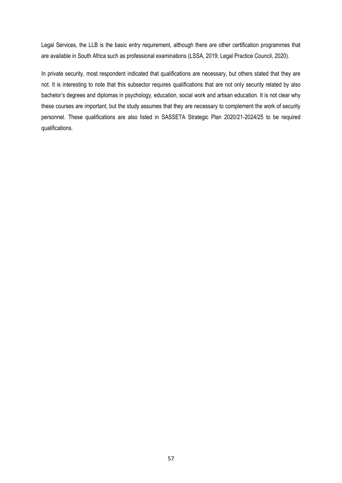Legal Services, the LLB is the basic entry requirement, although there are other certification programmes that are available in South Africa such as professional examinations (LSSA, 2019; Legal Practice Council, 2020).

In private security, most respondent indicated that qualifications are necessary, but others stated that they are not. It is interesting to note that this subsector requires qualifications that are not only security related by also bachelor's degrees and diplomas in psychology, education, social work and artisan education. It is not clear why these courses are important, but the study assumes that they are necessary to complement the work of security personnel. These qualifications are also listed in SASSETA Strategic Plan 2020/21-2024/25 to be required qualifications.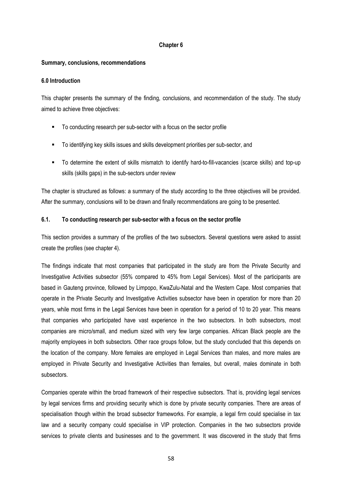## **Chapter 6**

## **Summary, conclusions, recommendations**

### **6.0 Introduction**

This chapter presents the summary of the finding, conclusions, and recommendation of the study. The study aimed to achieve three objectives:

- To conducting research per sub-sector with a focus on the sector profile
- To identifying key skills issues and skills development priorities per sub-sector, and
- To determine the extent of skills mismatch to identify hard-to-fill-vacancies (scarce skills) and top-up skills (skills gaps) in the sub-sectors under review

The chapter is structured as follows: a summary of the study according to the three objectives will be provided. After the summary, conclusions will to be drawn and finally recommendations are going to be presented.

## **6.1. To conducting research per sub-sector with a focus on the sector profile**

This section provides a summary of the profiles of the two subsectors. Several questions were asked to assist create the profiles (see chapter 4).

The findings indicate that most companies that participated in the study are from the Private Security and Investigative Activities subsector (55% compared to 45% from Legal Services). Most of the participants are based in Gauteng province, followed by Limpopo, KwaZulu-Natal and the Western Cape. Most companies that operate in the Private Security and Investigative Activities subsector have been in operation for more than 20 years, while most firms in the Legal Services have been in operation for a period of 10 to 20 year. This means that companies who participated have vast experience in the two subsectors. In both subsectors, most companies are micro/small, and medium sized with very few large companies. African Black people are the majority employees in both subsectors. Other race groups follow, but the study concluded that this depends on the location of the company. More females are employed in Legal Services than males, and more males are employed in Private Security and Investigative Activities than females, but overall, males dominate in both subsectors.

Companies operate within the broad framework of their respective subsectors. That is, providing legal services by legal services firms and providing security which is done by private security companies. There are areas of specialisation though within the broad subsector frameworks. For example, a legal firm could specialise in tax law and a security company could specialise in VIP protection. Companies in the two subsectors provide services to private clients and businesses and to the government. It was discovered in the study that firms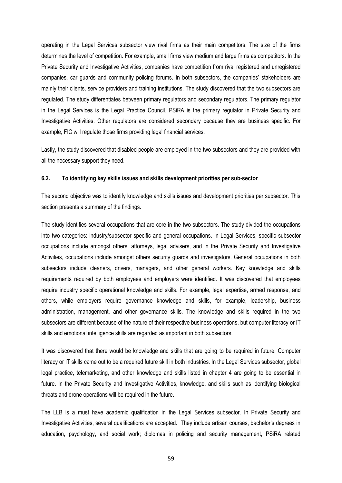operating in the Legal Services subsector view rival firms as their main competitors. The size of the firms determines the level of competition. For example, small firms view medium and large firms as competitors. In the Private Security and Investigative Activities, companies have competition from rival registered and unregistered companies, car guards and community policing forums. In both subsectors, the companies' stakeholders are mainly their clients, service providers and training institutions. The study discovered that the two subsectors are regulated. The study differentiates between primary regulators and secondary regulators. The primary regulator in the Legal Services is the Legal Practice Council. PSiRA is the primary regulator in Private Security and Investigative Activities. Other regulators are considered secondary because they are business specific. For example, FIC will regulate those firms providing legal financial services.

Lastly, the study discovered that disabled people are employed in the two subsectors and they are provided with all the necessary support they need.

## **6.2. To identifying key skills issues and skills development priorities per sub-sector**

The second objective was to identify knowledge and skills issues and development priorities per subsector. This section presents a summary of the findings.

The study identifies several occupations that are core in the two subsectors. The study divided the occupations into two categories: industry/subsector specific and general occupations. In Legal Services, specific subsector occupations include amongst others, attorneys, legal advisers, and in the Private Security and Investigative Activities, occupations include amongst others security guards and investigators. General occupations in both subsectors include cleaners, drivers, managers, and other general workers. Key knowledge and skills requirements required by both employees and employers were identified. It was discovered that employees require industry specific operational knowledge and skills. For example, legal expertise, armed response, and others, while employers require governance knowledge and skills, for example, leadership, business administration, management, and other governance skills. The knowledge and skills required in the two subsectors are different because of the nature of their respective business operations, but computer literacy or IT skills and emotional intelligence skills are regarded as important in both subsectors.

It was discovered that there would be knowledge and skills that are going to be required in future. Computer literacy or IT skills came out to be a required future skill in both industries. In the Legal Services subsector, global legal practice, telemarketing, and other knowledge and skills listed in chapter 4 are going to be essential in future. In the Private Security and Investigative Activities, knowledge, and skills such as identifying biological threats and drone operations will be required in the future.

The LLB is a must have academic qualification in the Legal Services subsector. In Private Security and Investigative Activities, several qualifications are accepted. They include artisan courses, bachelor's degrees in education, psychology, and social work; diplomas in policing and security management, PSiRA related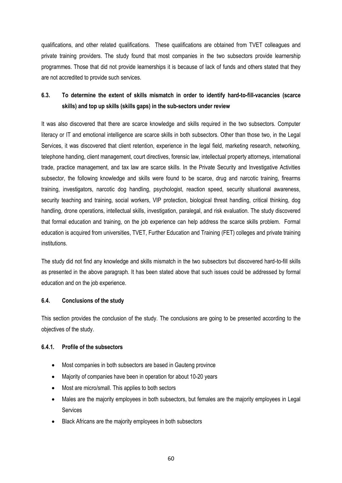qualifications, and other related qualifications. These qualifications are obtained from TVET colleagues and private training providers. The study found that most companies in the two subsectors provide learnership programmes. Those that did not provide learnerships it is because of lack of funds and others stated that they are not accredited to provide such services.

# **6.3. To determine the extent of skills mismatch in order to identify hard-to-fill-vacancies (scarce skills) and top up skills (skills gaps) in the sub-sectors under review**

It was also discovered that there are scarce knowledge and skills required in the two subsectors. Computer literacy or IT and emotional intelligence are scarce skills in both subsectors. Other than those two, in the Legal Services, it was discovered that client retention, experience in the legal field, marketing research, networking, telephone handing, client management, court directives, forensic law, intellectual property attorneys, international trade, practice management, and tax law are scarce skills. In the Private Security and Investigative Activities subsector, the following knowledge and skills were found to be scarce, drug and narcotic training, firearms training, investigators, narcotic dog handling, psychologist, reaction speed, security situational awareness, security teaching and training, social workers, VIP protection, biological threat handling, critical thinking, dog handling, drone operations, intellectual skills, investigation, paralegal, and risk evaluation. The study discovered that formal education and training, on the job experience can help address the scarce skills problem. Formal education is acquired from universities, TVET, Further Education and Training (FET) colleges and private training institutions.

The study did not find any knowledge and skills mismatch in the two subsectors but discovered hard-to-fill skills as presented in the above paragraph. It has been stated above that such issues could be addressed by formal education and on the job experience.

# **6.4. Conclusions of the study**

This section provides the conclusion of the study. The conclusions are going to be presented according to the objectives of the study.

# **6.4.1. Profile of the subsectors**

- Most companies in both subsectors are based in Gauteng province
- Majority of companies have been in operation for about 10-20 years
- Most are micro/small. This applies to both sectors
- Males are the majority employees in both subsectors, but females are the majority employees in Legal Services
- Black Africans are the majority employees in both subsectors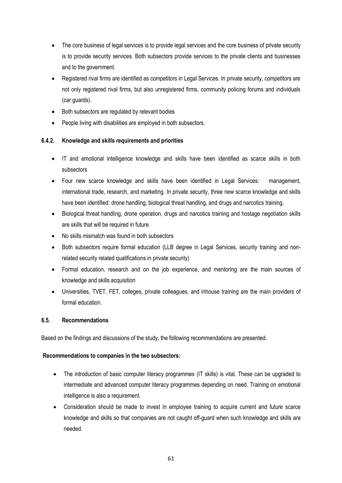- The core business of legal services is to provide legal services and the core business of private security is to provide security services. Both subsectors provide services to the private clients and businesses and to the government.
- Registered rival firms are identified as competitors in Legal Services. In private security, competitors are not only registered rival firms, but also unregistered firms, community policing forums and individuals (car guards).
- Both subsectors are regulated by relevant bodies
- People living with disabilities are employed in both subsectors.

# **6.4.2. Knowledge and skills requirements and priorities**

- IT and emotional intelligence knowledge and skills have been identified as scarce skills in both subsectors
- Four new scarce knowledge and skills have been identified in Legal Services: management, international trade, research, and marketing. In private security, three new scarce knowledge and skills have been identified: drone handling, biological threat handling, and drugs and narcotics training.
- Biological threat handling, drone operation, drugs and narcotics training and hostage negotiation skills are skills that will be required in future
- No skills mismatch was found in both subsectors
- Both subsectors require formal education (LLB degree in Legal Services, security training and nonrelated security related qualifications in private security)
- Formal education, research and on the job experience, and mentoring are the main sources of knowledge and skills acquisition
- Universities, TVET, FET, colleges, private colleagues, and inhouse training are the main providers of formal education.

# **6.5. Recommendations**

Based on the findings and discussions of the study, the following recommendations are presented.

# **Recommendations to companies in the two subsectors:**

- The introduction of basic computer literacy programmes (IT skills) is vital. These can be upgraded to intermediate and advanced computer literacy programmes depending on need. Training on emotional intelligence is also a requirement.
- Consideration should be made to invest in employee training to acquire current and future scarce knowledge and skills so that companies are not caught off-guard when such knowledge and skills are needed.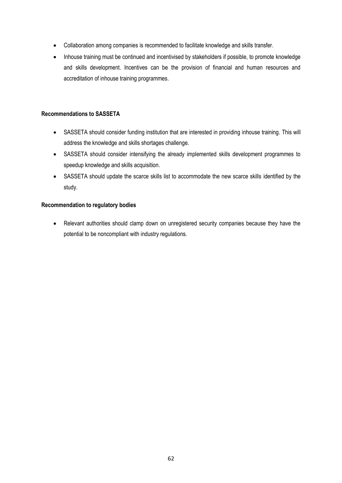- Collaboration among companies is recommended to facilitate knowledge and skills transfer.
- Inhouse training must be continued and incentivised by stakeholders if possible, to promote knowledge and skills development. Incentives can be the provision of financial and human resources and accreditation of inhouse training programmes.

## **Recommendations to SASSETA**

- SASSETA should consider funding institution that are interested in providing inhouse training. This will address the knowledge and skills shortages challenge.
- SASSETA should consider intensifying the already implemented skills development programmes to speedup knowledge and skills acquisition.
- SASSETA should update the scarce skills list to accommodate the new scarce skills identified by the study.

## **Recommendation to regulatory bodies**

• Relevant authorities should clamp down on unregistered security companies because they have the potential to be noncompliant with industry regulations.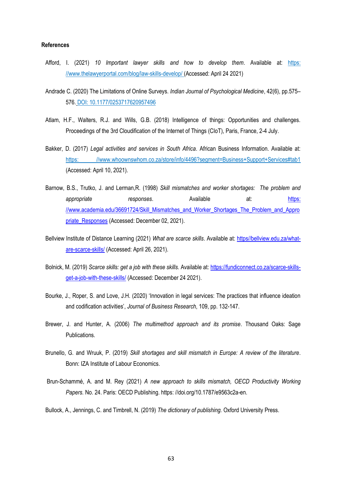#### **References**

- Afford, I. (2021) *10 Important lawyer skills and how to develop them*. Available at: [https:](https://www.thelawyerportal.com/blog/law-skills-develop/)  [//www.thelawyerportal.com/blog/law-skills-develop/](https://www.thelawyerportal.com/blog/law-skills-develop/) (Accessed: April 24 2021)
- Andrade C. (2020) The Limitations of Online Surveys. *Indian Journal of Psychological Medicine*, 42(6), pp.575– 576. DOI: 10.1177/0253717620957496
- Atlam, H.F., Walters, R.J. and Wills, G.B. (2018) Intelligence of things: Opportunities and challenges. Proceedings of the 3rd Cloudification of the Internet of Things (CIoT), Paris, France, 2-4 July.
- Bakker, D. (2017) *Legal activities and services in South Africa*. African Business Information. Available at: [https: //www.whoownswhom.co.za/store/info/4496?segment=Business+Support+Services#tab1](https://www.whoownswhom.co.za/store/info/4496?segment=Business+Support+Services#tab1) (Accessed: April 10, 2021).
- Barnow, B.S., Trutko, J. and Lerman,R. (1998) *Skill mismatches and worker shortages: The problem and appropriate responses*. Available at: [https:](https://www.academia.edu/36691724/Skill_Mismatches_and_Worker_Shortages_The_Problem_and_Appropriate_Responses)  [//www.academia.edu/36691724/Skill\\_Mismatches\\_and\\_Worker\\_Shortages\\_The\\_Problem\\_and\\_Appro](https://www.academia.edu/36691724/Skill_Mismatches_and_Worker_Shortages_The_Problem_and_Appropriate_Responses) priate Responses (Accessed: December 02, 2021).
- Bellview Institute of Distance Learning (2021) *What are scarce skills*. Available at: [https//bellview.edu.za/what](https://bellview.edu.za/what-are-scarce-skills/)[are-scarce-skills/](https://bellview.edu.za/what-are-scarce-skills/) (Accessed: April 26, 2021).
- Bolnick, M. (2019) *Scarce skills: get a job with these skills.* Available at: [https://fundiconnect.co.za/scarce-skills](https://fundiconnect.co.za/scarce-skills-get-a-job-with-these-skills/)[get-a-job-with-these-skills/](https://fundiconnect.co.za/scarce-skills-get-a-job-with-these-skills/) (Accessed: December 24 2021).
- Bourke, J., Roper, S. and Love, J.H. (2020) 'Innovation in legal services: The practices that influence ideation and codification activities', *Journal of Business Research*, 109, pp. 132-147.
- Brewer, J. and Hunter, A. (2006) *The multimethod approach and its promise*. Thousand Oaks: Sage Publications.
- Brunello, G. and Wruuk, P. (2019) *Skill shortages and skill mismatch in Europe: A review of the literature*. Bonn: IZA Institute of Labour Economics.
- Brun-Schammé, A. and M. Rey (2021) *A new approach to skills mismatch, OECD Productivity Working Papers.* No. 24. Paris: OECD Publishing. https: //doi.org/10.1787/e9563c2a-en.

Bullock, A., Jennings, C. and Timbrell, N. (2019) *The dictionary of publishing.* Oxford University Press.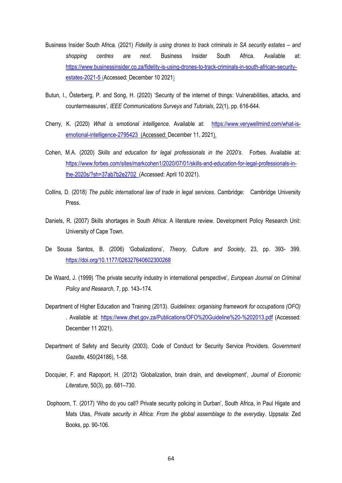- Business Insider South Africa. (2021) *Fidelity is using drones to track criminals in SA security estates and shopping centres are next*. Business Insider South Africa. Available at: [https://www.businessinsider.co.za/fidelity-is-using-drones-to-track-criminals-in-south-african-security](https://www.businessinsider.co.za/fidelity-is-using-drones-to-track-criminals-in-south-african-security-estates-2021-5)[estates-2021-5](https://www.businessinsider.co.za/fidelity-is-using-drones-to-track-criminals-in-south-african-security-estates-2021-5) (Accessed: December 10 2021)
- Butun, I., Österberg, P. and Song, H. (2020) 'Security of the internet of things: Vulnerabilities, attacks, and countermeasures', *IEEE Communications Surveys and Tutorials*, 22(1), pp. 616-644.
- Cherry, K. (2020) *What is emotional intelligence*. Available at: [https://www.verywellmind.com/what-is](https://www.verywellmind.com/what-is-emotional-intelligence-2795423)[emotional-intelligence-2795423](https://www.verywellmind.com/what-is-emotional-intelligence-2795423) (Accessed: December 11, 2021).
- Cohen, M.A. (2020) *Skills and education for legal professionals in the 2020's*. Forbes. Available at: [https://www.forbes.com/sites/markcohen1/2020/07/01/skills-and-education-for-legal-professionals-in](https://www.forbes.com/sites/markcohen1/2020/07/01/skills-and-education-for-legal-professionals-in-the-2020s/?sh=37ab7b2e2702)[the-2020s/?sh=37ab7b2e2702](https://www.forbes.com/sites/markcohen1/2020/07/01/skills-and-education-for-legal-professionals-in-the-2020s/?sh=37ab7b2e2702) (Accessed: April 10 2021).
- Collins, D. (2018) *The public international law of trade in legal services.* Cambridge: Cambridge University Press.
- Daniels, R. (2007) Skills shortages in South Africa: A literature review. Development Policy Research Unit: University of Cape Town.
- De Sousa Santos, B. (2006) 'Gobalizations', *Theory, Culture and Society*, 23, pp. 393- 399. <https://doi.org/10.1177/026327640602300268>
- De Waard, J. (1999) 'The private security industry in international perspective', *European Journal on Criminal Policy and Research,* 7, pp. 143–174.
- Department of Higher Education and Training (2013). *Guidelines: organising framework for occupations (OFO)*  . Available at:<https://www.dhet.gov.za/Publications/OFO%20Guideline%20-%202013.pdf> (Accessed: December 11 2021).
- Department of Safety and Security (2003). Code of Conduct for Security Service Providers. *Government Gazette*, 450(24186), 1-58.
- Docquier, F. and Rapoport, H. (2012) 'Globalization, brain drain, and development', *Journal of Economic Literature*, 50(3), pp. 681–730.
- Dophoorn, T. (2017) 'Who do you call? Private security policing in Durban', South Africa, in Paul Higate and Mats Utas, *Private security in Africa: From the global assemblage to the everyday*. Uppsala: Zed Books, pp. 90-106.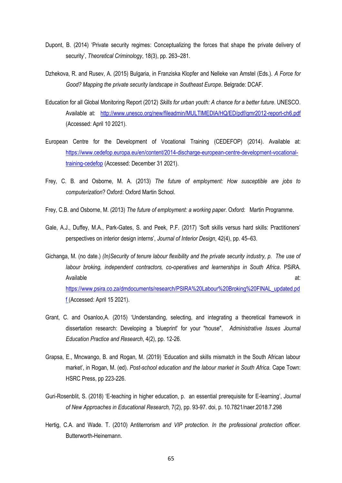- Dupont, B. (2014) 'Private security regimes: Conceptualizing the forces that shape the private delivery of security', *Theoretical Criminology*, 18(3), pp. 263–281.
- Dzhekova, R. and Rusev, A. (2015) Bulgaria, in Franziska Klopfer and Nelleke van Amstel (Eds.). *A Force for Good? Mapping the private security landscape in Southeast Europe*. Belgrade: DCAF.
- Education for all Global Monitoring Report (2012) *Skills for urban youth: A chance for a better future*. UNESCO. Available at: <http://www.unesco.org/new/fileadmin/MULTIMEDIA/HQ/ED/pdf/gmr2012-report-ch6.pdf> (Accessed: April 10 2021).
- European Centre for the Development of Vocational Training (CEDEFOP) (2014). Available at: [https://www.cedefop.europa.eu/en/content/2014-discharge-european-centre-development-vocational](https://www.cedefop.europa.eu/en/content/2014-discharge-european-centre-development-vocational-training-cedefop)[training-cedefop](https://www.cedefop.europa.eu/en/content/2014-discharge-european-centre-development-vocational-training-cedefop) (Accessed: December 31 2021).
- Frey, C. B. and Osborne, M. A. (2013) *The future of employment: How susceptible are jobs to computerization*? Oxford: Oxford Martin School.
- Frey, C.B. and Osborne, M. (2013) *The future of employment: a working paper*. Oxford: Martin Programme.
- Gale, A.J., Duffey, M.A., Park-Gates, S. and Peek, P.F. (2017) 'Soft skills versus hard skills: Practitioners' perspectives on interior design interns', *Journal of Interior Design*, 42(4), pp. 45–63.
- Gichanga, M. (no date.) *(In)Security of tenure labour flexibility and the private security industry, p. The use of labour broking, independent contractors, co-operatives and learnerships in South Africa*. PSiRA. Available at: [https://www.psira.co.za/dmdocuments/research/PSIRA%20Labour%20Broking%20FINAL\\_updated.pd](https://www.psira.co.za/dmdocuments/research/PSIRA%20Labour%20Broking%20FINAL_updated.pdf) [f](https://www.psira.co.za/dmdocuments/research/PSIRA%20Labour%20Broking%20FINAL_updated.pdf) (Accessed: April 15 2021).
- Grant, C. and Osanloo,A. (2015) 'Understanding, selecting, and integrating a theoretical framework in dissertation research: Developing a 'blueprint' for your "house", *Administrative Issues Journal Education Practice and Research*, 4(2), pp. 12-26.
- Grapsa, E., Mncwango, B. and Rogan, M. (2019) 'Education and skills mismatch in the South African labour market', in Rogan, M. (ed). *Post-school education and the labour market in South Africa.* Cape Town: HSRC Press, pp 223-226.
- Guri-Rosenblit, S. (2018) 'E-teaching in higher education, p. an essential prerequisite for E-learning', *Journal of New Approaches in Educational Research,* 7(2), pp. 93-97. doi, p. 10.7821/naer.2018.7.298
- Hertig, C.A. and Wade. T. (2010) Antiterrorism *and VIP protection*. *In the professional protection officer.*  Butterworth-Heinemann.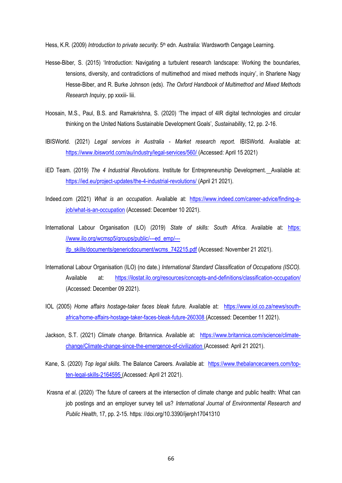Hess, K.R. (2009) *Introduction to private security.* 5<sup>th</sup> edn. Australia: Wardsworth Cengage Learning.

- Hesse-Biber, S. (2015) 'Introduction: Navigating a turbulent research landscape: Working the boundaries, tensions, diversity, and contradictions of multimethod and mixed methods inquiry', in Sharlene Nagy Hesse-Biber, and R. Burke Johnson (eds). *The Oxford Handbook of Multimethod and Mixed Methods Research Inquiry*, pp xxxiii- liii.
- Hoosain, M.S., Paul, B.S. and Ramakrishna, S. (2020) 'The impact of 4IR digital technologies and circular thinking on the United Nations Sustainable Development Goals', *Sustainability*, 12, pp. 2-16.
- IBISWorld. (2021) *Legal services in Australia - Market research report.* IBISWorld. Available at: <https://www.ibisworld.com/au/industry/legal-services/560/> (Accessed: April 15 2021)
- iED Team. (2019) *The 4 Industrial Revolutions*. Institute for Entrepreneurship Development. Available at: <https://ied.eu/project-updates/the-4-industrial-revolutions/> (April 21 2021).
- Indeed.com (2021) *What is an occupation*. Available at: [https://www.indeed.com/career-advice/finding-a](https://www.indeed.com/career-advice/finding-a-job/what-is-an-occupation)[job/what-is-an-occupation](https://www.indeed.com/career-advice/finding-a-job/what-is-an-occupation) (Accessed: December 10 2021).
- International Labour Organisation (ILO) (2019) *State of skills: South Africa*. Available at: [https:](https://www.ilo.org/wcmsp5/groups/public/---ed_emp/---ifp_skills/documents/genericdocument/wcms_742215.pdf)  [//www.ilo.org/wcmsp5/groups/public/---ed\\_emp/--](https://www.ilo.org/wcmsp5/groups/public/---ed_emp/---ifp_skills/documents/genericdocument/wcms_742215.pdf) [ifp\\_skills/documents/genericdocument/wcms\\_742215.pdf](https://www.ilo.org/wcmsp5/groups/public/---ed_emp/---ifp_skills/documents/genericdocument/wcms_742215.pdf) (Accessed: November 21 2021).
- International Labour Organisation (ILO) (no date.) *International Standard Classification of Occupations (ISCO).*  Available at: <https://ilostat.ilo.org/resources/concepts-and-definitions/classification-occupation/> (Accessed: December 09 2021).
- IOL (2005) *Home affairs hostage-taker faces bleak future*. Available at: [https://www.iol.co.za/news/south](https://www.iol.co.za/news/south-africa/home-affairs-hostage-taker-faces-bleak-future-260308)[africa/home-affairs-hostage-taker-faces-bleak-future-260308](https://www.iol.co.za/news/south-africa/home-affairs-hostage-taker-faces-bleak-future-260308) (Accessed: December 11 2021).
- Jackson, S.T. (2021) *Climate change*. Britannica. Available at: [https://www.britannica.com/science/climate](https://www.britannica.com/science/climate-change/Climate-change-since-the-emergence-of-civilization)[change/Climate-change-since-the-emergence-of-civilization](https://www.britannica.com/science/climate-change/Climate-change-since-the-emergence-of-civilization) (Accessed: April 21 2021).
- Kane, S. (2020) *Top legal skills.* The Balance Careers. Available at: [https://www.thebalancecareers.com/top](https://www.thebalancecareers.com/top-ten-legal-skills-2164595)[ten-legal-skills-2164595](https://www.thebalancecareers.com/top-ten-legal-skills-2164595) (Accessed: April 21 2021).
- Krasna *et al*. (2020) 'The future of careers at the intersection of climate change and public health: What can job postings and an employer survey tell us? *International Journal of Environmental Research and Public Health*, 17, pp. 2-15. https: //doi.org/10.3390/ijerph17041310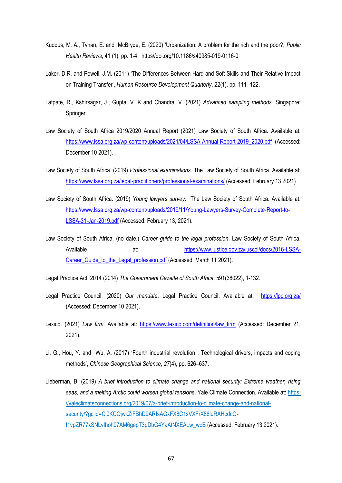- Kuddus, M. A., Tynan, E. and McBryde, E. (2020) 'Urbanization: A problem for the rich and the poor?, *Public Health Reviews*, 41 (1), pp. 1-4. https//doi.org/10.1186/s40985-019-0116-0
- Laker, D.R. and Powell, J.M. (2011) 'The Differences Between Hard and Soft Skills and Their Relative Impact on Training Transfer', *Human Resource Development Quarterly*, 22(1), pp. 111- 122.
- Latpate, R., Kshirsagar, J., Gupta, V. K and Chandra, V. (2021) *Advanced sampling methods*. Singapore: Springer.
- Law Society of South Africa 2019/2020 Annual Report (2021) Law Society of South Africa. Available at: [https://www.lssa.org.za/wp-content/uploads/2021/04/LSSA-Annual-Report-2019\\_2020.pdf](https://www.lssa.org.za/wp-content/uploads/2021/04/LSSA-Annual-Report-2019_2020.pdf) (Accessed: December 10 2021).
- Law Society of South Africa. (2019) *Professional examinations*. The Law Society of South Africa. Available at: <https://www.lssa.org.za/legal-practitioners/professional-examinations/> (Accessed: February 13 2021)
- Law Society of South Africa. (2019) *Young lawyers survey*. The Law Society of South Africa. Available at: [https://www.lssa.org.za/wp-content/uploads/2019/11/Young-Lawyers-Survey-Complete-Report-to-](https://www.lssa.org.za/wp-content/uploads/2019/11/Young-Lawyers-Survey-Complete-Report-to-LSSA-31-Jan-2019.pdf)[LSSA-31-Jan-2019.pdf](https://www.lssa.org.za/wp-content/uploads/2019/11/Young-Lawyers-Survey-Complete-Report-to-LSSA-31-Jan-2019.pdf) (Accessed: February 13, 2021).
- Law Society of South Africa. (no date.) *Career guide to the legal profession*. Law Society of South Africa. Available at: [https://www.justice.gov.za/juscol/docs/2016-LSSA-](https://www.justice.gov.za/juscol/docs/2016-LSSA-Career_Guide_to_the_Legal_profession.pdf)[Career\\_Guide\\_to\\_the\\_Legal\\_profession.pdf](https://www.justice.gov.za/juscol/docs/2016-LSSA-Career_Guide_to_the_Legal_profession.pdf) (Accessed: March 11 2021).

Legal Practice Act, 2014 (2014) *The Government Gazette of South Africa*, 591(38022), 1-132.

- Legal Practice Council. (2020) *Our mandate*. Legal Practice Council. Available at: <https://lpc.org.za/> (Accessed: December 10 2021).
- Lexico. (2021) *Law firm.* Available at: https://www.lexico.com/definition/law firm (Accessed: December 21, 2021).
- Li, G., Hou, Y. and Wu, A. (2017) 'Fourth industrial revolution : Technological drivers, impacts and coping methods', *Chinese Geographical Science*, *27*(4), pp. 626–637.
- Lieberman, B. (2019) *A brief introduction to climate change and national security: Extreme weather, rising seas, and a melting Arctic could worsen global tensions*. Yale Climate Connection. Available at: [https:](https://yaleclimateconnections.org/2019/07/a-brief-introduction-to-climate-change-and-national-security/?gclid=Cj0KCQjwkZiFBhD9ARIsAGxFX8C1sVXFrX86luRAHcdcQ-I1vpZR77xSNLvIhoh07AM6gepT3pDbG4YaAtNXEALw_wcB)  [//yaleclimateconnections.org/2019/07/a-brief-introduction-to-climate-change-and-national](https://yaleclimateconnections.org/2019/07/a-brief-introduction-to-climate-change-and-national-security/?gclid=Cj0KCQjwkZiFBhD9ARIsAGxFX8C1sVXFrX86luRAHcdcQ-I1vpZR77xSNLvIhoh07AM6gepT3pDbG4YaAtNXEALw_wcB)[security/?gclid=Cj0KCQjwkZiFBhD9ARIsAGxFX8C1sVXFrX86luRAHcdcQ-](https://yaleclimateconnections.org/2019/07/a-brief-introduction-to-climate-change-and-national-security/?gclid=Cj0KCQjwkZiFBhD9ARIsAGxFX8C1sVXFrX86luRAHcdcQ-I1vpZR77xSNLvIhoh07AM6gepT3pDbG4YaAtNXEALw_wcB)[I1vpZR77xSNLvIhoh07AM6gepT3pDbG4YaAtNXEALw\\_wcB](https://yaleclimateconnections.org/2019/07/a-brief-introduction-to-climate-change-and-national-security/?gclid=Cj0KCQjwkZiFBhD9ARIsAGxFX8C1sVXFrX86luRAHcdcQ-I1vpZR77xSNLvIhoh07AM6gepT3pDbG4YaAtNXEALw_wcB) (Accessed: February 13 2021).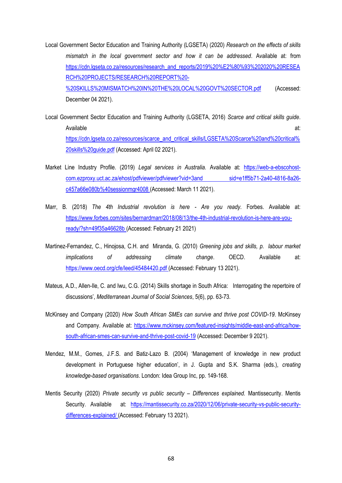- Local Government Sector Education and Training Authority (LGSETA) (2020) *Research on the effects of skills mismatch in the local government sector and how it can be addressed*. Available at: from [https://cdn.lgseta.co.za/resources/research\\_and\\_reports/2019%20%E2%80%93%202020%20RESEA](https://cdn.lgseta.co.za/resources/research_and_reports/2019%20%E2%80%93%202020%20RESEARCH%20PROJECTS/RESEARCH%20REPORT%20-%20SKILLS%20MISMATCH%20IN%20THE%20LOCAL%20GOVT%20SECTOR.pdf) [RCH%20PROJECTS/RESEARCH%20REPORT%20-](https://cdn.lgseta.co.za/resources/research_and_reports/2019%20%E2%80%93%202020%20RESEARCH%20PROJECTS/RESEARCH%20REPORT%20-%20SKILLS%20MISMATCH%20IN%20THE%20LOCAL%20GOVT%20SECTOR.pdf) [%20SKILLS%20MISMATCH%20IN%20THE%20LOCAL%20GOVT%20SECTOR.pdf](https://cdn.lgseta.co.za/resources/research_and_reports/2019%20%E2%80%93%202020%20RESEARCH%20PROJECTS/RESEARCH%20REPORT%20-%20SKILLS%20MISMATCH%20IN%20THE%20LOCAL%20GOVT%20SECTOR.pdf) (Accessed: December 04 2021).
- Local Government Sector Education and Training Authority (LGSETA, 2016) *Scarce and critical skills guide*. Available at: [https://cdn.lgseta.co.za/resources/scarce\\_and\\_critical\\_skills/LGSETA%20Scarce%20and%20critical%](https://cdn.lgseta.co.za/resources/scarce_and_critical_skills/LGSETA%20Scarce%20and%20critical%20skills%20guide.pdf) [20skills%20guide.pdf](https://cdn.lgseta.co.za/resources/scarce_and_critical_skills/LGSETA%20Scarce%20and%20critical%20skills%20guide.pdf) (Accessed: April 02 2021).
- Market Line Industry Profile. (2019) *Legal services in Australia.* Available at: [https://web-a-ebscohost](https://web-a-ebscohost-com.ezproxy.uct.ac.za/ehost/pdfviewer/pdfviewer?vid=3and%20sid=e1ff5b71-2a40-4816-8a26-c457a66e080b%40sessionmgr4008)[com.ezproxy.uct.ac.za/ehost/pdfviewer/pdfviewer?vid=3and sid=e1ff5b71-2a40-4816-8a26](https://web-a-ebscohost-com.ezproxy.uct.ac.za/ehost/pdfviewer/pdfviewer?vid=3and%20sid=e1ff5b71-2a40-4816-8a26-c457a66e080b%40sessionmgr4008) [c457a66e080b%40sessionmgr4008](https://web-a-ebscohost-com.ezproxy.uct.ac.za/ehost/pdfviewer/pdfviewer?vid=3and%20sid=e1ff5b71-2a40-4816-8a26-c457a66e080b%40sessionmgr4008) (Accessed: March 11 2021).
- Marr, B. (2018) *The 4th Industrial revolution is here - Are you ready.* Forbes. Available at: [https://www.forbes.com/sites/bernardmarr/2018/08/13/the-4th-industrial-revolution-is-here-are-you](https://www.forbes.com/sites/bernardmarr/2018/08/13/the-4th-industrial-revolution-is-here-are-you-ready/?sh=49f35a46628b)[ready/?sh=49f35a46628b](https://www.forbes.com/sites/bernardmarr/2018/08/13/the-4th-industrial-revolution-is-here-are-you-ready/?sh=49f35a46628b) (Accessed: February 21 2021)
- Martinez-Fernandez, C., Hinojosa, C.H. and Miranda, G. (2010) *Greening jobs and skills, p. labour market implications of addressing climate change*. OECD. Available at: <https://www.oecd.org/cfe/leed/45484420.pdf> (Accessed: February 13 2021).
- Mateus, A.D., Allen-Ile, C. and Iwu, C.G. (2014) Skills shortage in South Africa: Interrogating the repertoire of discussions', *Mediterranean Journal of Social Sciences*, 5(6), pp. 63-73.
- McKinsey and Company (2020) *How South African SMEs can survive and thrive post COVID-19*. McKinsey and Company. Available at: [https://www.mckinsey.com/featured-insights/middle-east-and-africa/how](https://www.mckinsey.com/featured-insights/middle-east-and-africa/how-south-african-smes-can-survive-and-thrive-post-covid-19)[south-african-smes-can-survive-and-thrive-post-covid-19](https://www.mckinsey.com/featured-insights/middle-east-and-africa/how-south-african-smes-can-survive-and-thrive-post-covid-19) (Accessed: December 9 2021).
- Mendez, M.M., Gomes, J.F.S. and Batiz-Lazo B. (2004) 'Management of knowledge in new product development in Portuguese higher education', in J. Gupta and S.K. Sharma (eds.), *creating knowledge-based organisations*. London: Idea Group Inc, pp. 149-168.
- Mentis Security (2020) *Private security vs public security – Differences explained.* Mantissecurity. Mentis Security. Available at: [https://mantissecurity.co.za/2020/12/06/private-security-vs-public-security](https://mantissecurity.co.za/2020/12/06/private-security-vs-public-security-differences-explained/)[differences-explained/](https://mantissecurity.co.za/2020/12/06/private-security-vs-public-security-differences-explained/) (Accessed: February 13 2021).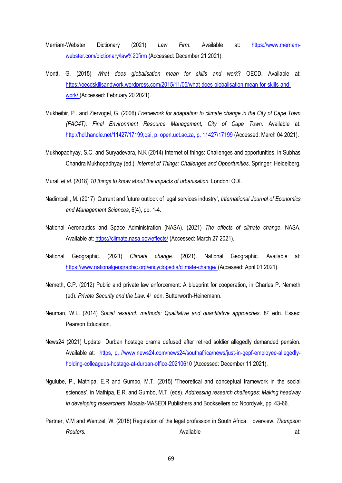- Merriam-Webster Dictionary (2021) *Law Firm*. Available at: [https://www.merriam](https://www.merriam-webster.com/dictionary/law%20firm)[webster.com/dictionary/law%20firm](https://www.merriam-webster.com/dictionary/law%20firm) (Accessed: December 21 2021).
- Montt, G. (2015) *What does globalisation mean for skills and work*? OECD. Available at: [https://oecdskillsandwork.wordpress.com/2015/11/05/what-does-globalisation-mean-for-skills-and](https://oecdskillsandwork.wordpress.com/2015/11/05/what-does-globalisation-mean-for-skills-and-work/)[work/](https://oecdskillsandwork.wordpress.com/2015/11/05/what-does-globalisation-mean-for-skills-and-work/) (Accessed: February 20 2021).
- Mukheibir, P., and Ziervogel, G. (2006) *Framework for adaptation to climate change in the City of Cape Town (FAC4T): Final Environment Resource Management, City of Cape Town.* Available at: [http://hdl.handle.net/11427/17199;oai, p. open.uct.ac.za, p. 11427/17199](http://hdl.handle.net/11427/17199;oai,%20p.%20open.uct.ac.za,%20p.%2011427/17199) (Accessed: March 04 2021).
- Mukhopadhyay, S.C. and Suryadevara, N.K (2014) Internet of things: Challenges and opportunities, in Subhas Chandra Mukhopadhyay (ed.). *Internet of Things: Challenges and Opportunities*. Springer: Heidelberg.
- Murali *et al.* (2018) *10 things to know about the impacts of urbanisation*. London: ODI.
- Nadimpalli, M. (2017) 'Current and future outlook of legal services industry*', International Journal of Economics and Management Sciences*, 6(4), pp. 1-4.
- National Aeronautics and Space Administration (NASA). (2021) *The effects of climate change*. NASA. Available at:<https://climate.nasa.gov/effects/> (Accessed: March 27 2021).
- National Geographic. (2021) *Climate change.* (2021). National Geographic*.* Available at: <https://www.nationalgeographic.org/encyclopedia/climate-change/> (Accessed: April 01 2021).
- Nemeth, C.P. (2012) Public and private law enforcement: A blueprint for cooperation, in Charles P. Nemeth (ed). Private Security and the Law. 4<sup>th</sup> edn. Butterworth-Heinemann.
- Neuman, W.L. (2014) *Social research methods: Qualitative and quantitative approaches*. 8<sup>th</sup> edn. Essex: Pearson Education.
- News24 (2021) Update Durban hostage drama defused after retired soldier allegedly demanded pension. Available at: [https, p. //www.news24.com/news24/southafrica/news/just-in-gepf-employee-allegedly](https://www.news24.com/news24/southafrica/news/just-in-gepf-employee-allegedly-holding-colleagues-hostage-at-durban-office-20210610)[holding-colleagues-hostage-at-durban-office-20210610](https://www.news24.com/news24/southafrica/news/just-in-gepf-employee-allegedly-holding-colleagues-hostage-at-durban-office-20210610) (Accessed: December 11 2021).
- Ngulube, P., Mathipa, E.R and Gumbo, M.T. (2015) 'Theoretical and conceptual framework in the social sciences', in Mathipa, E.R. and Gumbo, M.T. (eds). *Addressing research challenges: Making headway in developing researchers*. Mosala-MASEDI Publishers and Booksellers cc: Noordywk, pp. 43-66.
- Partner, V.M and Wentzel, W. (2018) Regulation of the legal profession in South Africa: overview. *Thompson Reuters.* at:  $\qquad \qquad$  Available  $\qquad \qquad$  Available  $\qquad \qquad$  at: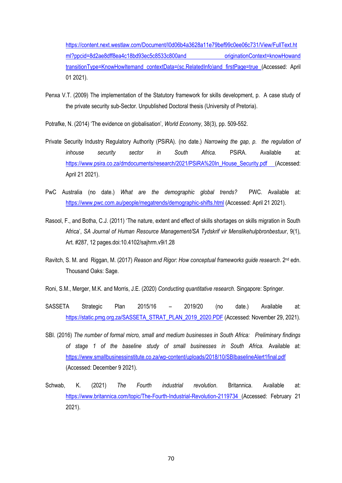[https://content.next.westlaw.com/Document/I0d06b4a3628a11e79bef99c0ee06c731/View/FullText.ht](https://content.next.westlaw.com/Document/I0d06b4a3628a11e79bef99c0ee06c731/View/FullText.html?ppcid=8d2ae8dff8ea4c18bd93ec5c8533c800and%20originationContext=knowHowand%20transitionType=KnowHowItemand%20contextData=(sc.RelatedInfo)and%20firstPage=true) [ml?ppcid=8d2ae8dff8ea4c18bd93ec5c8533c800and originationContext=knowHowand](https://content.next.westlaw.com/Document/I0d06b4a3628a11e79bef99c0ee06c731/View/FullText.html?ppcid=8d2ae8dff8ea4c18bd93ec5c8533c800and%20originationContext=knowHowand%20transitionType=KnowHowItemand%20contextData=(sc.RelatedInfo)and%20firstPage=true)  [transitionType=KnowHowItemand contextData=\(sc.RelatedInfo\)and firstPage=true](https://content.next.westlaw.com/Document/I0d06b4a3628a11e79bef99c0ee06c731/View/FullText.html?ppcid=8d2ae8dff8ea4c18bd93ec5c8533c800and%20originationContext=knowHowand%20transitionType=KnowHowItemand%20contextData=(sc.RelatedInfo)and%20firstPage=true) (Accessed: April 01 2021).

- Penxa V.T. (2009) The implementation of the Statutory framework for skills development, p. A case study of the private security sub-Sector. Unpublished Doctoral thesis (University of Pretoria).
- Potrafke, N. (2014) 'The evidence on globalisation', *World Economy*, 38(3), pp. 509-552.
- Private Security Industry Regulatory Authority (PSiRA). (no date.) *Narrowing the gap, p. the regulation of inhouse security sector in South Africa.* PSiRA. Available at: [https://www.psira.co.za/dmdocuments/research/2021/PSiRA%20In\\_House\\_Security.pdf](https://www.psira.co.za/dmdocuments/research/2021/PSiRA%20In_House_Security.pdf) (Accessed: April 21 2021).
- PwC Australia (no date.) *What are the demographic global trends?* PWC. Available at: <https://www.pwc.com.au/people/megatrends/demographic-shifts.html> (Accessed: April 21 2021).
- Rasool, F., and Botha, C.J. (2011) 'The nature, extent and effect of skills shortages on skills migration in South Africa', *SA Journal of Human Resource Management/SA Tydskrif vir Menslikehulpbronbestuur*, 9(1), Art. #287, 12 pages.doi:10.4102/sajhrm.v9i1.28
- Ravitch, S. M. and Riggan, M. (2017) *Reason and Rigor: How conceptual frameworks guide research*. 2<sup>nd</sup> edn. Thousand Oaks: Sage.
- Roni, S.M., Merger, M.K. and Morris, J.E. (2020) *Conducting quantitative research.* Singapore: Springer.
- SASSETA Strategic Plan 2015/16 2019/20 (no date.) Available at: [https://static.pmg.org.za/SASSETA\\_STRAT\\_PLAN\\_2019\\_2020.PDF](https://static.pmg.org.za/SASSETA_STRAT_PLAN_2019_2020.PDF) (Accessed: November 29, 2021).
- SBI. (2016) *The number of formal micro, small and medium businesses in South Africa: Preliminary findings of stage 1 of the baseline study of small businesses in South Africa.* Available at: <https://www.smallbusinessinstitute.co.za/wp-content/uploads/2018/10/SBIbaselineAlert1final.pdf> (Accessed: December 9 2021).
- Schwab, K. (2021) *The Fourth industrial revolution*. Britannica. Available at: <https://www.britannica.com/topic/The-Fourth-Industrial-Revolution-2119734> (Accessed: February 21 2021).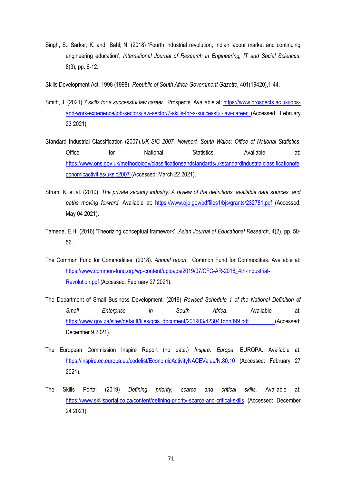Singh, S., Sarkar, K. and Bahl, N. (2018) 'Fourth industrial revolution, Indian labour market and continuing engineering education', *International Journal of Research in Engineering, IT and Social Sciences*, 8(3), pp. 6-12.

Skills Development Act, 1998 (1998). *Republic of South Africa Government Gazette,* 401(19420),1-44.

- Smith, J. (2021) *7 skills for a successful law career.* Prospects. Available at: [https://www.prospects.ac.uk/jobs](https://www.prospects.ac.uk/jobs-and-work-experience/job-sectors/law-sector/7-skills-for-a-successful-law-career)[and-work-experience/job-sectors/law-sector/7-skills-for-a-successful-law-career](https://www.prospects.ac.uk/jobs-and-work-experience/job-sectors/law-sector/7-skills-for-a-successful-law-career) (Accessed: February 23 2021).
- Standard Industrial Classification (2007).*UK SIC 2007. Newport, South Wales: Office of National Statistics*. Office 6 for National Statistics. Available at: [https://www.ons.gov.uk/methodology/classificationsandstandards/ukstandardindustrialclassificationofe](https://www.ons.gov.uk/methodology/classificationsandstandards/ukstandardindustrialclassificationofeconomicactivities/uksic2007) [conomicactivities/uksic2007](https://www.ons.gov.uk/methodology/classificationsandstandards/ukstandardindustrialclassificationofeconomicactivities/uksic2007) (Accessed: March 22 2021).
- Strom, K. et al. (2010). *The private security industry: A review of the definitions, available data sources, and paths moving forward*. Available at: <https://www.ojp.gov/pdffiles1/bjs/grants/232781.pdf> (Accessed: May 04 2021).
- Tamene, E.H. (2016) 'Theorizing conceptual framework', *Asian Journal of Educational Research*, 4(2), pp. 50- 56.
- The Common Fund for Commodities. (2018). *Annual report.* Common Fund for Commodities. Available at: [https://www.common-fund.org/wp-content/uploads/2019/07/CFC-AR-2018\\_4th-Industrial-](https://www.common-fund.org/wp-content/uploads/2019/07/CFC-AR-2018_4th-Industrial-Revolution.pdf)[Revolution.pdf](https://www.common-fund.org/wp-content/uploads/2019/07/CFC-AR-2018_4th-Industrial-Revolution.pdf) (Accessed: February 27 2021).
- The Department of Small Business Development. (2019) *Revised Schedule 1 of the National Definition of Small Enterprise in South Africa*. Available at: [https://www.gov.za/sites/default/files/gcis\\_document/201903/423041gon399.pdf](https://www.gov.za/sites/default/files/gcis_document/201903/423041gon399.pdf) (Accessed: December 9 2021).
- The European Commission Inspire Report (no date.) *Inspire. Europa*. EUROPA. Available at: <https://inspire.ec.europa.eu/codelist/EconomicActivityNACEValue/N.80.10> (Accessed: February 27 2021).
- The Skills Portal (2019) *Defining priority, scarce and critical skills.* Available at: <https://www.skillsportal.co.za/content/defining-priority-scarce-and-critical-skills> (Accessed: December 24 2021).